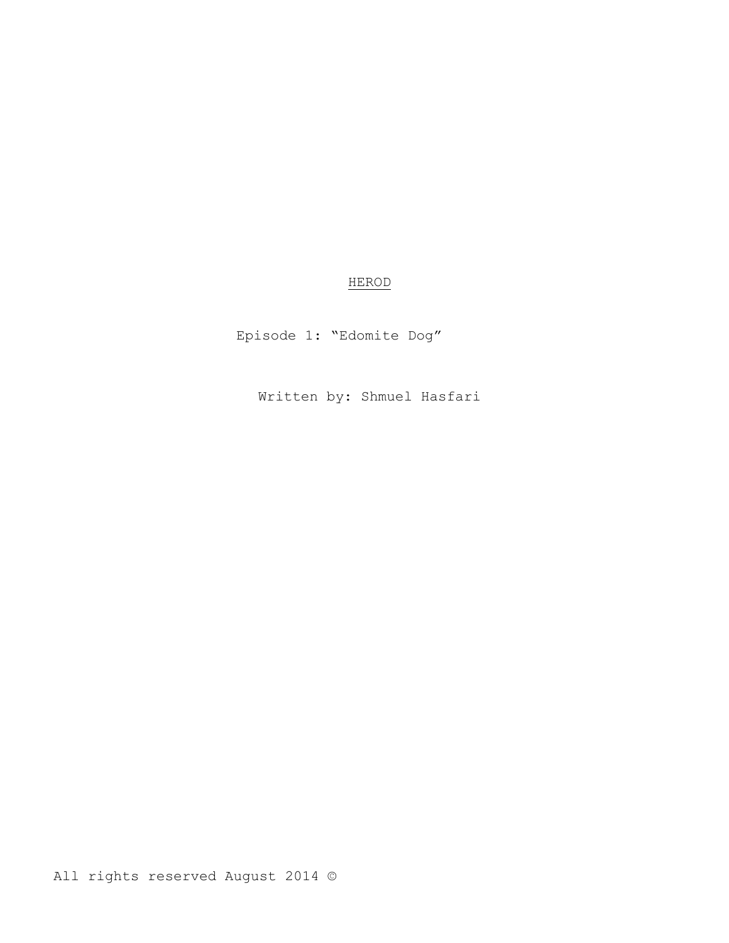# HEROD

Episode 1: "Edomite Dog"

Written by: Shmuel Hasfari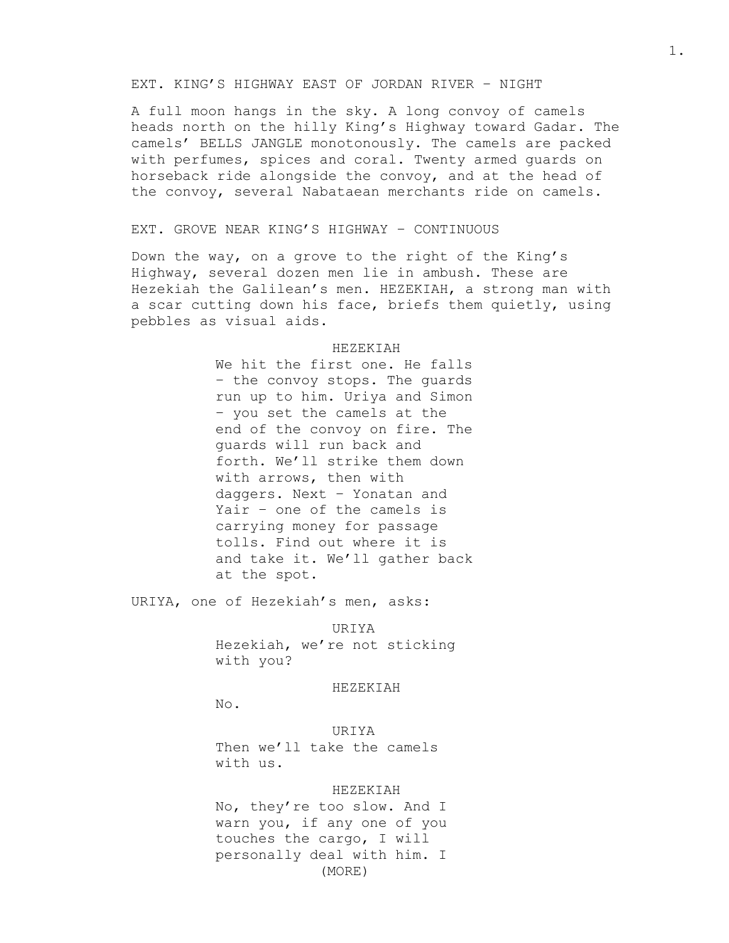## EXT. KING'S HIGHWAY EAST OF JORDAN RIVER – NIGHT

A full moon hangs in the sky. A long convoy of camels heads north on the hilly King's Highway toward Gadar. The camels' BELLS JANGLE monotonously. The camels are packed with perfumes, spices and coral. Twenty armed guards on horseback ride alongside the convoy, and at the head of the convoy, several Nabataean merchants ride on camels.

## EXT. GROVE NEAR KING'S HIGHWAY – CONTINUOUS

Down the way, on a grove to the right of the King's Highway, several dozen men lie in ambush. These are Hezekiah the Galilean's men. HEZEKIAH, a strong man with a scar cutting down his face, briefs them quietly, using pebbles as visual aids.

## HEZEKIAH

We hit the first one. He falls – the convoy stops. The guards run up to him. Uriya and Simon – you set the camels at the end of the convoy on fire. The guards will run back and forth. We'll strike them down with arrows, then with daggers. Next – Yonatan and Yair – one of the camels is carrying money for passage tolls. Find out where it is and take it. We'll gather back at the spot.

URIYA, one of Hezekiah's men, asks:

#### URIYA

Hezekiah, we're not sticking with you?

#### HEZEKIAH

No.

URIYA Then we'll take the camels with us.

#### HEZEKIAH

No, they're too slow. And I warn you, if any one of you touches the cargo, I will personally deal with him. I (MORE)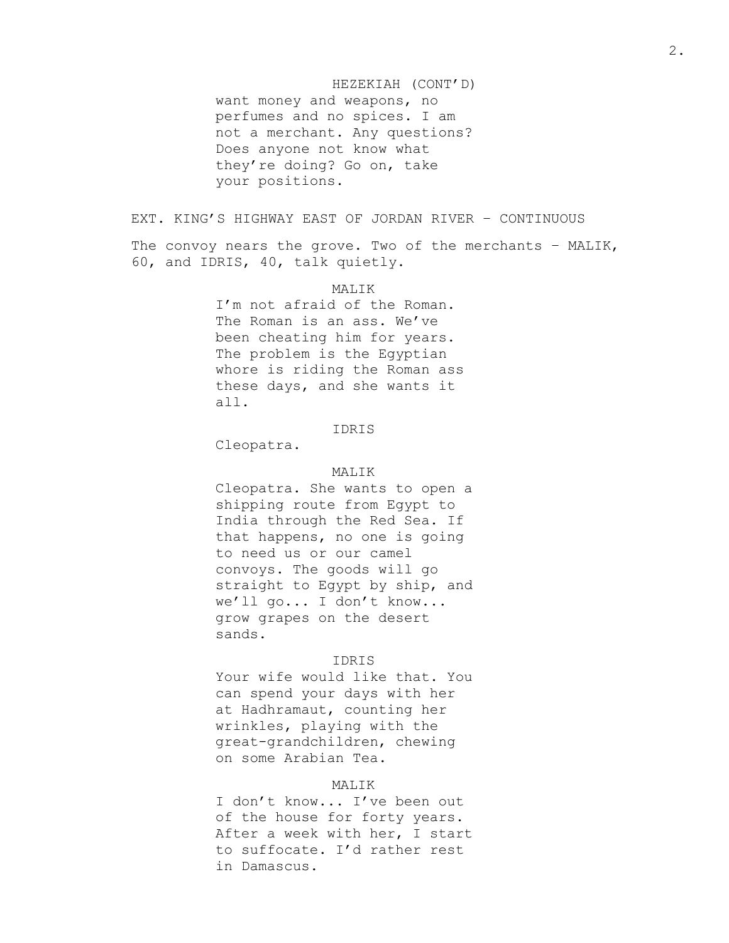#### HEZEKIAH (CONT'D)

want money and weapons, no perfumes and no spices. I am not a merchant. Any questions? Does anyone not know what they're doing? Go on, take your positions.

# EXT. KING'S HIGHWAY EAST OF JORDAN RIVER – CONTINUOUS

The convoy nears the grove. Two of the merchants – MALIK, 60, and IDRIS, 40, talk quietly.

# MALIK

I'm not afraid of the Roman. The Roman is an ass. We've been cheating him for years. The problem is the Egyptian whore is riding the Roman ass these days, and she wants it all.

## IDRIS

Cleopatra.

## MALIK

Cleopatra. She wants to open a shipping route from Egypt to India through the Red Sea. If that happens, no one is going to need us or our camel convoys. The goods will go straight to Egypt by ship, and we'll go... I don't know... grow grapes on the desert sands.

## IDRIS

Your wife would like that. You can spend your days with her at Hadhramaut, counting her wrinkles, playing with the great-grandchildren, chewing on some Arabian Tea.

## MALIK

I don't know... I've been out of the house for forty years. After a week with her, I start to suffocate. I'd rather rest in Damascus.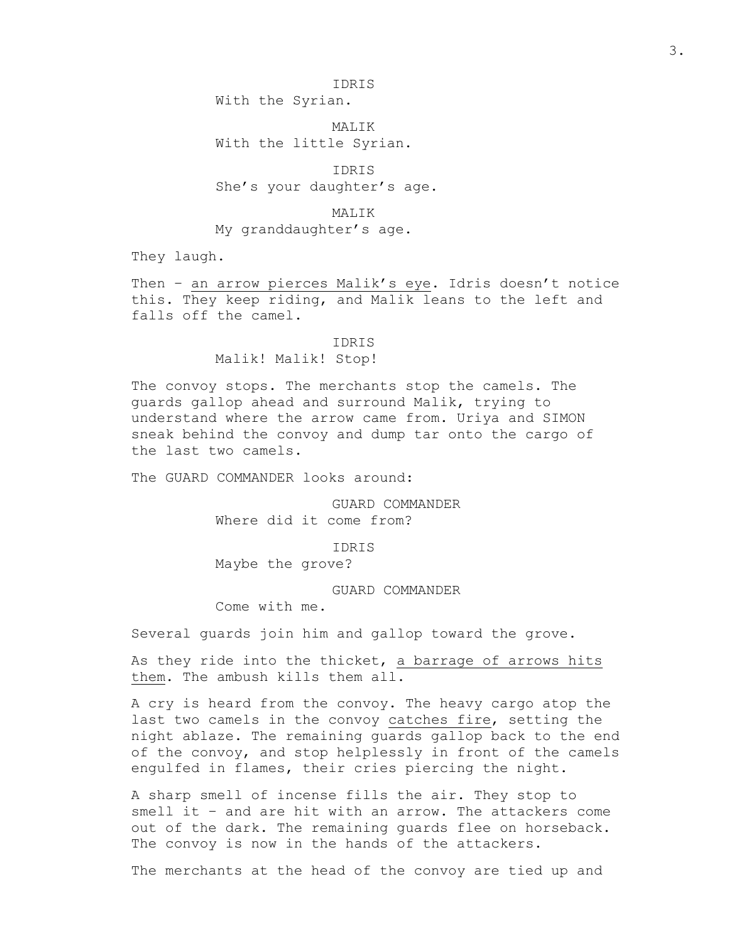With the Syrian.

MALTK With the little Syrian.

IDRIS She's your daughter's age.

MALIK My granddaughter's age.

They laugh.

Then – an arrow pierces Malik's eye. Idris doesn't notice this. They keep riding, and Malik leans to the left and falls off the camel.

#### IDRIS

Malik! Malik! Stop!

The convoy stops. The merchants stop the camels. The guards gallop ahead and surround Malik, trying to understand where the arrow came from. Uriya and SIMON sneak behind the convoy and dump tar onto the cargo of the last two camels.

The GUARD COMMANDER looks around:

GUARD COMMANDER Where did it come from?

IDRIS

Maybe the grove?

GUARD COMMANDER

Come with me.

Several guards join him and gallop toward the grove.

As they ride into the thicket, a barrage of arrows hits them. The ambush kills them all.

A cry is heard from the convoy. The heavy cargo atop the last two camels in the convoy catches fire, setting the night ablaze. The remaining guards gallop back to the end of the convoy, and stop helplessly in front of the camels engulfed in flames, their cries piercing the night.

A sharp smell of incense fills the air. They stop to smell it – and are hit with an arrow. The attackers come out of the dark. The remaining guards flee on horseback. The convoy is now in the hands of the attackers.

The merchants at the head of the convoy are tied up and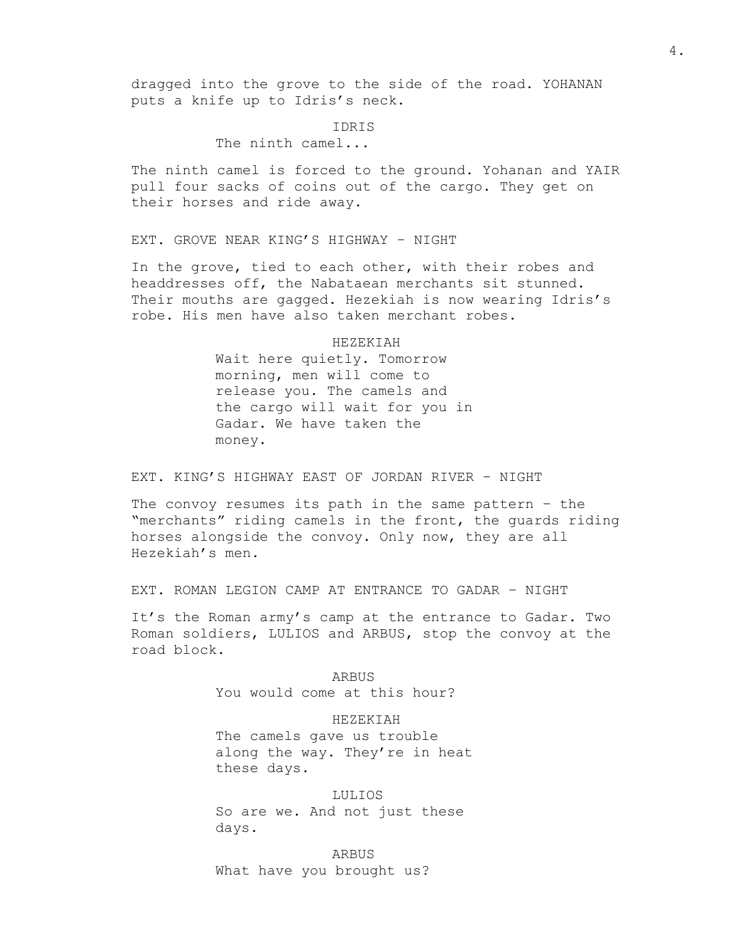dragged into the grove to the side of the road. YOHANAN puts a knife up to Idris's neck.

#### IDRIS

# The ninth camel...

The ninth camel is forced to the ground. Yohanan and YAIR pull four sacks of coins out of the cargo. They get on their horses and ride away.

EXT. GROVE NEAR KING'S HIGHWAY – NIGHT

In the grove, tied to each other, with their robes and headdresses off, the Nabataean merchants sit stunned. Their mouths are gagged. Hezekiah is now wearing Idris's robe. His men have also taken merchant robes.

> HEZEKIAH Wait here quietly. Tomorrow morning, men will come to release you. The camels and the cargo will wait for you in Gadar. We have taken the money.

## EXT. KING'S HIGHWAY EAST OF JORDAN RIVER – NIGHT

The convoy resumes its path in the same pattern – the "merchants" riding camels in the front, the guards riding horses alongside the convoy. Only now, they are all Hezekiah's men.

EXT. ROMAN LEGION CAMP AT ENTRANCE TO GADAR – NIGHT

It's the Roman army's camp at the entrance to Gadar. Two Roman soldiers, LULIOS and ARBUS, stop the convoy at the road block.

> ARBUS You would come at this hour?

HEZEKIAH The camels gave us trouble along the way. They're in heat these days.

LULIOS So are we. And not just these days.

ARBUS What have you brought us?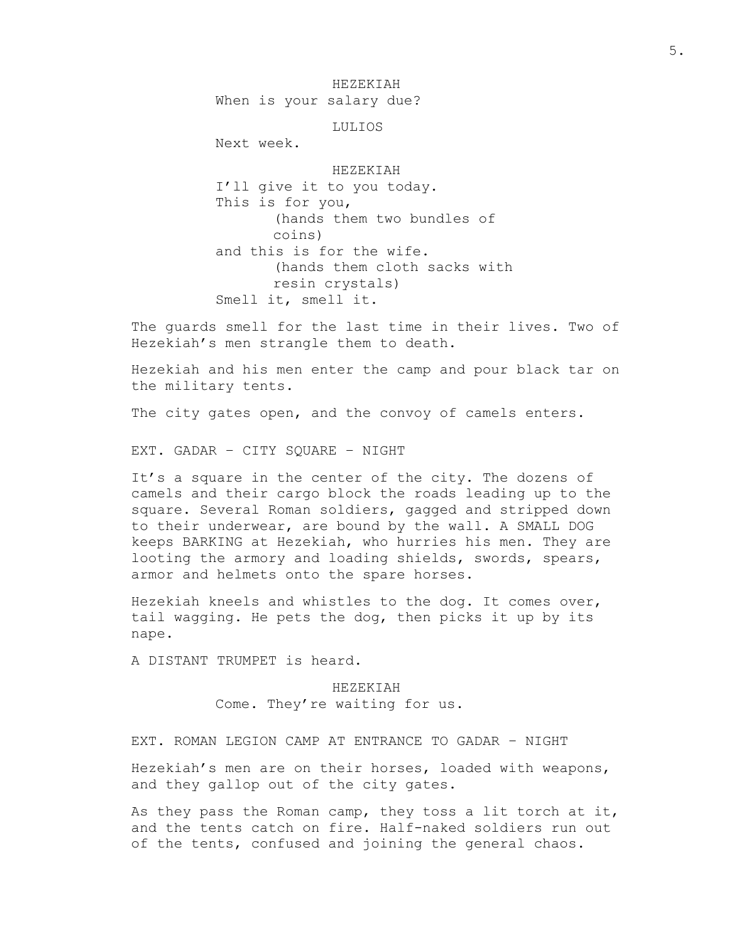HEZEKIAH When is your salary due? LULIOS Next week. HEZEKIAH I'll give it to you today. This is for you, (hands them two bundles of coins) and this is for the wife. (hands them cloth sacks with resin crystals) Smell it, smell it.

The guards smell for the last time in their lives. Two of Hezekiah's men strangle them to death.

Hezekiah and his men enter the camp and pour black tar on the military tents.

The city gates open, and the convoy of camels enters.

EXT. GADAR – CITY SQUARE – NIGHT

It's a square in the center of the city. The dozens of camels and their cargo block the roads leading up to the square. Several Roman soldiers, gagged and stripped down to their underwear, are bound by the wall. A SMALL DOG keeps BARKING at Hezekiah, who hurries his men. They are looting the armory and loading shields, swords, spears, armor and helmets onto the spare horses.

Hezekiah kneels and whistles to the dog. It comes over, tail wagging. He pets the dog, then picks it up by its nape.

A DISTANT TRUMPET is heard.

HEZEKIAH Come. They're waiting for us.

EXT. ROMAN LEGION CAMP AT ENTRANCE TO GADAR – NIGHT

Hezekiah's men are on their horses, loaded with weapons, and they gallop out of the city gates.

As they pass the Roman camp, they toss a lit torch at it, and the tents catch on fire. Half-naked soldiers run out of the tents, confused and joining the general chaos.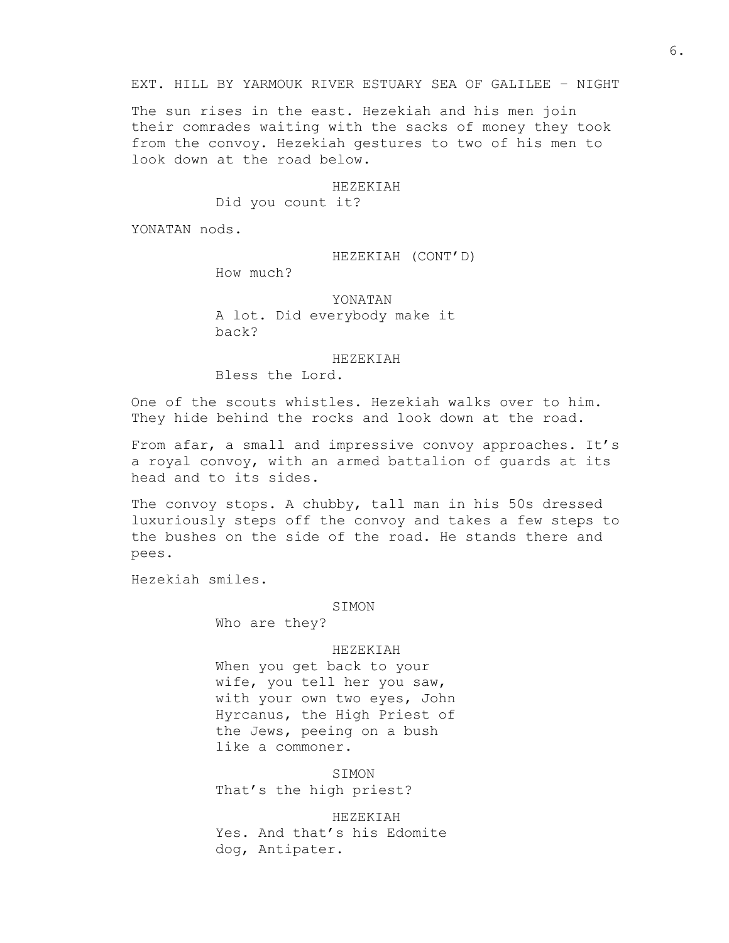## EXT. HILL BY YARMOUK RIVER ESTUARY SEA OF GALILEE – NIGHT

The sun rises in the east. Hezekiah and his men join their comrades waiting with the sacks of money they took from the convoy. Hezekiah gestures to two of his men to look down at the road below.

#### HEZEKIAH

Did you count it?

YONATAN nods.

## HEZEKIAH (CONT'D)

How much?

YONATAN A lot. Did everybody make it back?

#### HEZEKIAH

Bless the Lord.

One of the scouts whistles. Hezekiah walks over to him. They hide behind the rocks and look down at the road.

From afar, a small and impressive convoy approaches. It's a royal convoy, with an armed battalion of guards at its head and to its sides.

The convoy stops. A chubby, tall man in his 50s dressed luxuriously steps off the convoy and takes a few steps to the bushes on the side of the road. He stands there and pees.

Hezekiah smiles.

#### SIMON

Who are they?

## HEZEKIAH

When you get back to your wife, you tell her you saw, with your own two eyes, John Hyrcanus, the High Priest of the Jews, peeing on a bush like a commoner.

SIMON That's the high priest?

HEZEKIAH Yes. And that's his Edomite dog, Antipater.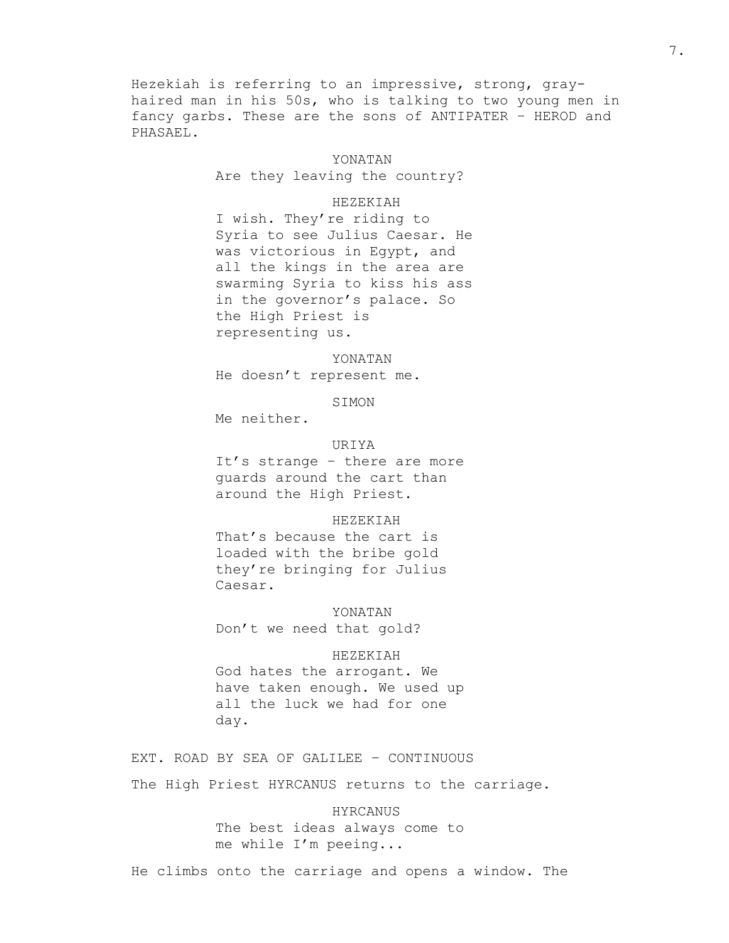Hezekiah is referring to an impressive, strong, grayhaired man in his 50s, who is talking to two young men in fancy garbs. These are the sons of ANTIPATER – HEROD and PHASAEL.

#### YONATAN

Are they leaving the country?

## HEZEKIAH

I wish. They're riding to Syria to see Julius Caesar. He was victorious in Egypt, and all the kings in the area are swarming Syria to kiss his ass in the governor's palace. So the High Priest is representing us.

## YONATAN

He doesn't represent me.

SIMON

Me neither.

## URIYA

It's strange – there are more guards around the cart than around the High Priest.

## HEZEKIAH

That's because the cart is loaded with the bribe gold they're bringing for Julius Caesar.

#### YONATAN

Don't we need that gold?

## HEZEKIAH

God hates the arrogant. We have taken enough. We used up all the luck we had for one day.

EXT. ROAD BY SEA OF GALILEE – CONTINUOUS

The High Priest HYRCANUS returns to the carriage.

# HYRCANUS The best ideas always come to me while I'm peeing...

He climbs onto the carriage and opens a window. The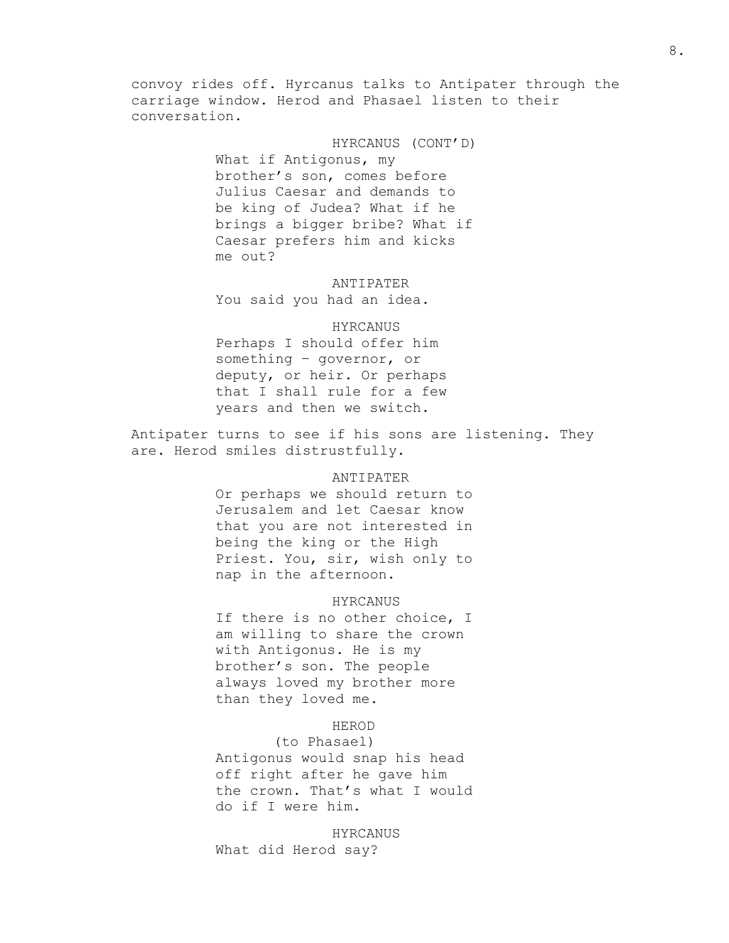convoy rides off. Hyrcanus talks to Antipater through the carriage window. Herod and Phasael listen to their conversation.

> HYRCANUS (CONT'D) What if Antigonus, my brother's son, comes before Julius Caesar and demands to be king of Judea? What if he brings a bigger bribe? What if Caesar prefers him and kicks me out?

ANTIPATER You said you had an idea.

# HYRCANUS

Perhaps I should offer him something – governor, or deputy, or heir. Or perhaps that I shall rule for a few years and then we switch.

Antipater turns to see if his sons are listening. They are. Herod smiles distrustfully.

# ANTIPATER

Or perhaps we should return to Jerusalem and let Caesar know that you are not interested in being the king or the High Priest. You, sir, wish only to nap in the afternoon.

## HYRCANUS

If there is no other choice, I am willing to share the crown with Antigonus. He is my brother's son. The people always loved my brother more than they loved me.

## HEROD

## (to Phasael)

Antigonus would snap his head off right after he gave him the crown. That's what I would do if I were him.

HYRCANUS What did Herod say?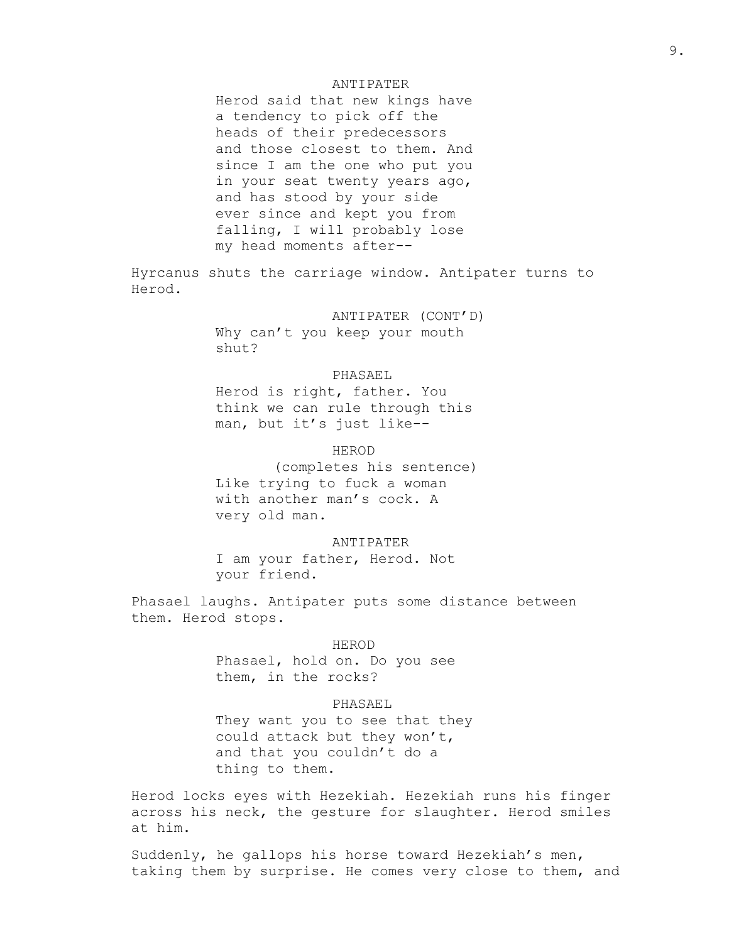## ANTIPATER

Herod said that new kings have a tendency to pick off the heads of their predecessors and those closest to them. And since I am the one who put you in your seat twenty years ago, and has stood by your side ever since and kept you from falling, I will probably lose my head moments after--

Hyrcanus shuts the carriage window. Antipater turns to Herod.

> ANTIPATER (CONT'D) Why can't you keep your mouth shut?

## PHASAEL

Herod is right, father. You think we can rule through this man, but it's just like--

## HEROD

(completes his sentence) Like trying to fuck a woman with another man's cock. A very old man.

#### ANTIPATER

I am your father, Herod. Not your friend.

Phasael laughs. Antipater puts some distance between them. Herod stops.

#### HEROD

Phasael, hold on. Do you see them, in the rocks?

#### PHASAEL

They want you to see that they could attack but they won't, and that you couldn't do a thing to them.

Herod locks eyes with Hezekiah. Hezekiah runs his finger across his neck, the gesture for slaughter. Herod smiles at him.

Suddenly, he gallops his horse toward Hezekiah's men, taking them by surprise. He comes very close to them, and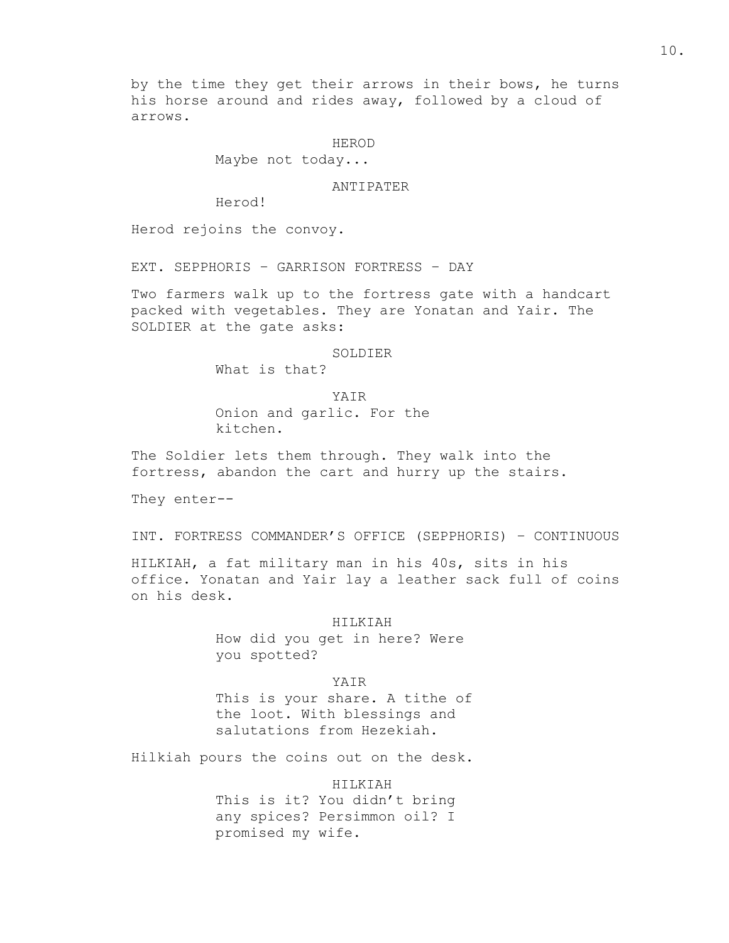by the time they get their arrows in their bows, he turns his horse around and rides away, followed by a cloud of arrows.

HEROD

Maybe not today...

ANTIPATER

Herod!

Herod rejoins the convoy.

EXT. SEPPHORIS – GARRISON FORTRESS – DAY

Two farmers walk up to the fortress gate with a handcart packed with vegetables. They are Yonatan and Yair. The SOLDIER at the gate asks:

SOLDIER

What is that?

YAIR Onion and garlic. For the kitchen.

The Soldier lets them through. They walk into the fortress, abandon the cart and hurry up the stairs.

They enter--

INT. FORTRESS COMMANDER'S OFFICE (SEPPHORIS) – CONTINUOUS

HILKIAH, a fat military man in his 40s, sits in his office. Yonatan and Yair lay a leather sack full of coins on his desk.

> HILKIAH How did you get in here? Were you spotted?

> > YAIR

This is your share. A tithe of the loot. With blessings and salutations from Hezekiah.

Hilkiah pours the coins out on the desk.

HILKIAH This is it? You didn't bring any spices? Persimmon oil? I promised my wife.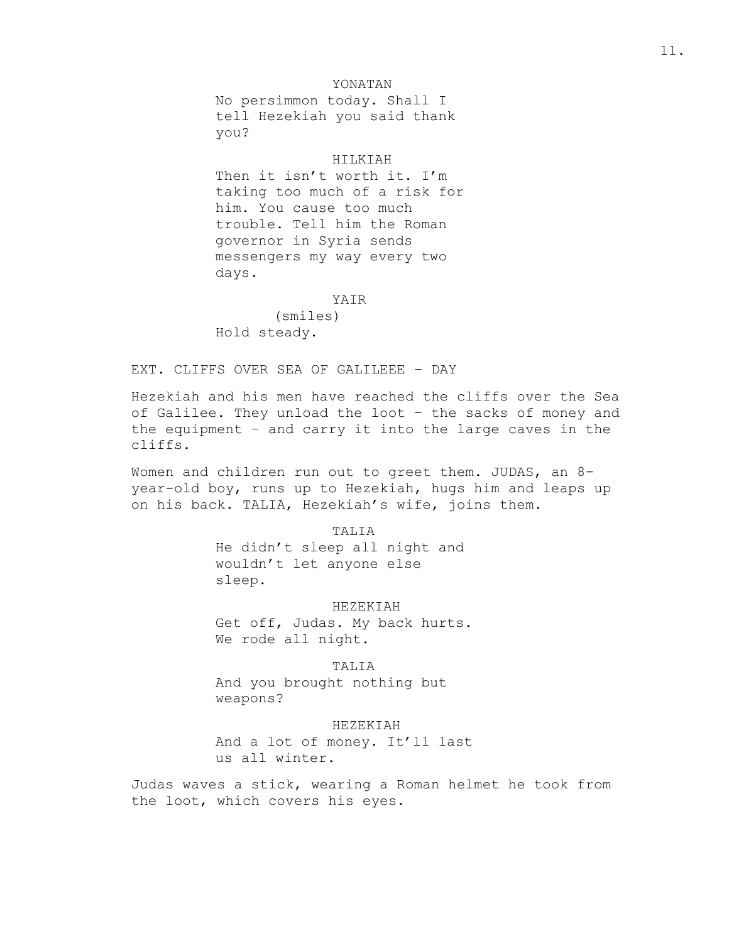## YONATAN

No persimmon today. Shall I tell Hezekiah you said thank you?

## HILKIAH

Then it isn't worth it. I'm taking too much of a risk for him. You cause too much trouble. Tell him the Roman governor in Syria sends messengers my way every two days.

# YAIR

(smiles) Hold steady.

# EXT. CLIFFS OVER SEA OF GALILEEE – DAY

Hezekiah and his men have reached the cliffs over the Sea of Galilee. They unload the loot – the sacks of money and the equipment – and carry it into the large caves in the cliffs.

Women and children run out to greet them. JUDAS, an 8year-old boy, runs up to Hezekiah, hugs him and leaps up on his back. TALIA, Hezekiah's wife, joins them.

> TALIA He didn't sleep all night and wouldn't let anyone else sleep.

#### HEZEKIAH

Get off, Judas. My back hurts. We rode all night.

TALIA And you brought nothing but weapons?

## HEZEKIAH

And a lot of money. It'll last us all winter.

Judas waves a stick, wearing a Roman helmet he took from the loot, which covers his eyes.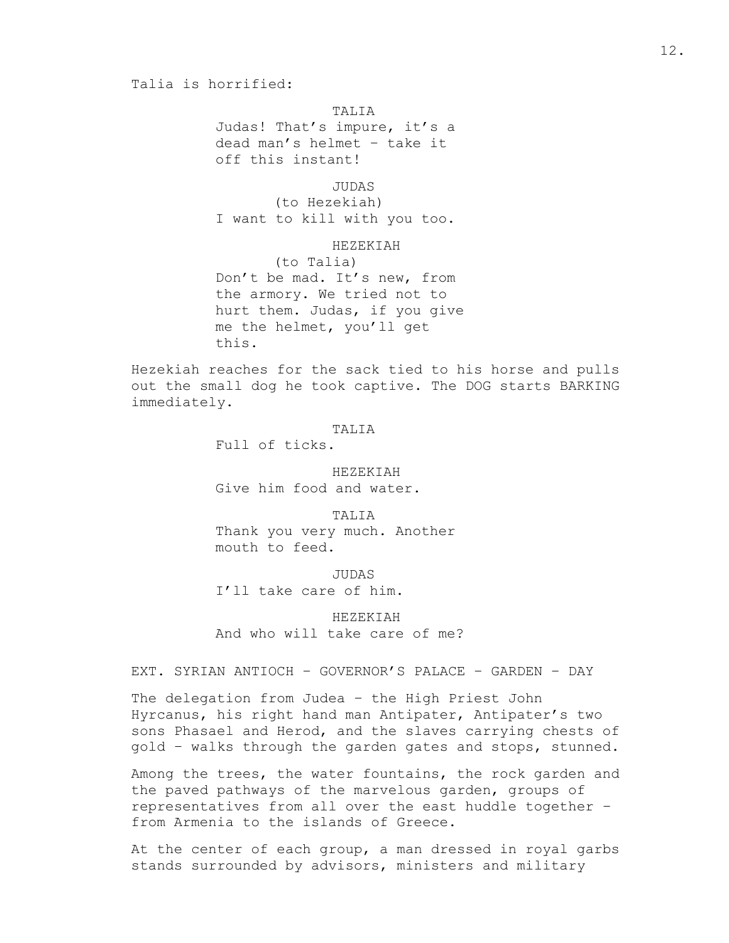## Talia is horrified:

TALIA

Judas! That's impure, it's a dead man's helmet – take it off this instant!

JUDAS

(to Hezekiah) I want to kill with you too.

HEZEKIAH

(to Talia) Don't be mad. It's new, from the armory. We tried not to hurt them. Judas, if you give me the helmet, you'll get this.

Hezekiah reaches for the sack tied to his horse and pulls out the small dog he took captive. The DOG starts BARKING immediately.

TALIA

Full of ticks.

HEZEKIAH Give him food and water.

TALIA Thank you very much. Another mouth to feed.

JUDAS I'll take care of him.

HEZEKIAH And who will take care of me?

EXT. SYRIAN ANTIOCH – GOVERNOR'S PALACE – GARDEN – DAY

The delegation from Judea – the High Priest John Hyrcanus, his right hand man Antipater, Antipater's two sons Phasael and Herod, and the slaves carrying chests of gold – walks through the garden gates and stops, stunned.

Among the trees, the water fountains, the rock garden and the paved pathways of the marvelous garden, groups of representatives from all over the east huddle together – from Armenia to the islands of Greece.

At the center of each group, a man dressed in royal garbs stands surrounded by advisors, ministers and military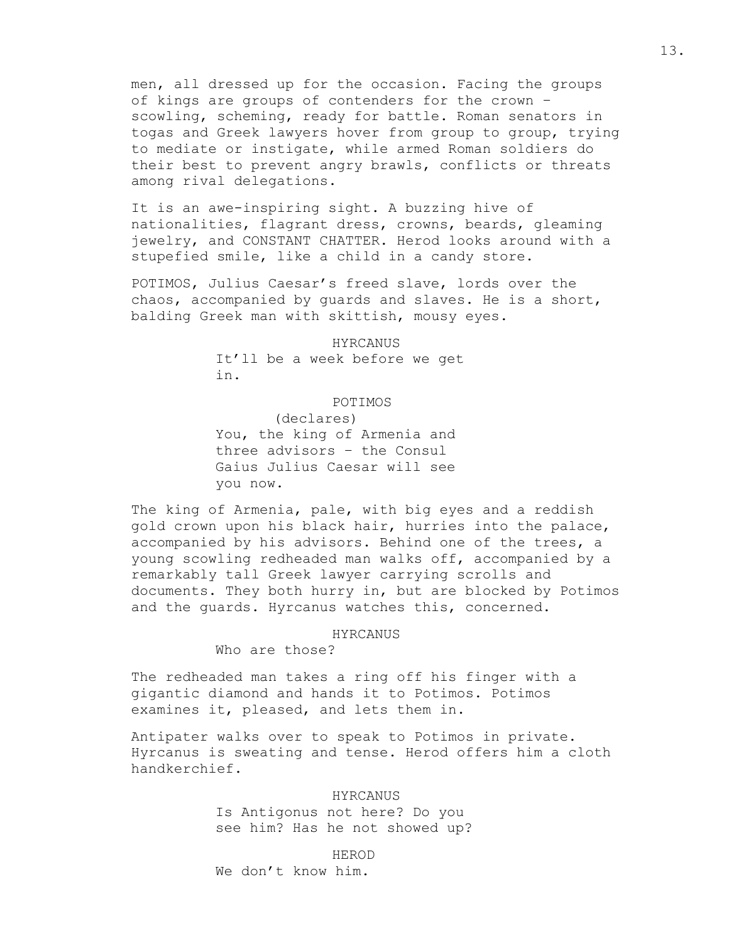men, all dressed up for the occasion. Facing the groups of kings are groups of contenders for the crown – scowling, scheming, ready for battle. Roman senators in togas and Greek lawyers hover from group to group, trying to mediate or instigate, while armed Roman soldiers do their best to prevent angry brawls, conflicts or threats among rival delegations.

It is an awe-inspiring sight. A buzzing hive of nationalities, flagrant dress, crowns, beards, gleaming jewelry, and CONSTANT CHATTER. Herod looks around with a stupefied smile, like a child in a candy store.

POTIMOS, Julius Caesar's freed slave, lords over the chaos, accompanied by guards and slaves. He is a short, balding Greek man with skittish, mousy eyes.

HYRCANUS

It'll be a week before we get in.

POTIMOS

(declares) You, the king of Armenia and three advisors – the Consul Gaius Julius Caesar will see you now.

The king of Armenia, pale, with big eyes and a reddish gold crown upon his black hair, hurries into the palace, accompanied by his advisors. Behind one of the trees, a young scowling redheaded man walks off, accompanied by a remarkably tall Greek lawyer carrying scrolls and documents. They both hurry in, but are blocked by Potimos and the guards. Hyrcanus watches this, concerned.

#### HYRCANUS

Who are those?

The redheaded man takes a ring off his finger with a gigantic diamond and hands it to Potimos. Potimos examines it, pleased, and lets them in.

Antipater walks over to speak to Potimos in private. Hyrcanus is sweating and tense. Herod offers him a cloth handkerchief.

> HYRCANUS Is Antigonus not here? Do you see him? Has he not showed up?

> > HEROD

We don't know him.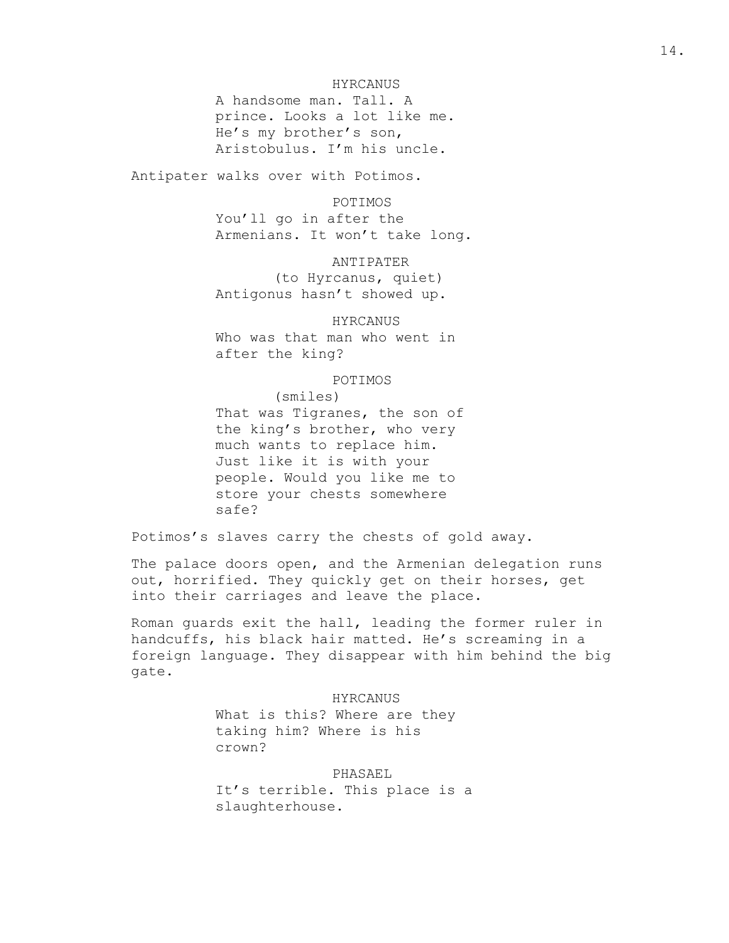## HYRCANUS

A handsome man. Tall. A prince. Looks a lot like me. He's my brother's son, Aristobulus. I'm his uncle.

Antipater walks over with Potimos.

## POTIMOS

You'll go in after the Armenians. It won't take long.

ANTIPATER (to Hyrcanus, quiet) Antigonus hasn't showed up.

# HYRCANUS

Who was that man who went in after the king?

POTIMOS

(smiles) That was Tigranes, the son of the king's brother, who very much wants to replace him. Just like it is with your people. Would you like me to store your chests somewhere safe?

Potimos's slaves carry the chests of gold away.

The palace doors open, and the Armenian delegation runs out, horrified. They quickly get on their horses, get into their carriages and leave the place.

Roman guards exit the hall, leading the former ruler in handcuffs, his black hair matted. He's screaming in a foreign language. They disappear with him behind the big gate.

#### HYRCANUS

What is this? Where are they taking him? Where is his crown?

PHASAEL

It's terrible. This place is a slaughterhouse.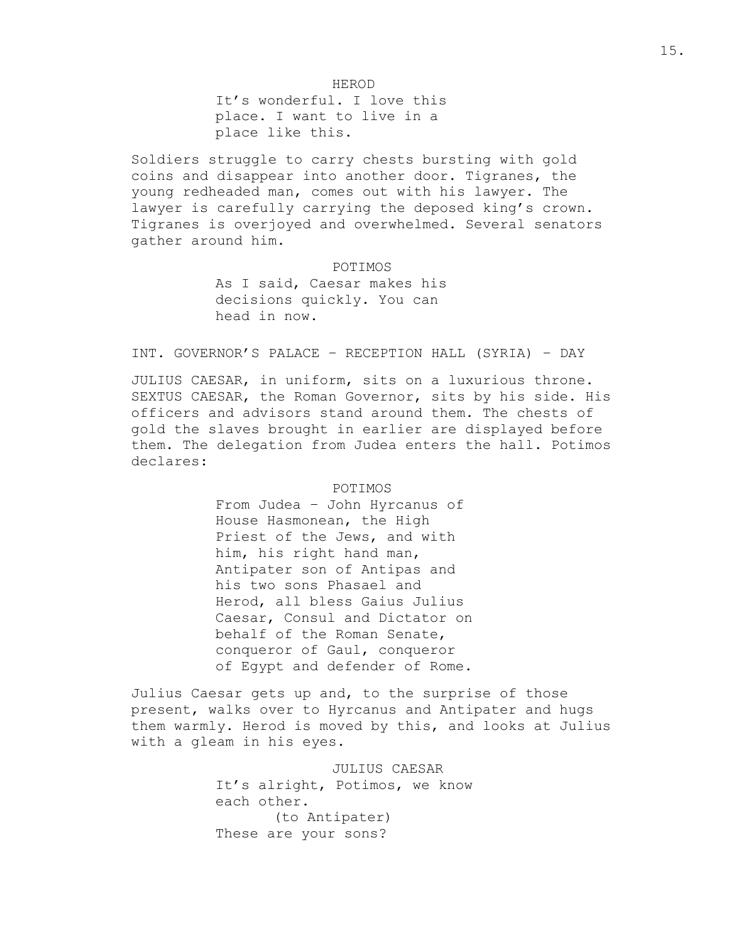HEROD It's wonderful. I love this place. I want to live in a place like this.

Soldiers struggle to carry chests bursting with gold coins and disappear into another door. Tigranes, the young redheaded man, comes out with his lawyer. The lawyer is carefully carrying the deposed king's crown. Tigranes is overjoyed and overwhelmed. Several senators gather around him.

POTIMOS

As I said, Caesar makes his decisions quickly. You can head in now.

# INT. GOVERNOR'S PALACE – RECEPTION HALL (SYRIA) – DAY

JULIUS CAESAR, in uniform, sits on a luxurious throne. SEXTUS CAESAR, the Roman Governor, sits by his side. His officers and advisors stand around them. The chests of gold the slaves brought in earlier are displayed before them. The delegation from Judea enters the hall. Potimos declares:

#### POTIMOS

From Judea – John Hyrcanus of House Hasmonean, the High Priest of the Jews, and with him, his right hand man, Antipater son of Antipas and his two sons Phasael and Herod, all bless Gaius Julius Caesar, Consul and Dictator on behalf of the Roman Senate, conqueror of Gaul, conqueror of Egypt and defender of Rome.

Julius Caesar gets up and, to the surprise of those present, walks over to Hyrcanus and Antipater and hugs them warmly. Herod is moved by this, and looks at Julius with a gleam in his eyes.

## JULIUS CAESAR

It's alright, Potimos, we know each other. (to Antipater) These are your sons?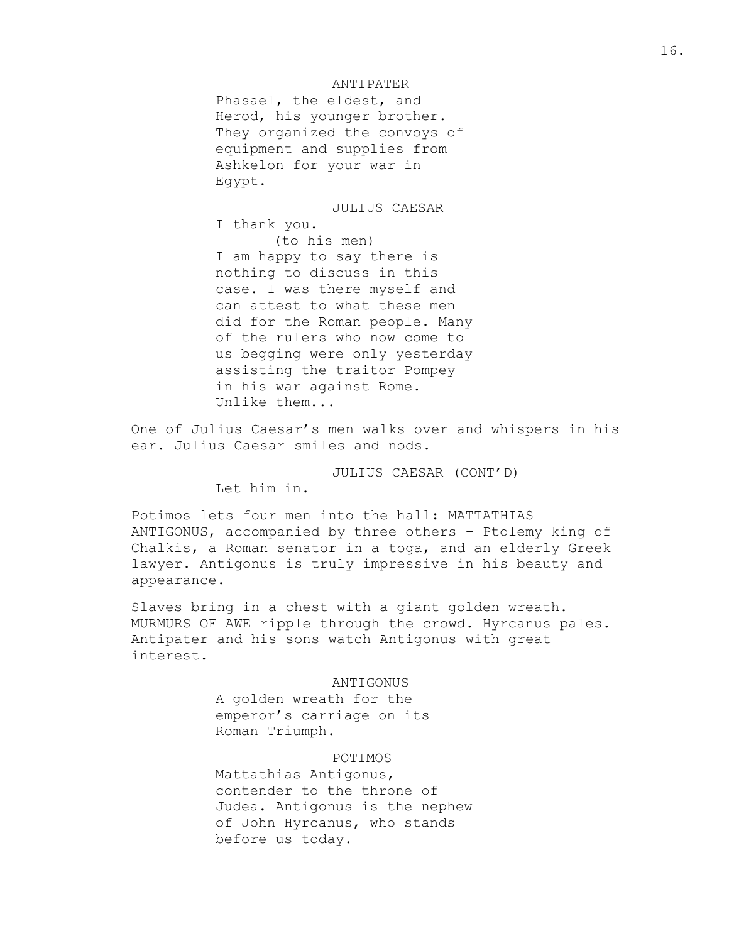## ANTIPATER

Phasael, the eldest, and Herod, his younger brother. They organized the convoys of equipment and supplies from Ashkelon for your war in Egypt.

JULIUS CAESAR I thank you. (to his men) I am happy to say there is nothing to discuss in this case. I was there myself and can attest to what these men did for the Roman people. Many of the rulers who now come to us begging were only yesterday assisting the traitor Pompey in his war against Rome. Unlike them...

One of Julius Caesar's men walks over and whispers in his ear. Julius Caesar smiles and nods.

JULIUS CAESAR (CONT'D)

Let him in.

Potimos lets four men into the hall: MATTATHIAS ANTIGONUS, accompanied by three others – Ptolemy king of Chalkis, a Roman senator in a toga, and an elderly Greek lawyer. Antigonus is truly impressive in his beauty and appearance.

Slaves bring in a chest with a giant golden wreath. MURMURS OF AWE ripple through the crowd. Hyrcanus pales. Antipater and his sons watch Antigonus with great interest.

## ANTIGONUS

A golden wreath for the emperor's carriage on its Roman Triumph.

## POTIMOS

Mattathias Antigonus, contender to the throne of Judea. Antigonus is the nephew of John Hyrcanus, who stands before us today.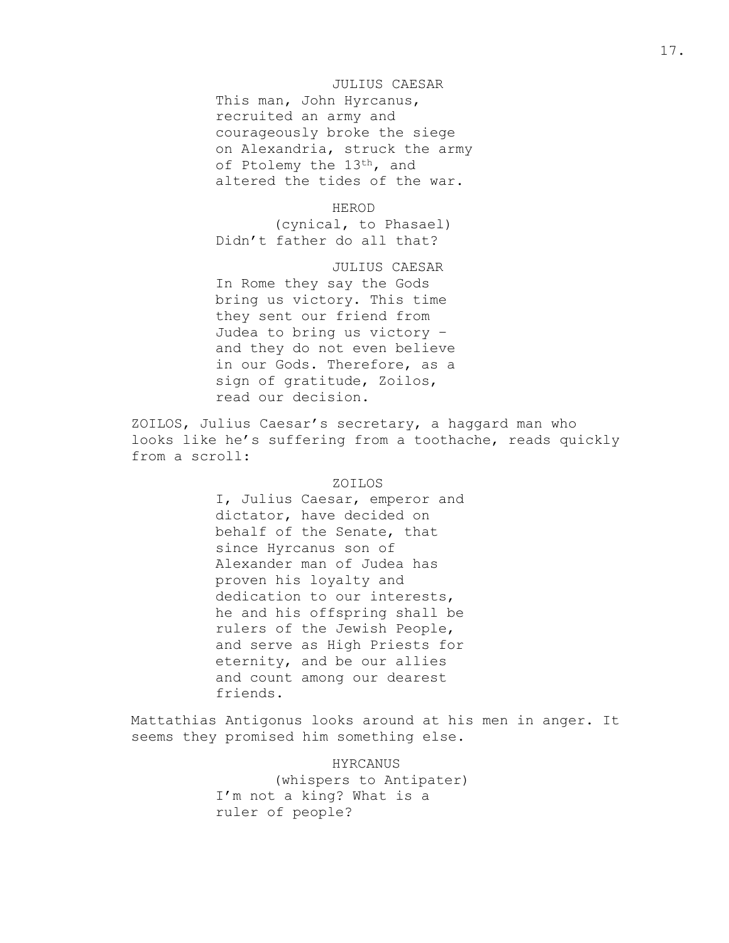## JULIUS CAESAR

This man, John Hyrcanus, recruited an army and courageously broke the siege on Alexandria, struck the army of Ptolemy the 13<sup>th</sup>, and altered the tides of the war.

HEROD

(cynical, to Phasael) Didn't father do all that?

JULIUS CAESAR

In Rome they say the Gods bring us victory. This time they sent our friend from Judea to bring us victory – and they do not even believe in our Gods. Therefore, as a sign of gratitude, Zoilos, read our decision.

ZOILOS, Julius Caesar's secretary, a haggard man who looks like he's suffering from a toothache, reads quickly from a scroll:

## ZOILOS

I, Julius Caesar, emperor and dictator, have decided on behalf of the Senate, that since Hyrcanus son of Alexander man of Judea has proven his loyalty and dedication to our interests, he and his offspring shall be rulers of the Jewish People, and serve as High Priests for eternity, and be our allies and count among our dearest friends.

Mattathias Antigonus looks around at his men in anger. It seems they promised him something else.

> HYRCANUS (whispers to Antipater) I'm not a king? What is a ruler of people?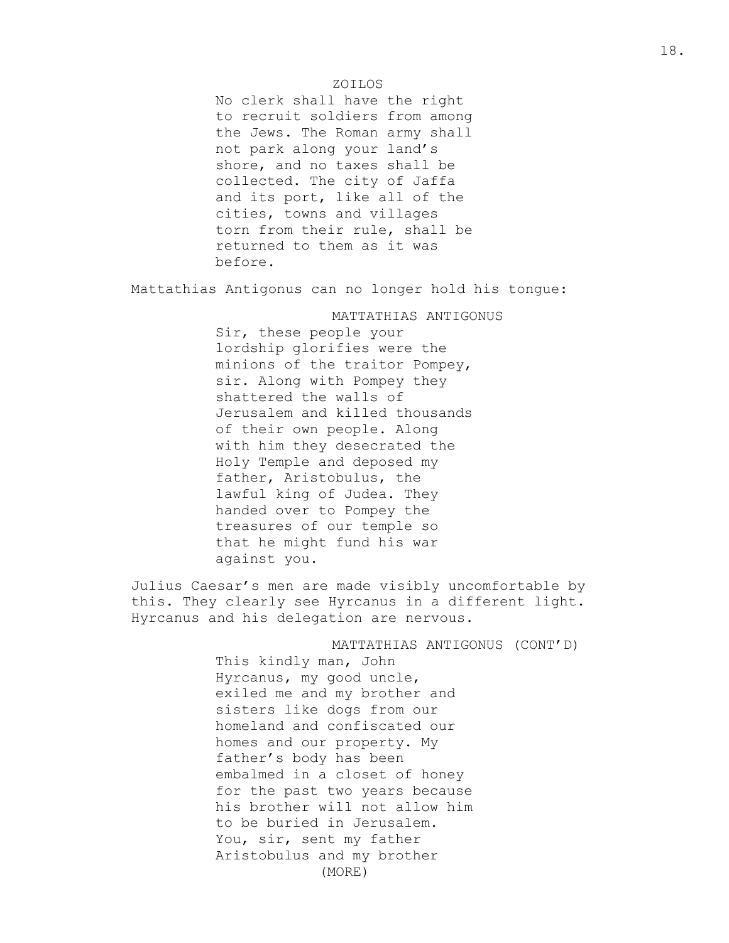## ZOILOS

No clerk shall have the right to recruit soldiers from among the Jews. The Roman army shall not park along your land's shore, and no taxes shall be collected. The city of Jaffa and its port, like all of the cities, towns and villages torn from their rule, shall be returned to them as it was before.

Mattathias Antigonus can no longer hold his tongue:

## MATTATHIAS ANTIGONUS

Sir, these people your lordship glorifies were the minions of the traitor Pompey, sir. Along with Pompey they shattered the walls of Jerusalem and killed thousands of their own people. Along with him they desecrated the Holy Temple and deposed my father, Aristobulus, the lawful king of Judea. They handed over to Pompey the treasures of our temple so that he might fund his war against you.

Julius Caesar's men are made visibly uncomfortable by this. They clearly see Hyrcanus in a different light. Hyrcanus and his delegation are nervous.

> MATTATHIAS ANTIGONUS (CONT'D) This kindly man, John Hyrcanus, my good uncle, exiled me and my brother and sisters like dogs from our homeland and confiscated our homes and our property. My father's body has been embalmed in a closet of honey for the past two years because his brother will not allow him to be buried in Jerusalem. You, sir, sent my father Aristobulus and my brother (MORE)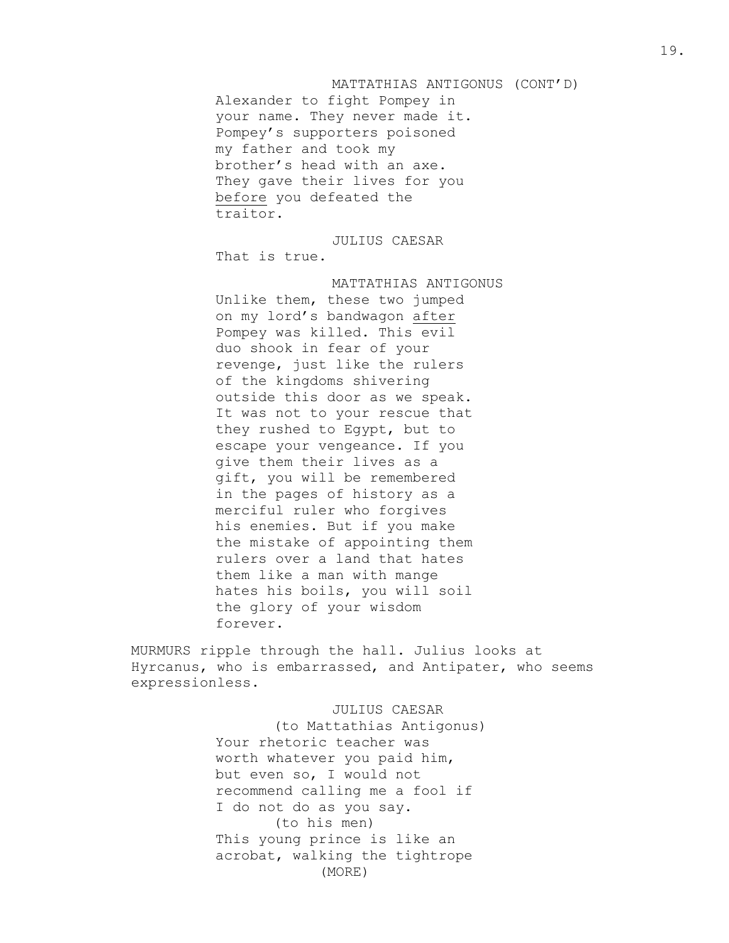## MATTATHIAS ANTIGONUS (CONT'D)

Alexander to fight Pompey in your name. They never made it. Pompey's supporters poisoned my father and took my brother's head with an axe. They gave their lives for you before you defeated the traitor.

JULIUS CAESAR That is true.

MATTATHIAS ANTIGONUS Unlike them, these two jumped on my lord's bandwagon after Pompey was killed. This evil duo shook in fear of your revenge, just like the rulers of the kingdoms shivering outside this door as we speak. It was not to your rescue that they rushed to Egypt, but to escape your vengeance. If you give them their lives as a gift, you will be remembered in the pages of history as a merciful ruler who forgives his enemies. But if you make the mistake of appointing them rulers over a land that hates them like a man with mange hates his boils, you will soil the glory of your wisdom forever.

MURMURS ripple through the hall. Julius looks at Hyrcanus, who is embarrassed, and Antipater, who seems expressionless.

## JULIUS CAESAR

(to Mattathias Antigonus) Your rhetoric teacher was worth whatever you paid him, but even so, I would not recommend calling me a fool if I do not do as you say. (to his men) This young prince is like an acrobat, walking the tightrope (MORE)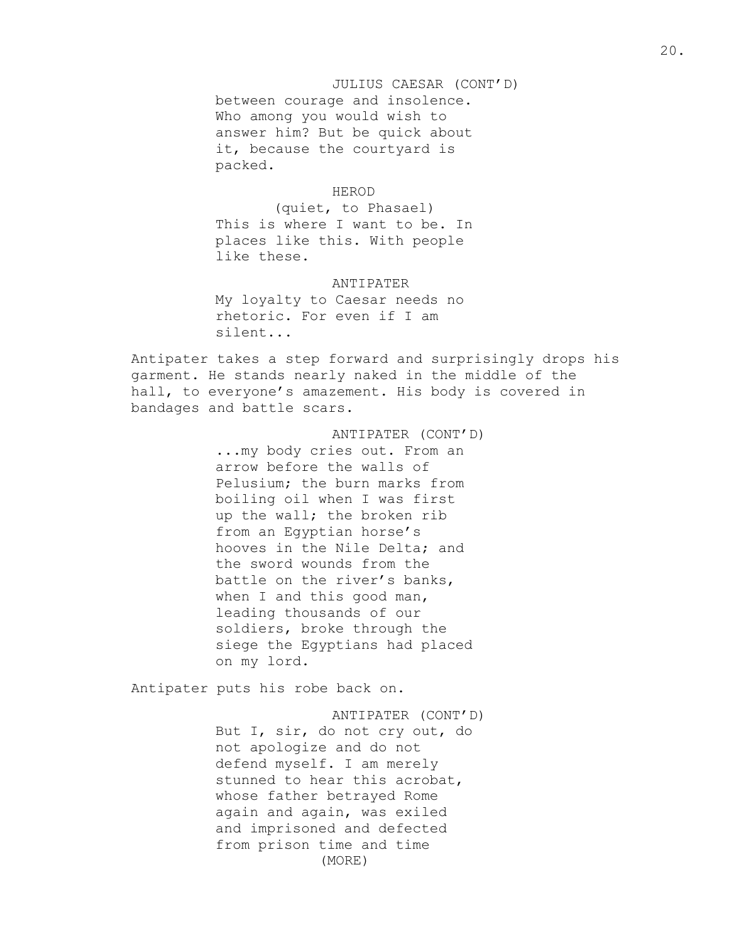JULIUS CAESAR (CONT'D) between courage and insolence. Who among you would wish to answer him? But be quick about it, because the courtyard is packed.

## HEROD

(quiet, to Phasael) This is where I want to be. In places like this. With people like these.

ANTIPATER My loyalty to Caesar needs no rhetoric. For even if I am

Antipater takes a step forward and surprisingly drops his garment. He stands nearly naked in the middle of the hall, to everyone's amazement. His body is covered in bandages and battle scars.

> ANTIPATER (CONT'D) ...my body cries out. From an arrow before the walls of Pelusium; the burn marks from boiling oil when I was first up the wall; the broken rib from an Egyptian horse's hooves in the Nile Delta; and the sword wounds from the battle on the river's banks, when I and this good man, leading thousands of our soldiers, broke through the siege the Egyptians had placed on my lord.

Antipater puts his robe back on.

silent...

ANTIPATER (CONT'D) But I, sir, do not cry out, do not apologize and do not defend myself. I am merely stunned to hear this acrobat, whose father betrayed Rome again and again, was exiled and imprisoned and defected from prison time and time (MORE)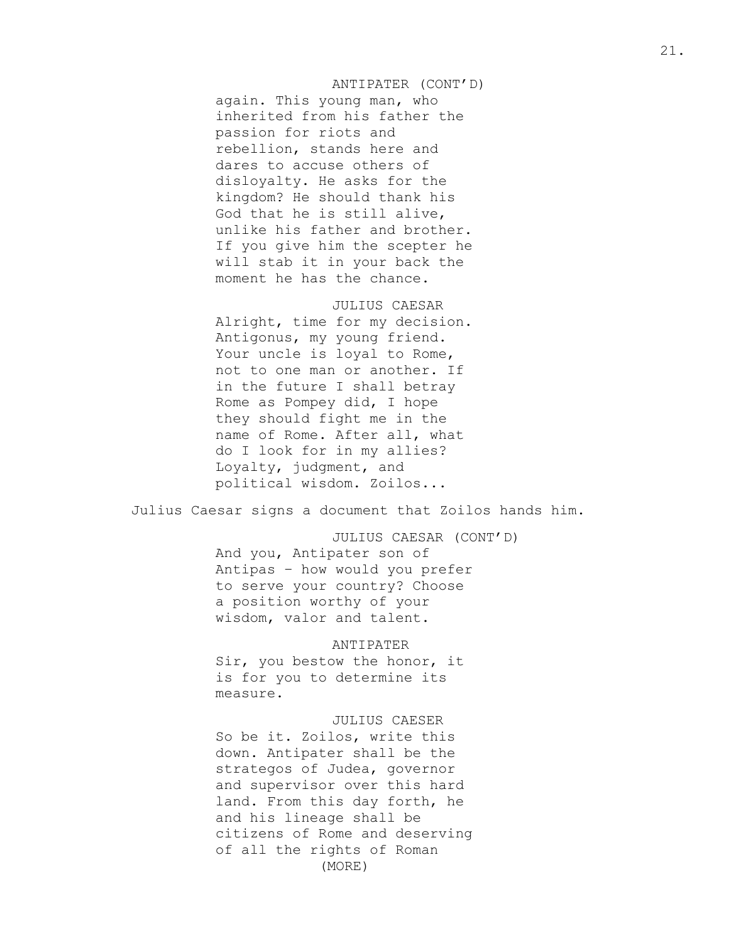# ANTIPATER (CONT'D)

again. This young man, who inherited from his father the passion for riots and rebellion, stands here and dares to accuse others of disloyalty. He asks for the kingdom? He should thank his God that he is still alive, unlike his father and brother. If you give him the scepter he will stab it in your back the moment he has the chance.

#### JULIUS CAESAR

Alright, time for my decision. Antigonus, my young friend. Your uncle is loyal to Rome, not to one man or another. If in the future I shall betray Rome as Pompey did, I hope they should fight me in the name of Rome. After all, what do I look for in my allies? Loyalty, judgment, and political wisdom. Zoilos...

Julius Caesar signs a document that Zoilos hands him.

JULIUS CAESAR (CONT'D)

And you, Antipater son of Antipas – how would you prefer to serve your country? Choose a position worthy of your wisdom, valor and talent.

#### ANTIPATER

Sir, you bestow the honor, it is for you to determine its measure.

## JULIUS CAESER

So be it. Zoilos, write this down. Antipater shall be the strategos of Judea, governor and supervisor over this hard land. From this day forth, he and his lineage shall be citizens of Rome and deserving of all the rights of Roman (MORE)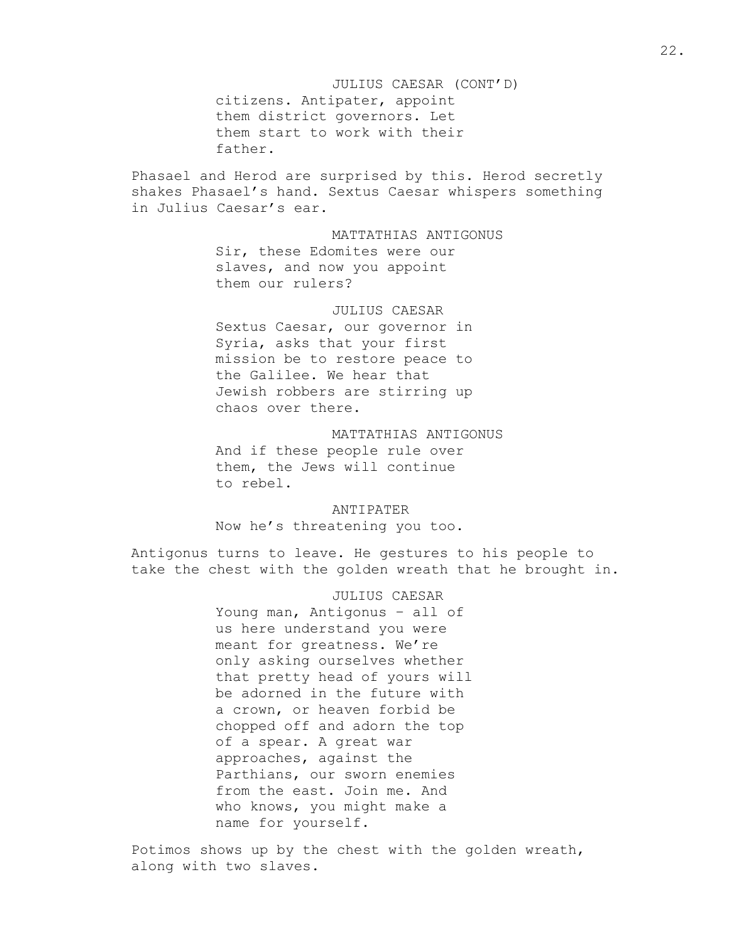JULIUS CAESAR (CONT'D) citizens. Antipater, appoint them district governors. Let them start to work with their father.

Phasael and Herod are surprised by this. Herod secretly shakes Phasael's hand. Sextus Caesar whispers something in Julius Caesar's ear.

## MATTATHIAS ANTIGONUS

Sir, these Edomites were our slaves, and now you appoint them our rulers?

## JULIUS CAESAR

Sextus Caesar, our governor in Syria, asks that your first mission be to restore peace to the Galilee. We hear that Jewish robbers are stirring up chaos over there.

# MATTATHIAS ANTIGONUS And if these people rule over them, the Jews will continue

to rebel.

# ANTIPATER

Now he's threatening you too.

Antigonus turns to leave. He gestures to his people to take the chest with the golden wreath that he brought in.

> JULIUS CAESAR Young man, Antigonus – all of us here understand you were meant for greatness. We're only asking ourselves whether that pretty head of yours will be adorned in the future with a crown, or heaven forbid be chopped off and adorn the top of a spear. A great war approaches, against the Parthians, our sworn enemies from the east. Join me. And who knows, you might make a name for yourself.

Potimos shows up by the chest with the golden wreath, along with two slaves.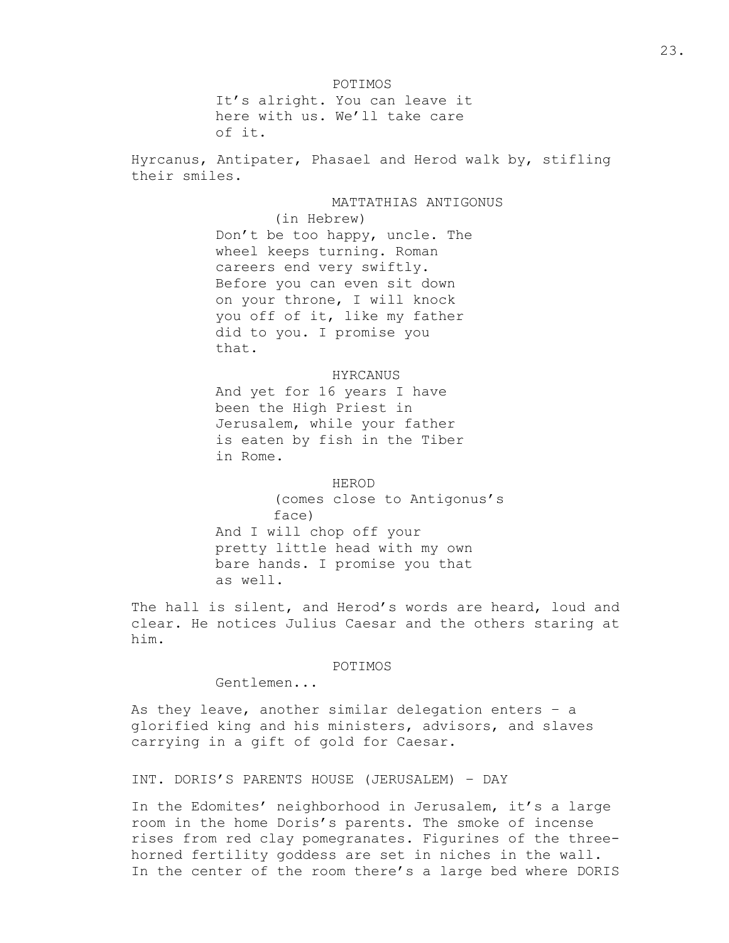POTIMOS It's alright. You can leave it here with us. We'll take care of it.

Hyrcanus, Antipater, Phasael and Herod walk by, stifling their smiles.

> MATTATHIAS ANTIGONUS (in Hebrew) Don't be too happy, uncle. The wheel keeps turning. Roman careers end very swiftly. Before you can even sit down on your throne, I will knock you off of it, like my father did to you. I promise you that.

## HYRCANUS

And yet for 16 years I have been the High Priest in Jerusalem, while your father is eaten by fish in the Tiber in Rome.

HEROD (comes close to Antigonus's face) And I will chop off your pretty little head with my own bare hands. I promise you that as well.

The hall is silent, and Herod's words are heard, loud and clear. He notices Julius Caesar and the others staring at him.

#### POTIMOS

Gentlemen...

As they leave, another similar delegation enters – a glorified king and his ministers, advisors, and slaves carrying in a gift of gold for Caesar.

INT. DORIS'S PARENTS HOUSE (JERUSALEM) – DAY

In the Edomites' neighborhood in Jerusalem, it's a large room in the home Doris's parents. The smoke of incense rises from red clay pomegranates. Figurines of the threehorned fertility goddess are set in niches in the wall. In the center of the room there's a large bed where DORIS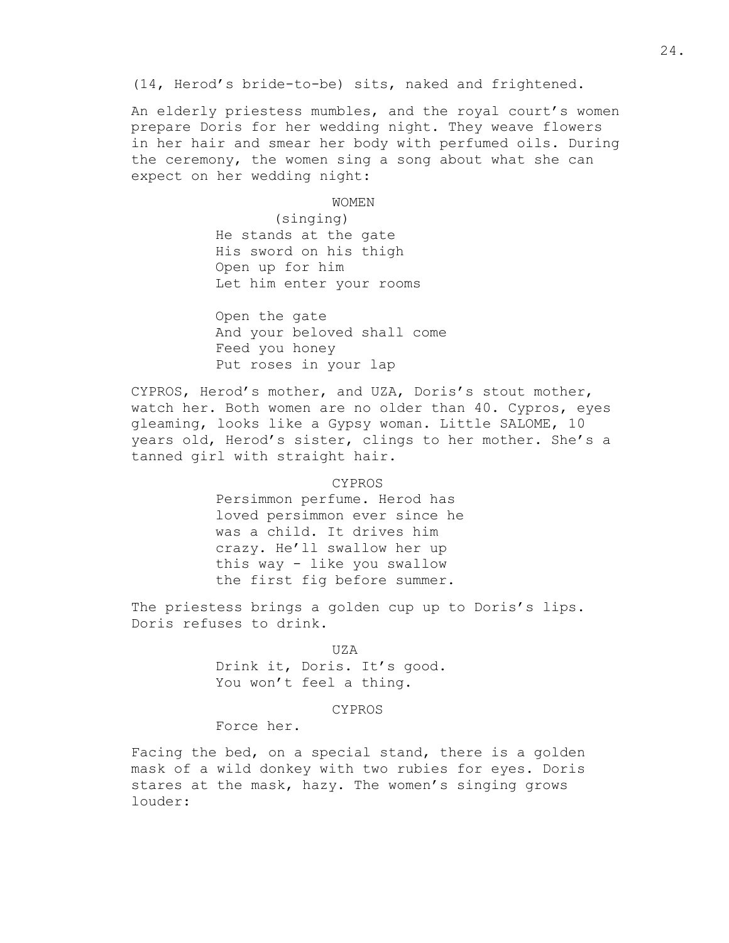(14, Herod's bride-to-be) sits, naked and frightened.

An elderly priestess mumbles, and the royal court's women prepare Doris for her wedding night. They weave flowers in her hair and smear her body with perfumed oils. During the ceremony, the women sing a song about what she can expect on her wedding night:

WOMEN

(singing) He stands at the gate His sword on his thigh Open up for him Let him enter your rooms

Open the gate And your beloved shall come Feed you honey Put roses in your lap

CYPROS, Herod's mother, and UZA, Doris's stout mother, watch her. Both women are no older than 40. Cypros, eyes gleaming, looks like a Gypsy woman. Little SALOME, 10 years old, Herod's sister, clings to her mother. She's a tanned girl with straight hair.

> CYPROS Persimmon perfume. Herod has loved persimmon ever since he was a child. It drives him crazy. He'll swallow her up this way - like you swallow the first fig before summer.

The priestess brings a golden cup up to Doris's lips. Doris refuses to drink.

> UZA Drink it, Doris. It's good. You won't feel a thing.

#### CYPROS

Force her.

Facing the bed, on a special stand, there is a golden mask of a wild donkey with two rubies for eyes. Doris stares at the mask, hazy. The women's singing grows louder: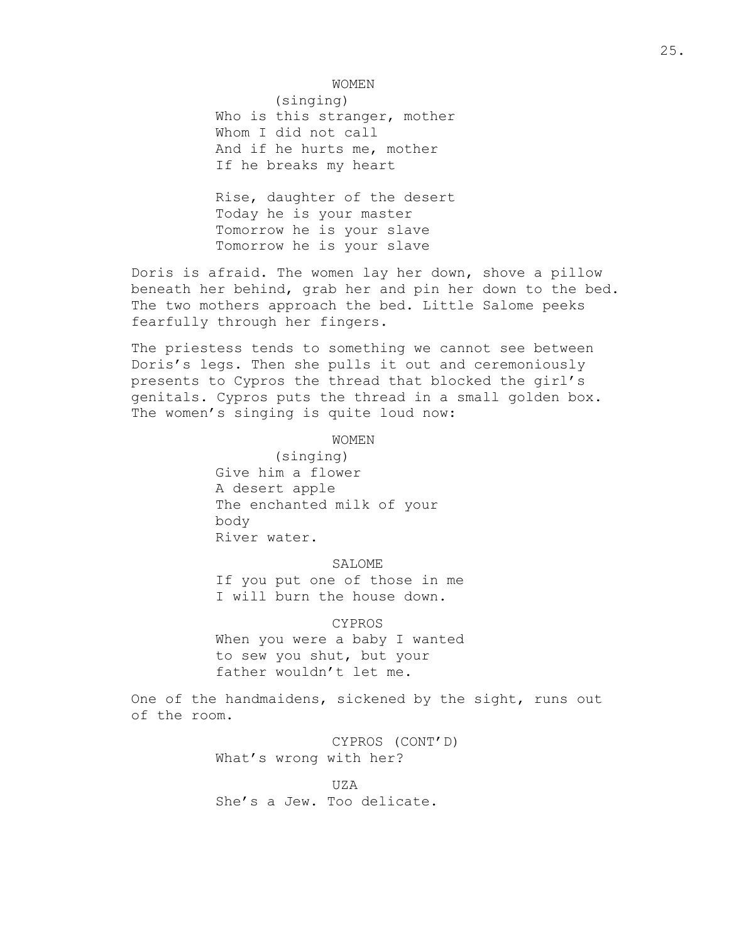#### WOMEN

(singing) Who is this stranger, mother Whom I did not call And if he hurts me, mother If he breaks my heart

Rise, daughter of the desert Today he is your master Tomorrow he is your slave Tomorrow he is your slave

Doris is afraid. The women lay her down, shove a pillow beneath her behind, grab her and pin her down to the bed. The two mothers approach the bed. Little Salome peeks fearfully through her fingers.

The priestess tends to something we cannot see between Doris's legs. Then she pulls it out and ceremoniously presents to Cypros the thread that blocked the girl's genitals. Cypros puts the thread in a small golden box. The women's singing is quite loud now:

## WOMEN

(singing) Give him a flower A desert apple The enchanted milk of your body River water.

## SALOME

If you put one of those in me I will burn the house down.

CYPROS When you were a baby I wanted to sew you shut, but your father wouldn't let me.

One of the handmaidens, sickened by the sight, runs out of the room.

> CYPROS (CONT'D) What's wrong with her?

UZA She's a Jew. Too delicate.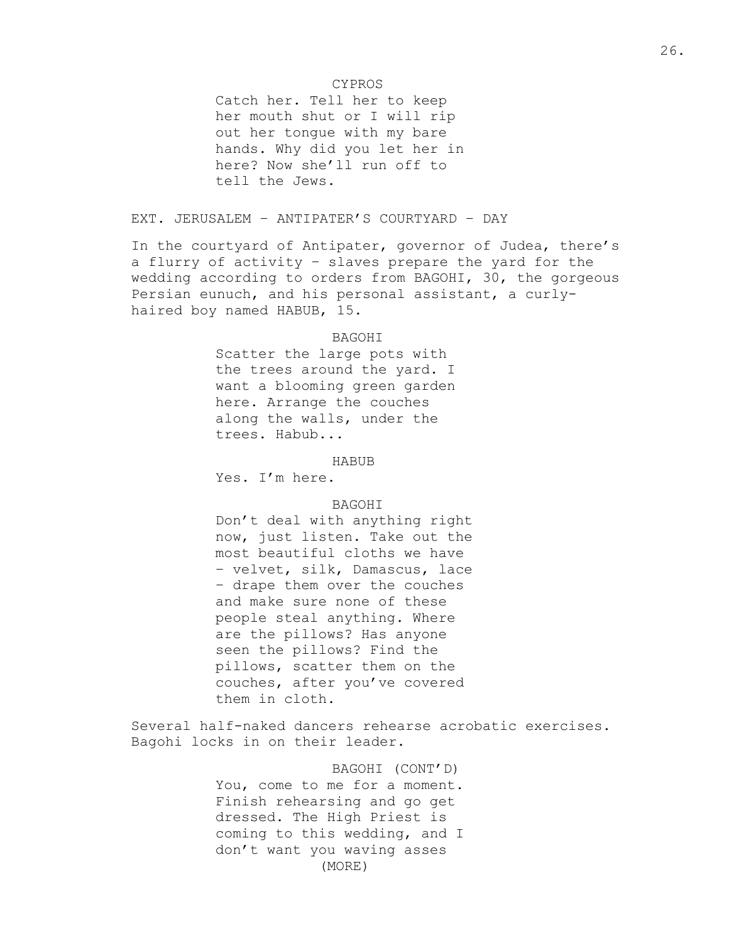## CYPROS

Catch her. Tell her to keep her mouth shut or I will rip out her tongue with my bare hands. Why did you let her in here? Now she'll run off to tell the Jews.

# EXT. JERUSALEM – ANTIPATER'S COURTYARD – DAY

In the courtyard of Antipater, governor of Judea, there's a flurry of activity – slaves prepare the yard for the wedding according to orders from BAGOHI, 30, the gorgeous Persian eunuch, and his personal assistant, a curlyhaired boy named HABUB, 15.

## **BAGOHT**

Scatter the large pots with the trees around the yard. I want a blooming green garden here. Arrange the couches along the walls, under the trees. Habub...

HABUB

Yes. I'm here.

BAGOHI

Don't deal with anything right now, just listen. Take out the most beautiful cloths we have – velvet, silk, Damascus, lace – drape them over the couches and make sure none of these people steal anything. Where are the pillows? Has anyone seen the pillows? Find the pillows, scatter them on the couches, after you've covered them in cloth.

Several half-naked dancers rehearse acrobatic exercises. Bagohi locks in on their leader.

> BAGOHI (CONT'D) You, come to me for a moment. Finish rehearsing and go get dressed. The High Priest is coming to this wedding, and I don't want you waving asses (MORE)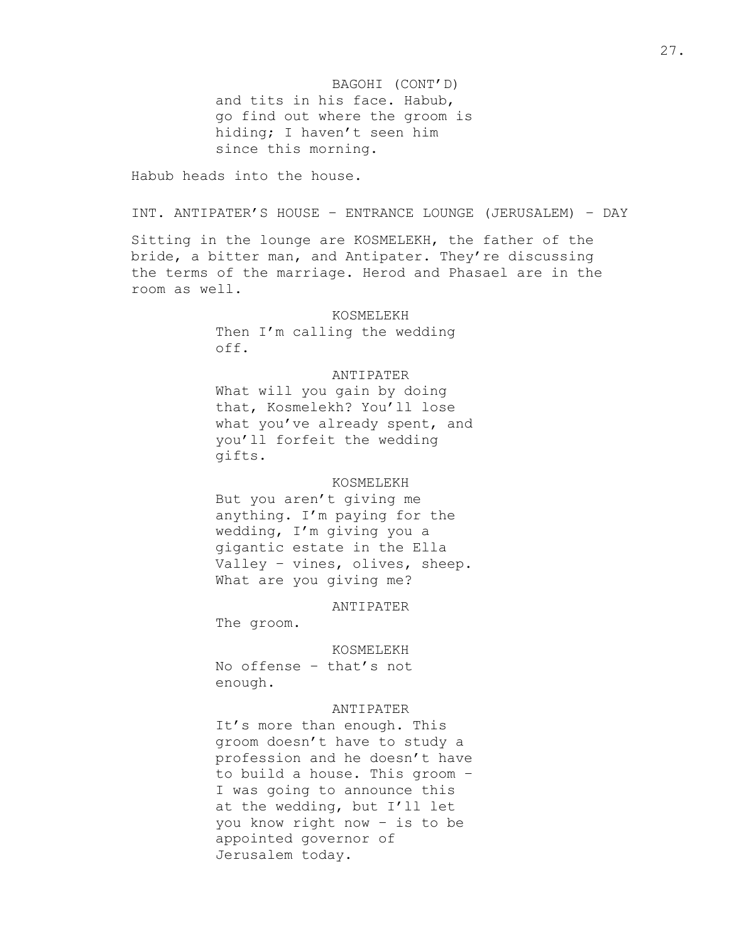BAGOHI (CONT'D) and tits in his face. Habub, go find out where the groom is hiding; I haven't seen him since this morning.

Habub heads into the house.

INT. ANTIPATER'S HOUSE – ENTRANCE LOUNGE (JERUSALEM) – DAY

Sitting in the lounge are KOSMELEKH, the father of the bride, a bitter man, and Antipater. They're discussing the terms of the marriage. Herod and Phasael are in the room as well.

> KOSMELEKH Then I'm calling the wedding off.

## ANTIPATER

What will you gain by doing that, Kosmelekh? You'll lose what you've already spent, and you'll forfeit the wedding gifts.

## KOSMELEKH

But you aren't giving me anything. I'm paying for the wedding, I'm giving you a gigantic estate in the Ella Valley – vines, olives, sheep. What are you giving me?

ANTIPATER

The groom.

KOSMELEKH

No offense – that's not enough.

### ANTIPATER

It's more than enough. This groom doesn't have to study a profession and he doesn't have to build a house. This groom – I was going to announce this at the wedding, but I'll let you know right now – is to be appointed governor of Jerusalem today.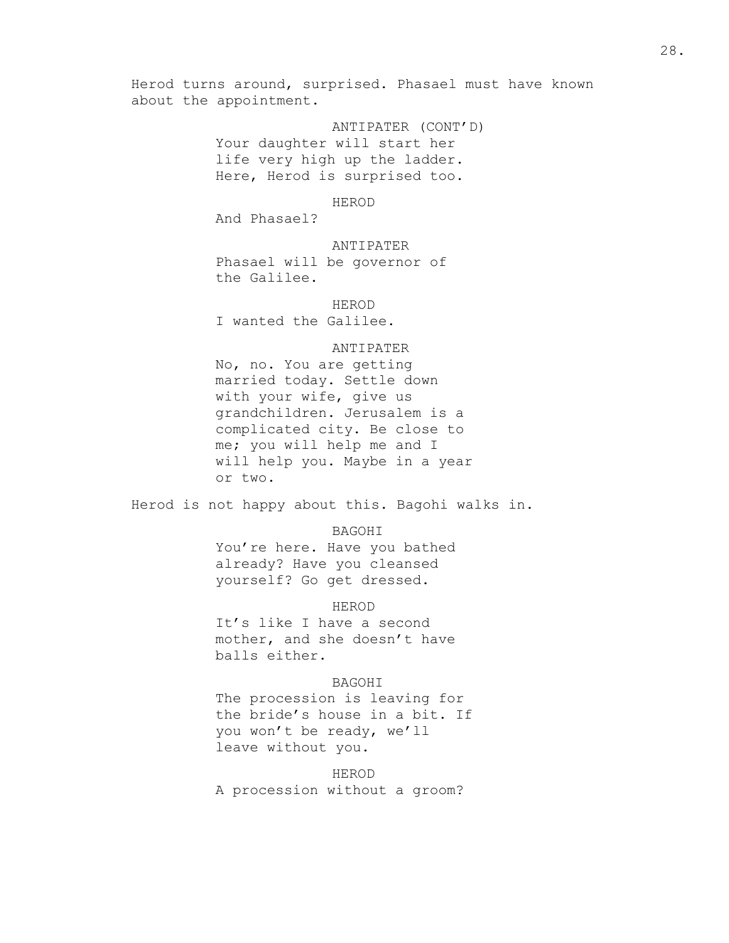Herod turns around, surprised. Phasael must have known about the appointment.

> ANTIPATER (CONT'D) Your daughter will start her life very high up the ladder. Here, Herod is surprised too.

> > HEROD

And Phasael?

ANTIPATER

Phasael will be governor of the Galilee.

HEROD I wanted the Galilee.

# ANTIPATER

No, no. You are getting married today. Settle down with your wife, give us grandchildren. Jerusalem is a complicated city. Be close to me; you will help me and I will help you. Maybe in a year or two.

Herod is not happy about this. Bagohi walks in.

BAGOHI

You're here. Have you bathed already? Have you cleansed yourself? Go get dressed.

## HEROD

It's like I have a second mother, and she doesn't have balls either.

## BAGOHI

The procession is leaving for the bride's house in a bit. If you won't be ready, we'll leave without you.

HEROD A procession without a groom?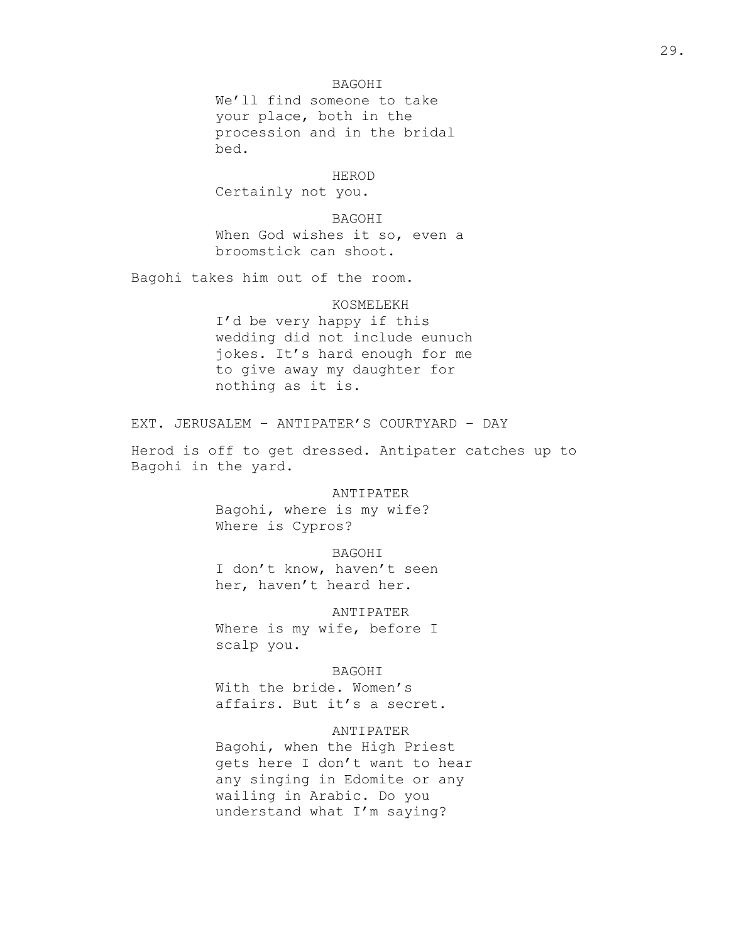# BAGOHI

We'll find someone to take your place, both in the procession and in the bridal bed.

## HEROD

Certainly not you.

BAGOHI

When God wishes it so, even a broomstick can shoot.

Bagohi takes him out of the room.

#### KOSMELEKH

I'd be very happy if this wedding did not include eunuch jokes. It's hard enough for me to give away my daughter for nothing as it is.

EXT. JERUSALEM – ANTIPATER'S COURTYARD – DAY

Herod is off to get dressed. Antipater catches up to Bagohi in the yard.

#### ANTIPATER

Bagohi, where is my wife? Where is Cypros?

#### BAGOHI

I don't know, haven't seen her, haven't heard her.

#### ANTIPATER

Where is my wife, before I scalp you.

## BAGOHI

With the bride. Women's affairs. But it's a secret.

## ANTIPATER

Bagohi, when the High Priest gets here I don't want to hear any singing in Edomite or any wailing in Arabic. Do you understand what I'm saying?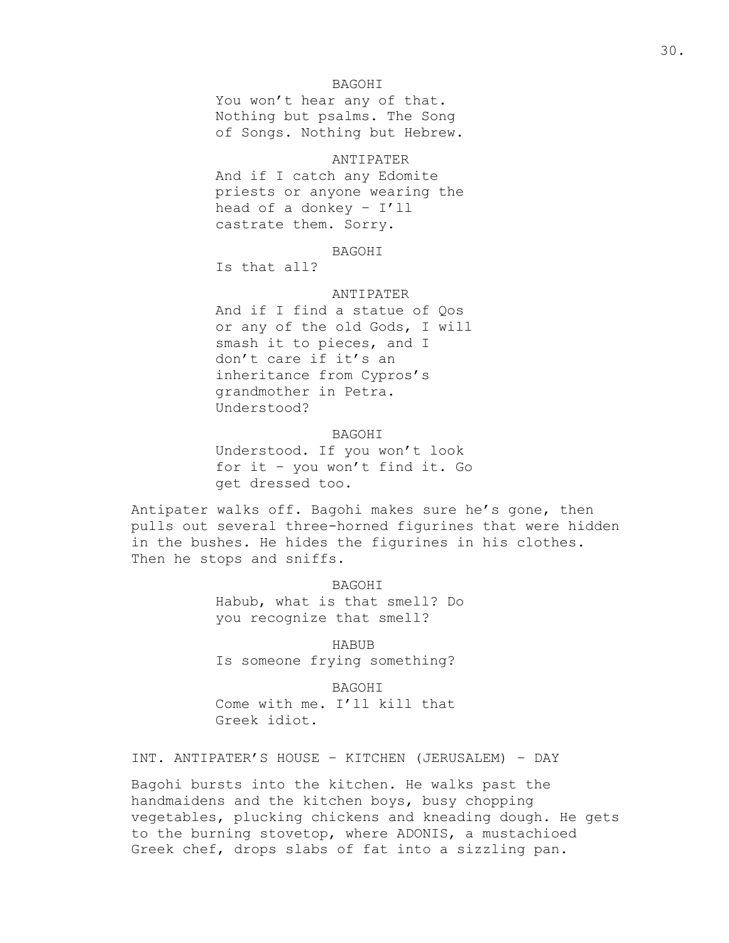## BAGOHI

You won't hear any of that. Nothing but psalms. The Song of Songs. Nothing but Hebrew.

# ANTIPATER

And if I catch any Edomite priests or anyone wearing the head of a donkey – I'll castrate them. Sorry.

#### BAGOHI

Is that all?

## ANTIPATER

And if I find a statue of Qos or any of the old Gods, I will smash it to pieces, and I don't care if it's an inheritance from Cypros's grandmother in Petra. Understood?

## BAGOHI

Understood. If you won't look for it – you won't find it. Go get dressed too.

Antipater walks off. Bagohi makes sure he's gone, then pulls out several three-horned figurines that were hidden in the bushes. He hides the figurines in his clothes. Then he stops and sniffs.

> BAGOHI Habub, what is that smell? Do you recognize that smell?

HABUB Is someone frying something?

BAGOHI Come with me. I'll kill that Greek idiot.

INT. ANTIPATER'S HOUSE – KITCHEN (JERUSALEM) – DAY

Bagohi bursts into the kitchen. He walks past the handmaidens and the kitchen boys, busy chopping vegetables, plucking chickens and kneading dough. He gets to the burning stovetop, where ADONIS, a mustachioed Greek chef, drops slabs of fat into a sizzling pan.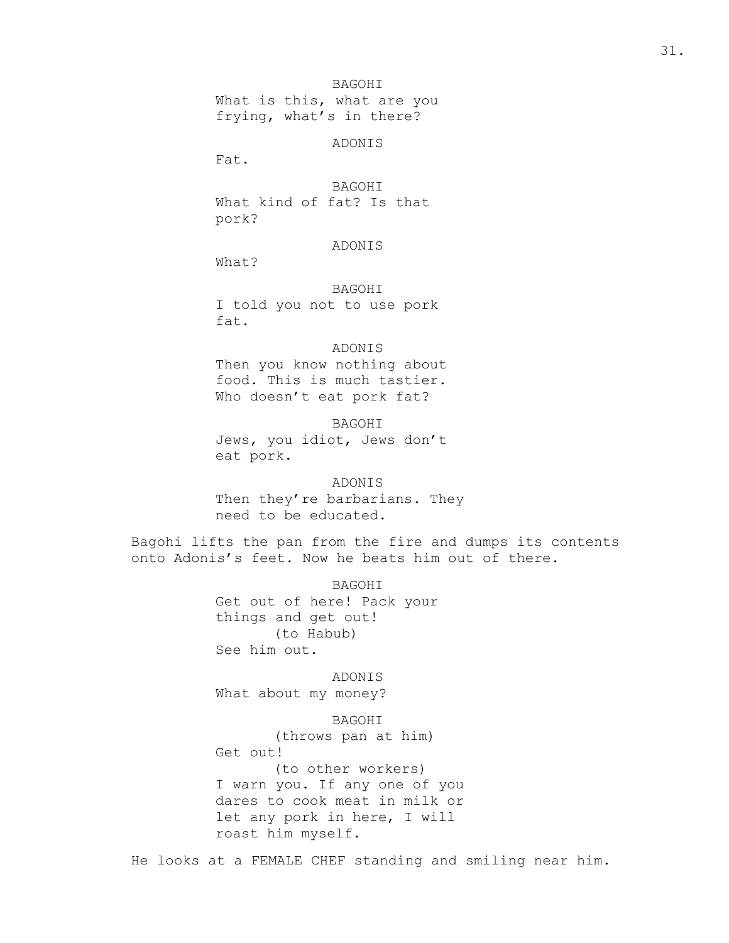# BAGOHI

What is this, what are you frying, what's in there?

ADONIS

Fat.

## BAGOHI

What kind of fat? Is that pork?

## ADONIS

What?

BAGOHI I told you not to use pork fat.

## ADONIS

Then you know nothing about food. This is much tastier. Who doesn't eat pork fat?

BAGOHI

Jews, you idiot, Jews don't eat pork.

#### ADONIS

Then they're barbarians. They need to be educated.

Bagohi lifts the pan from the fire and dumps its contents onto Adonis's feet. Now he beats him out of there.

> BAGOHI Get out of here! Pack your things and get out! (to Habub) See him out.

ADONIS What about my money?

BAGOHI (throws pan at him) Get out! (to other workers) I warn you. If any one of you

dares to cook meat in milk or let any pork in here, I will roast him myself.

He looks at a FEMALE CHEF standing and smiling near him.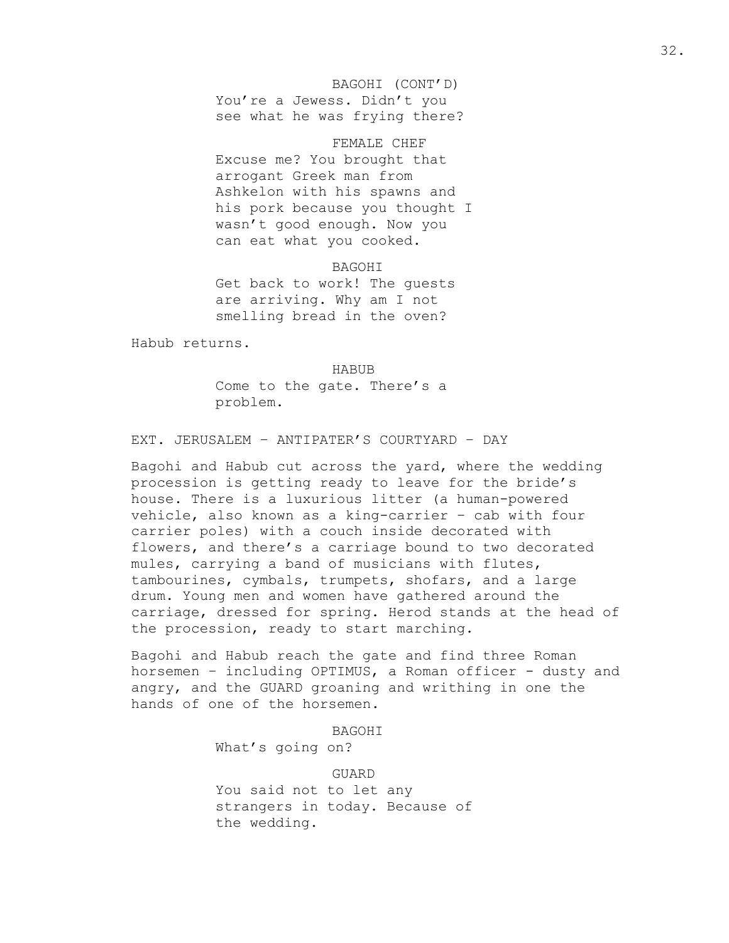BAGOHI (CONT'D) You're a Jewess. Didn't you see what he was frying there?

FEMALE CHEF Excuse me? You brought that arrogant Greek man from Ashkelon with his spawns and his pork because you thought I wasn't good enough. Now you can eat what you cooked.

BAGOHI Get back to work! The guests are arriving. Why am I not smelling bread in the oven?

Habub returns.

HABUB

Come to the gate. There's a problem.

EXT. JERUSALEM – ANTIPATER'S COURTYARD – DAY

Bagohi and Habub cut across the yard, where the wedding procession is getting ready to leave for the bride's house. There is a luxurious litter (a human-powered vehicle, also known as a king-carrier – cab with four carrier poles) with a couch inside decorated with flowers, and there's a carriage bound to two decorated mules, carrying a band of musicians with flutes, tambourines, cymbals, trumpets, shofars, and a large drum. Young men and women have gathered around the carriage, dressed for spring. Herod stands at the head of the procession, ready to start marching.

Bagohi and Habub reach the gate and find three Roman horsemen - including OPTIMUS, a Roman officer - dusty and angry, and the GUARD groaning and writhing in one the hands of one of the horsemen.

> BAGOHI What's going on?

GUARD You said not to let any strangers in today. Because of the wedding.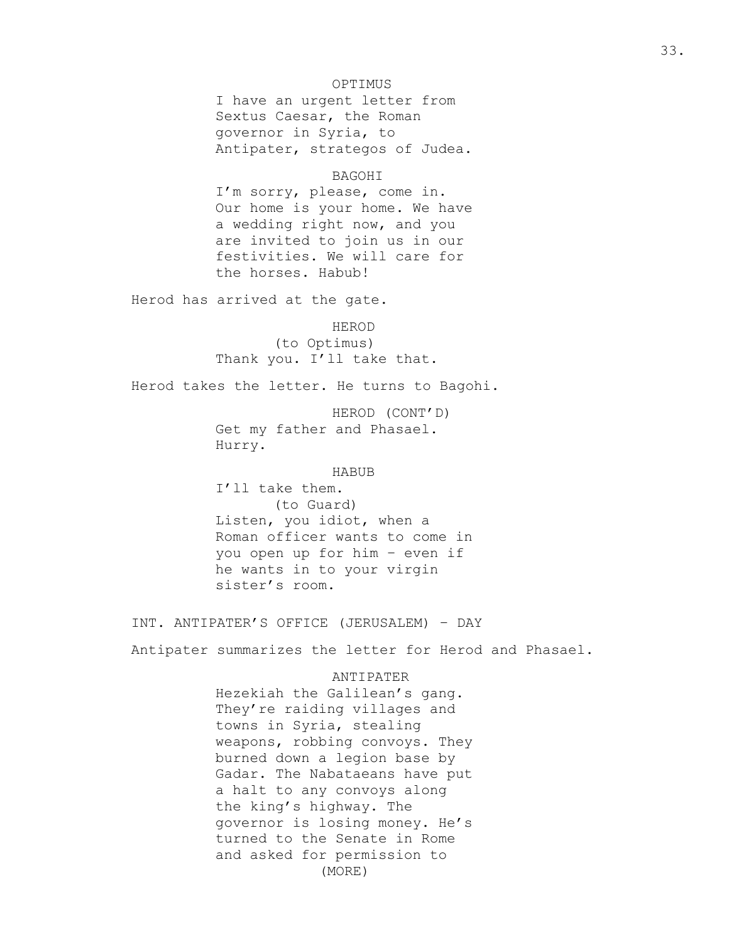## OPTIMUS

I have an urgent letter from Sextus Caesar, the Roman governor in Syria, to Antipater, strategos of Judea.

#### BAGOHI

I'm sorry, please, come in. Our home is your home. We have a wedding right now, and you are invited to join us in our festivities. We will care for the horses. Habub!

Herod has arrived at the gate.

#### HEROD

(to Optimus) Thank you. I'll take that.

Herod takes the letter. He turns to Bagohi.

HEROD (CONT'D) Get my father and Phasael. Hurry.

## HABUB

I'll take them. (to Guard) Listen, you idiot, when a Roman officer wants to come in you open up for him – even if he wants in to your virgin sister's room.

INT. ANTIPATER'S OFFICE (JERUSALEM) – DAY

Antipater summarizes the letter for Herod and Phasael.

## ANTIPATER

Hezekiah the Galilean's gang. They're raiding villages and towns in Syria, stealing weapons, robbing convoys. They burned down a legion base by Gadar. The Nabataeans have put a halt to any convoys along the king's highway. The governor is losing money. He's turned to the Senate in Rome and asked for permission to (MORE)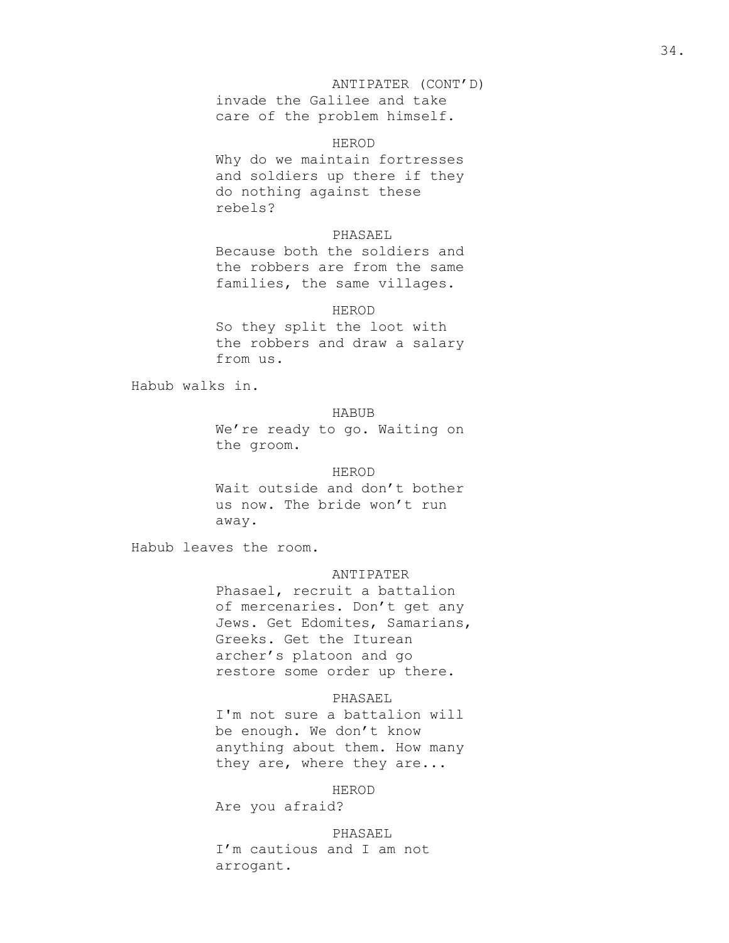# ANTIPATER (CONT'D)

invade the Galilee and take care of the problem himself.

## HEROD

Why do we maintain fortresses and soldiers up there if they do nothing against these rebels?

## PHASAEL

Because both the soldiers and the robbers are from the same families, the same villages.

## HEROD

So they split the loot with the robbers and draw a salary from us.

Habub walks in.

# HABUB

We're ready to go. Waiting on the groom.

## HEROD

Wait outside and don't bother us now. The bride won't run away.

Habub leaves the room.

#### ANTIPATER

Phasael, recruit a battalion of mercenaries. Don't get any Jews. Get Edomites, Samarians, Greeks. Get the Iturean archer's platoon and go restore some order up there.

## PHASAEL

I'm not sure a battalion will be enough. We don't know anything about them. How many they are, where they are...

#### HEROD

Are you afraid?

## PHASAEL

I'm cautious and I am not arrogant.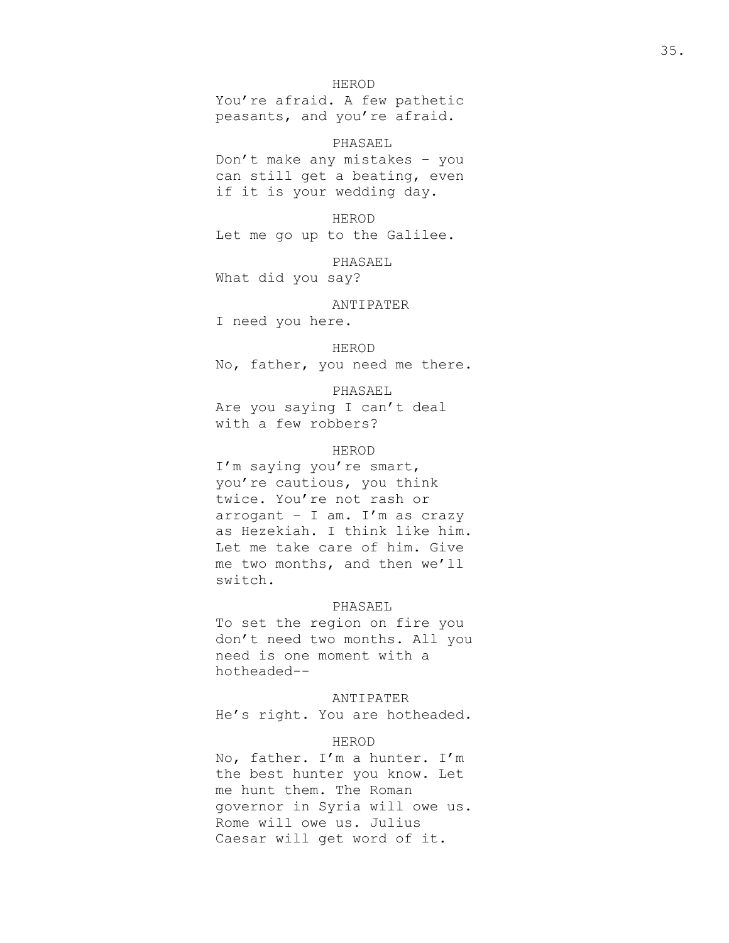### HEROD

You're afraid. A few pathetic peasants, and you're afraid.

## PHASAEL

Don't make any mistakes – you can still get a beating, even if it is your wedding day.

HEROD

Let me go up to the Galilee.

PHASAEL

What did you say?

ANTIPATER

I need you here.

HEROD

No, father, you need me there.

PHASAEL

Are you saying I can't deal with a few robbers?

# HEROD

I'm saying you're smart, you're cautious, you think twice. You're not rash or arrogant – I am. I'm as crazy as Hezekiah. I think like him. Let me take care of him. Give me two months, and then we'll switch.

#### PHASAEL

To set the region on fire you don't need two months. All you need is one moment with a hotheaded--

ANTIPATER

He's right. You are hotheaded.

## HEROD

No, father. I'm a hunter. I'm the best hunter you know. Let me hunt them. The Roman governor in Syria will owe us. Rome will owe us. Julius Caesar will get word of it.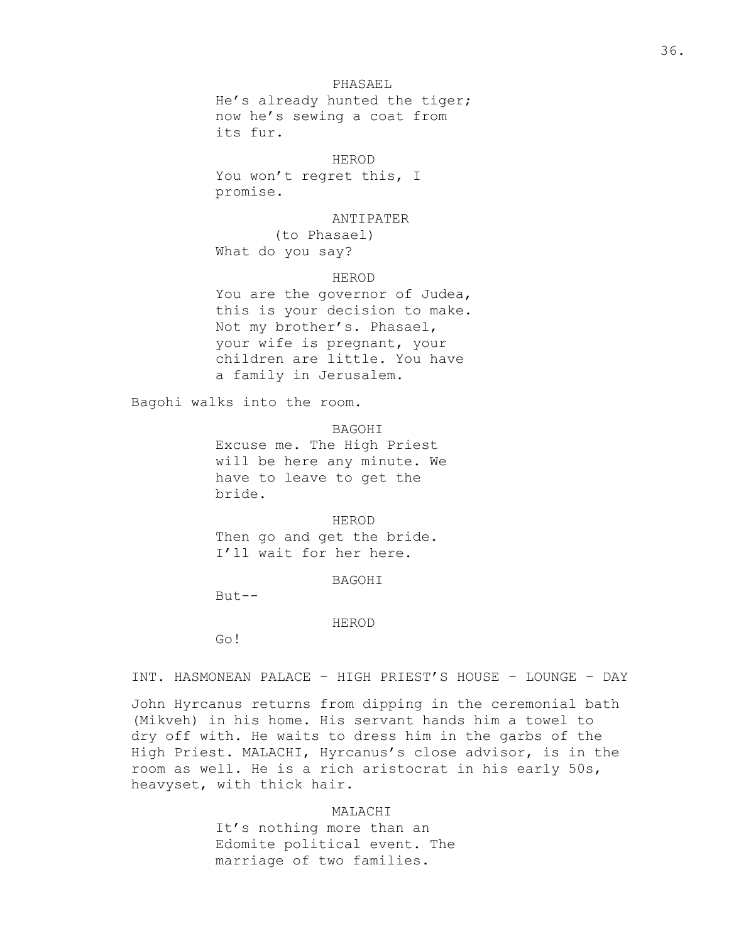## PHASAEL

He's already hunted the tiger; now he's sewing a coat from its fur.

### HEROD

You won't regret this, I promise.

#### ANTIPATER

(to Phasael) What do you say?

## HEROD

You are the governor of Judea, this is your decision to make. Not my brother's. Phasael, your wife is pregnant, your children are little. You have a family in Jerusalem.

Bagohi walks into the room.

BAGOHI Excuse me. The High Priest will be here any minute. We have to leave to get the bride.

#### HEROD

Then go and get the bride. I'll wait for her here.

BAGOHI

But--

## HEROD

Go!

INT. HASMONEAN PALACE – HIGH PRIEST'S HOUSE – LOUNGE – DAY

John Hyrcanus returns from dipping in the ceremonial bath (Mikveh) in his home. His servant hands him a towel to dry off with. He waits to dress him in the garbs of the High Priest. MALACHI, Hyrcanus's close advisor, is in the room as well. He is a rich aristocrat in his early 50s, heavyset, with thick hair.

## MALACHI

It's nothing more than an Edomite political event. The marriage of two families.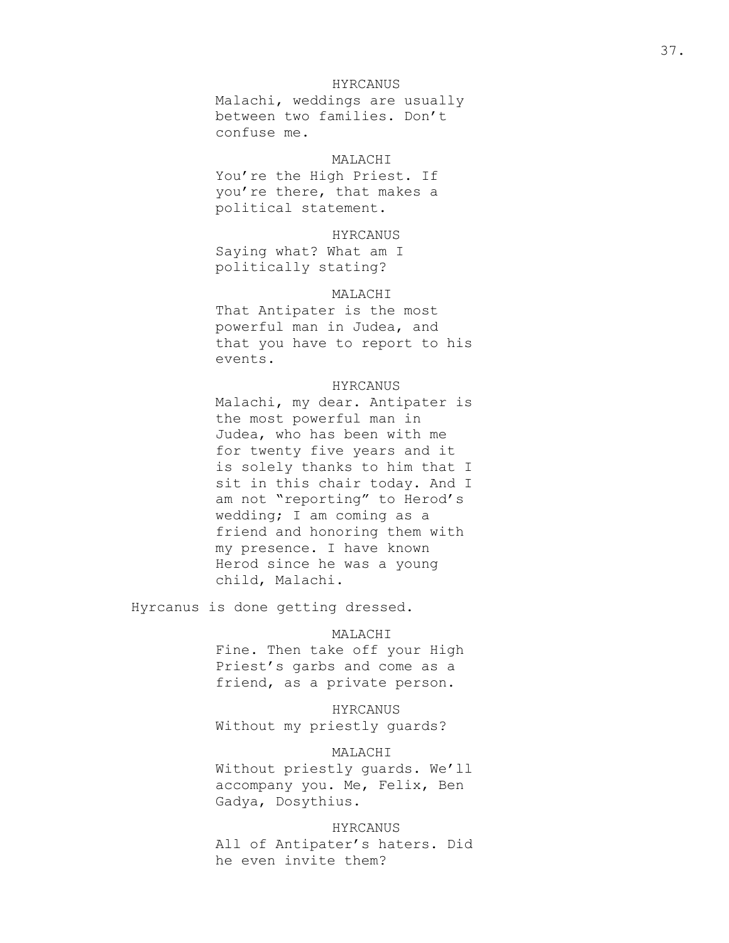## HYRCANUS

Malachi, weddings are usually between two families. Don't confuse me.

## MALACHI

You're the High Priest. If you're there, that makes a political statement.

### HYRCANUS

Saying what? What am I politically stating?

## MALACHI

That Antipater is the most powerful man in Judea, and that you have to report to his events.

## HYRCANUS

Malachi, my dear. Antipater is the most powerful man in Judea, who has been with me for twenty five years and it is solely thanks to him that I sit in this chair today. And I am not "reporting" to Herod's wedding; I am coming as a friend and honoring them with my presence. I have known Herod since he was a young child, Malachi.

Hyrcanus is done getting dressed.

## MALACHI

Fine. Then take off your High Priest's garbs and come as a friend, as a private person.

HYRCANUS Without my priestly guards?

## MALACHI

Without priestly guards. We'll accompany you. Me, Felix, Ben Gadya, Dosythius.

#### HYRCANUS

All of Antipater's haters. Did he even invite them?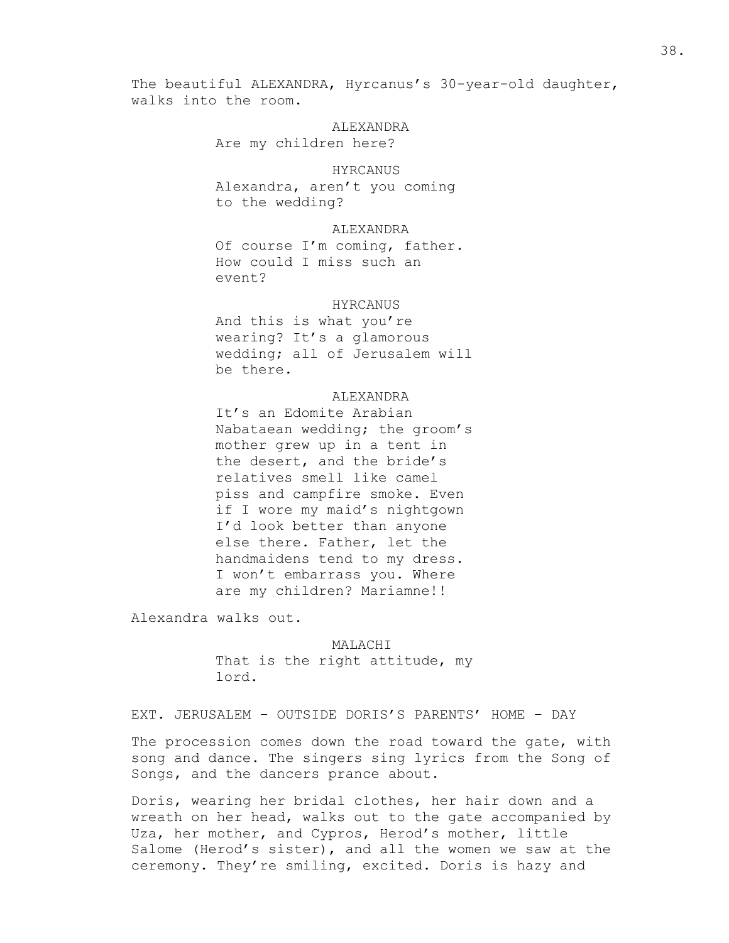The beautiful ALEXANDRA, Hyrcanus's 30-year-old daughter, walks into the room.

> **ALEXANDRA** Are my children here?

## HYRCANUS

Alexandra, aren't you coming to the wedding?

## ALEXANDRA

Of course I'm coming, father. How could I miss such an event?

#### HYRCANUS

And this is what you're wearing? It's a glamorous wedding; all of Jerusalem will be there.

### **ALEXANDRA**

It's an Edomite Arabian Nabataean wedding; the groom's mother grew up in a tent in the desert, and the bride's relatives smell like camel piss and campfire smoke. Even if I wore my maid's nightgown I'd look better than anyone else there. Father, let the handmaidens tend to my dress. I won't embarrass you. Where are my children? Mariamne!!

Alexandra walks out.

MALACHI That is the right attitude, my lord.

EXT. JERUSALEM – OUTSIDE DORIS'S PARENTS' HOME – DAY

The procession comes down the road toward the gate, with song and dance. The singers sing lyrics from the Song of Songs, and the dancers prance about.

Doris, wearing her bridal clothes, her hair down and a wreath on her head, walks out to the gate accompanied by Uza, her mother, and Cypros, Herod's mother, little Salome (Herod's sister), and all the women we saw at the ceremony. They're smiling, excited. Doris is hazy and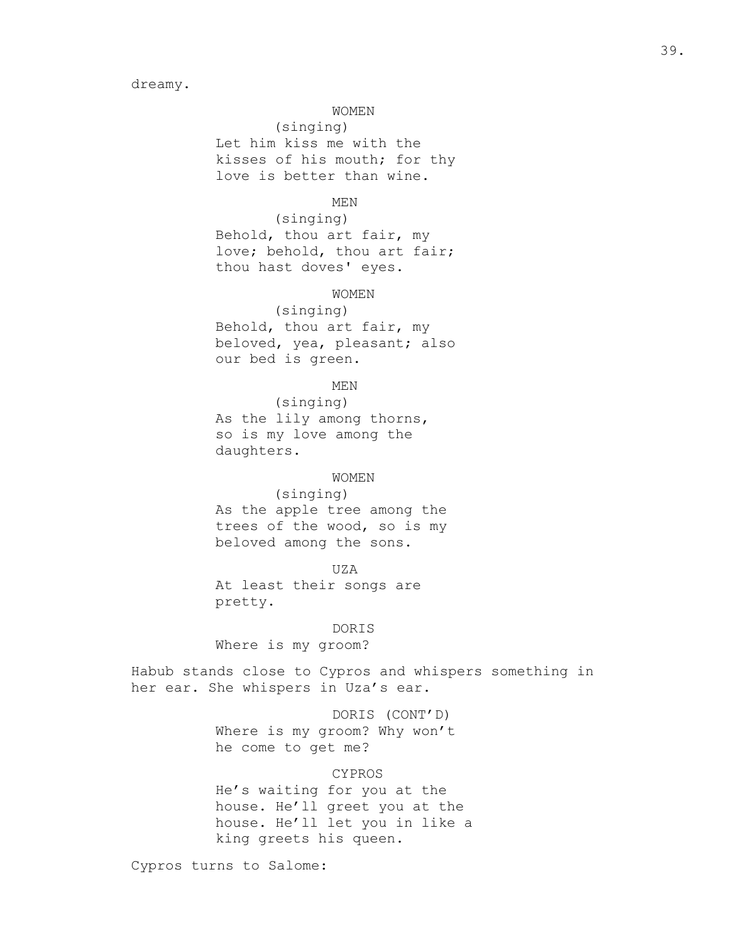## WOMEN

(singing) Let him kiss me with the kisses of his mouth; for thy love is better than wine.

## MEN

(singing) Behold, thou art fair, my love; behold, thou art fair; thou hast doves' eyes.

### WOMEN

(singing) Behold, thou art fair, my beloved, yea, pleasant; also our bed is green.

## MEN

(singing) As the lily among thorns, so is my love among the daughters.

### WOMEN

(singing) As the apple tree among the trees of the wood, so is my beloved among the sons.

### UZA

At least their songs are pretty.

### DORIS

Where is my groom?

Habub stands close to Cypros and whispers something in her ear. She whispers in Uza's ear.

## DORIS (CONT'D)

Where is my groom? Why won't he come to get me?

## CYPROS

He's waiting for you at the house. He'll greet you at the house. He'll let you in like a king greets his queen.

Cypros turns to Salome: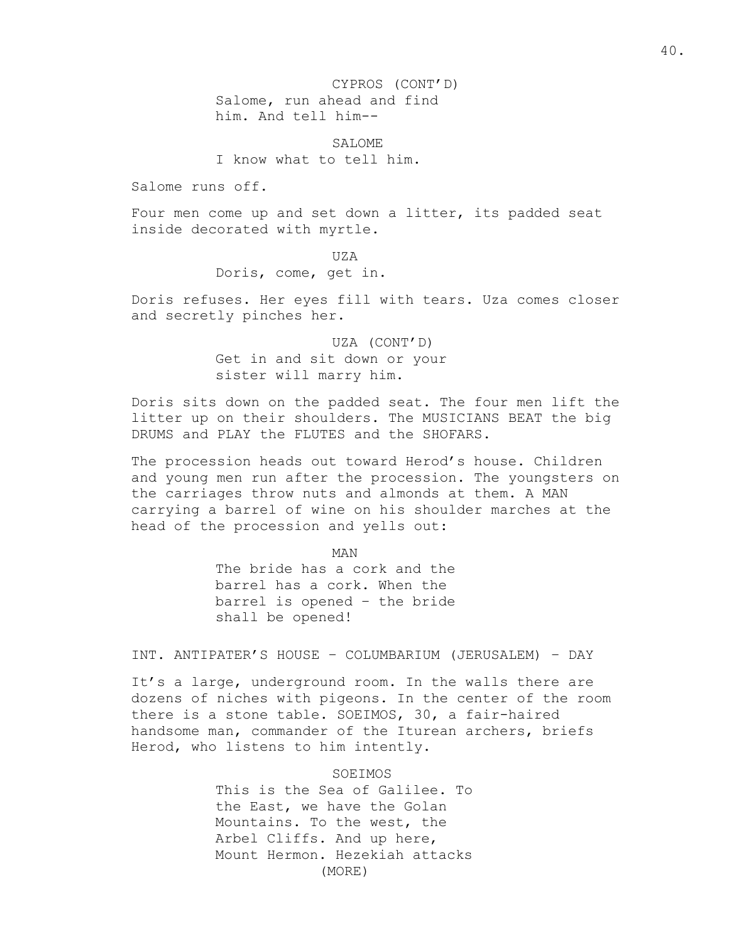CYPROS (CONT'D) Salome, run ahead and find him. And tell him--

SALOME. I know what to tell him.

Salome runs off.

Four men come up and set down a litter, its padded seat inside decorated with myrtle.

> UZA Doris, come, get in.

Doris refuses. Her eyes fill with tears. Uza comes closer and secretly pinches her.

> UZA (CONT'D) Get in and sit down or your sister will marry him.

Doris sits down on the padded seat. The four men lift the litter up on their shoulders. The MUSICIANS BEAT the big DRUMS and PLAY the FLUTES and the SHOFARS.

The procession heads out toward Herod's house. Children and young men run after the procession. The youngsters on the carriages throw nuts and almonds at them. A MAN carrying a barrel of wine on his shoulder marches at the head of the procession and yells out:

> MAN The bride has a cork and the barrel has a cork. When the barrel is opened – the bride shall be opened!

INT. ANTIPATER'S HOUSE – COLUMBARIUM (JERUSALEM) – DAY

It's a large, underground room. In the walls there are dozens of niches with pigeons. In the center of the room there is a stone table. SOEIMOS, 30, a fair-haired handsome man, commander of the Iturean archers, briefs Herod, who listens to him intently.

SOEIMOS

This is the Sea of Galilee. To the East, we have the Golan Mountains. To the west, the Arbel Cliffs. And up here, Mount Hermon. Hezekiah attacks (MORE)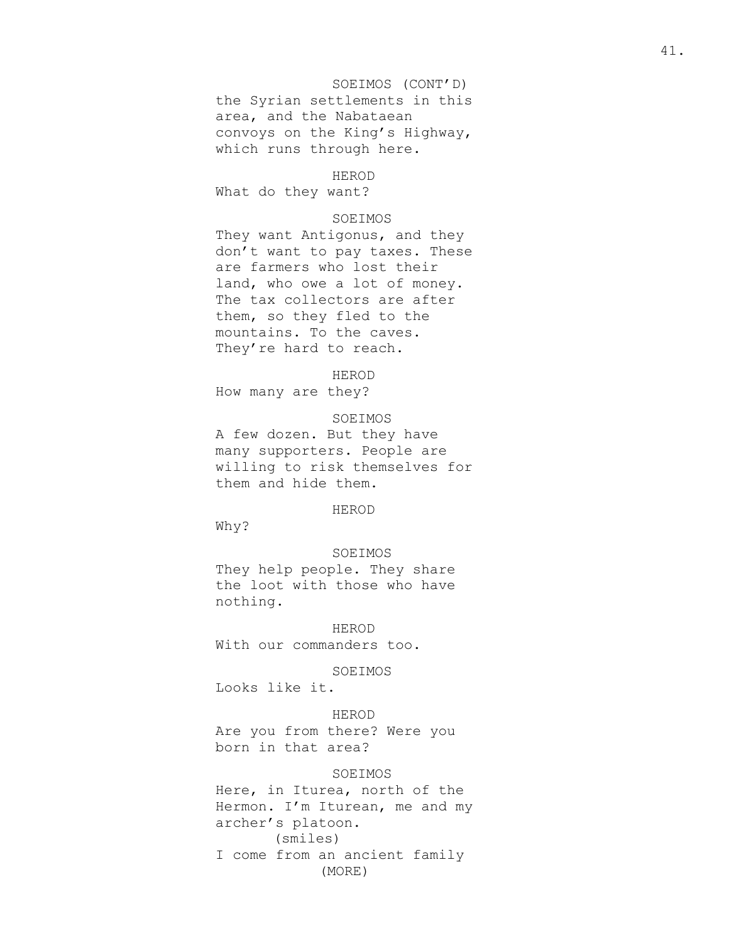# SOEIMOS (CONT'D) the Syrian settlements in this area, and the Nabataean convoys on the King's Highway, which runs through here.

## HEROD

What do they want?

#### SOEIMOS

They want Antigonus, and they don't want to pay taxes. These are farmers who lost their land, who owe a lot of money. The tax collectors are after them, so they fled to the mountains. To the caves. They're hard to reach.

HEROD

How many are they?

SOEIMOS A few dozen. But they have many supporters. People are willing to risk themselves for them and hide them.

## HEROD

Why?

### SOEIMOS

They help people. They share the loot with those who have nothing.

HEROD

With our commanders too.

#### SOEIMOS

Looks like it.

## HEROD

Are you from there? Were you born in that area?

## SOEIMOS

Here, in Iturea, north of the Hermon. I'm Iturean, me and my archer's platoon. (smiles) I come from an ancient family (MORE)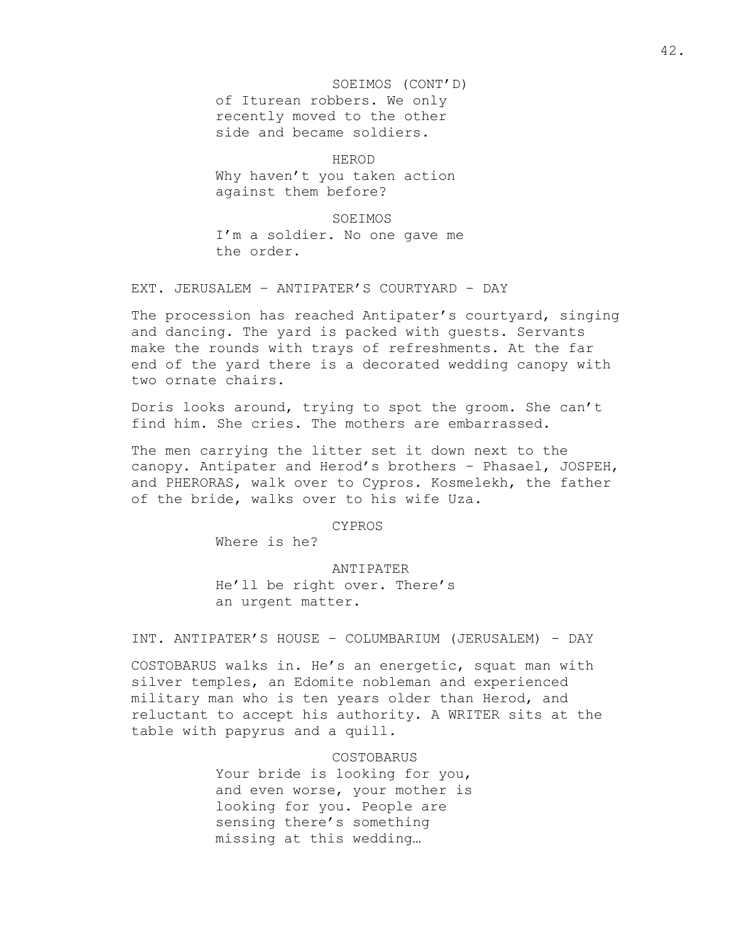SOEIMOS (CONT'D) of Iturean robbers. We only recently moved to the other side and became soldiers.

HEROD Why haven't you taken action against them before?

SOEIMOS

I'm a soldier. No one gave me the order.

EXT. JERUSALEM – ANTIPATER'S COURTYARD – DAY

The procession has reached Antipater's courtyard, singing and dancing. The yard is packed with guests. Servants make the rounds with trays of refreshments. At the far end of the yard there is a decorated wedding canopy with two ornate chairs.

Doris looks around, trying to spot the groom. She can't find him. She cries. The mothers are embarrassed.

The men carrying the litter set it down next to the canopy. Antipater and Herod's brothers – Phasael, JOSPEH, and PHERORAS, walk over to Cypros. Kosmelekh, the father of the bride, walks over to his wife Uza.

CYPROS

Where is he?

ANTIPATER

He'll be right over. There's an urgent matter.

INT. ANTIPATER'S HOUSE – COLUMBARIUM (JERUSALEM) – DAY

COSTOBARUS walks in. He's an energetic, squat man with silver temples, an Edomite nobleman and experienced military man who is ten years older than Herod, and reluctant to accept his authority. A WRITER sits at the table with papyrus and a quill.

> COSTOBARUS Your bride is looking for you, and even worse, your mother is looking for you. People are sensing there's something missing at this wedding…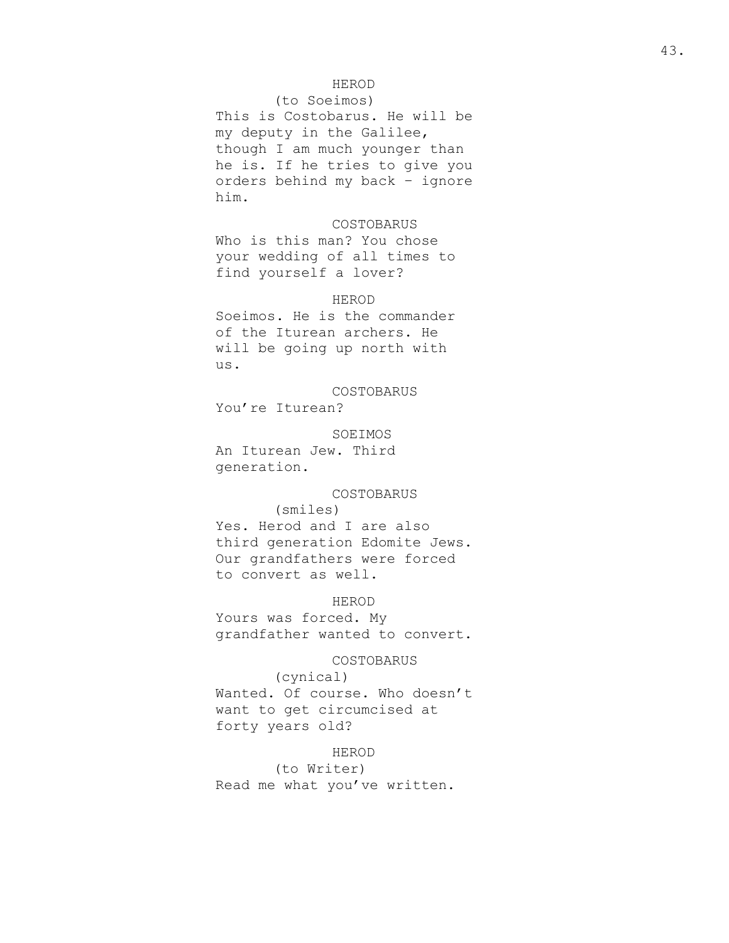## HEROD

### (to Soeimos)

This is Costobarus. He will be my deputy in the Galilee, though I am much younger than he is. If he tries to give you orders behind my back – ignore him.

#### COSTOBARUS

Who is this man? You chose your wedding of all times to find yourself a lover?

### HEROD

Soeimos. He is the commander of the Iturean archers. He will be going up north with us.

COSTOBARUS You're Iturean?

SOEIMOS An Iturean Jew. Third generation.

## COSTOBARUS

### (smiles)

Yes. Herod and I are also third generation Edomite Jews. Our grandfathers were forced to convert as well.

## HEROD

Yours was forced. My grandfather wanted to convert.

# COSTOBARUS

(cynical) Wanted. Of course. Who doesn't want to get circumcised at forty years old?

#### HEROD

(to Writer) Read me what you've written.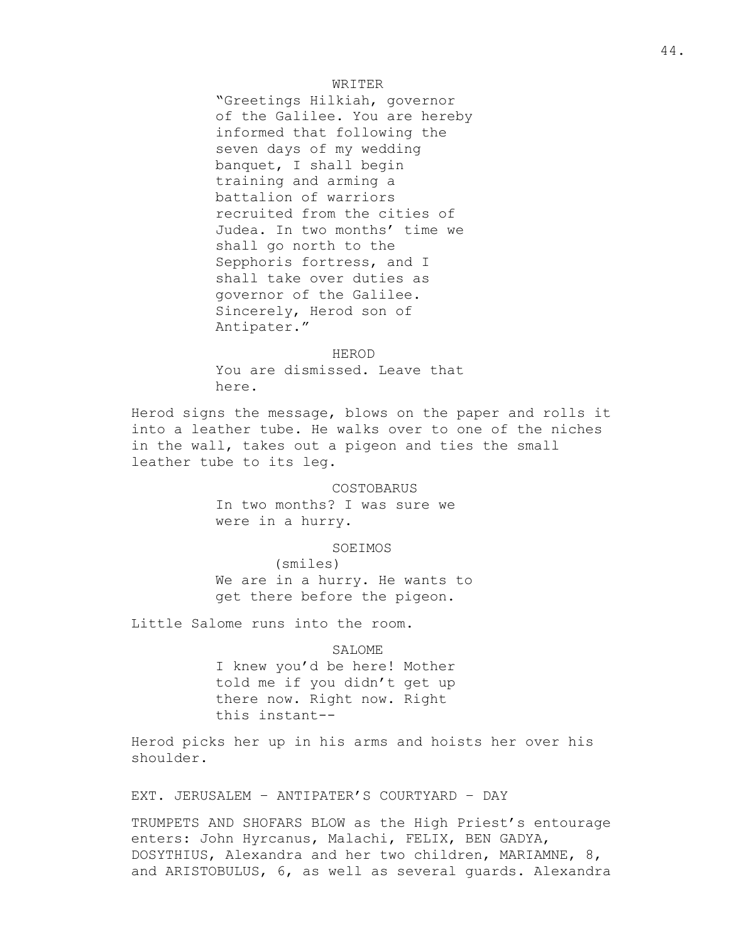## WRITER

"Greetings Hilkiah, governor of the Galilee. You are hereby informed that following the seven days of my wedding banquet, I shall begin training and arming a battalion of warriors recruited from the cities of Judea. In two months' time we shall go north to the Sepphoris fortress, and I shall take over duties as governor of the Galilee. Sincerely, Herod son of Antipater."

HEROD You are dismissed. Leave that here.

Herod signs the message, blows on the paper and rolls it into a leather tube. He walks over to one of the niches in the wall, takes out a pigeon and ties the small leather tube to its leg.

#### COSTOBARUS

In two months? I was sure we were in a hurry.

#### SOEIMOS

(smiles) We are in a hurry. He wants to get there before the pigeon.

Little Salome runs into the room.

#### SALOME

I knew you'd be here! Mother told me if you didn't get up there now. Right now. Right this instant--

Herod picks her up in his arms and hoists her over his shoulder.

EXT. JERUSALEM – ANTIPATER'S COURTYARD – DAY

TRUMPETS AND SHOFARS BLOW as the High Priest's entourage enters: John Hyrcanus, Malachi, FELIX, BEN GADYA, DOSYTHIUS, Alexandra and her two children, MARIAMNE, 8, and ARISTOBULUS, 6, as well as several guards. Alexandra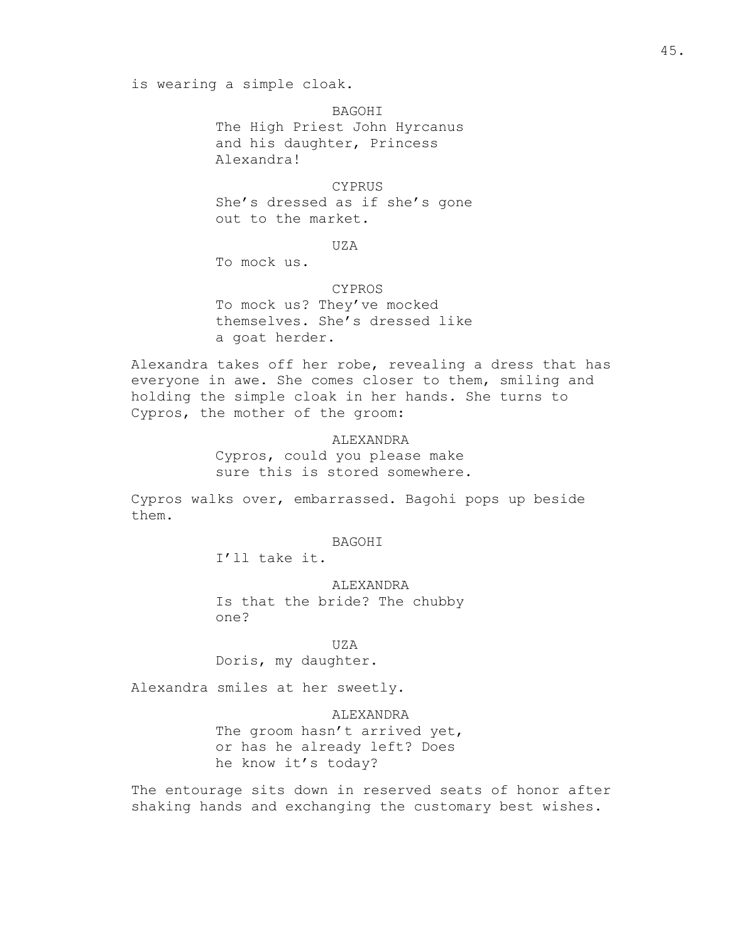is wearing a simple cloak.

**BAGOHT** The High Priest John Hyrcanus and his daughter, Princess Alexandra!

## **CYPRUS**

She's dressed as if she's gone out to the market.

 $UZA$ 

To mock us.

CYPROS To mock us? They've mocked themselves. She's dressed like a goat herder.

Alexandra takes off her robe, revealing a dress that has everyone in awe. She comes closer to them, smiling and holding the simple cloak in her hands. She turns to Cypros, the mother of the groom:

> ALEXANDRA Cypros, could you please make sure this is stored somewhere.

Cypros walks over, embarrassed. Bagohi pops up beside them.

### BAGOHI

I'll take it.

#### ALEXANDRA

Is that the bride? The chubby one?

#### UZA

Doris, my daughter.

Alexandra smiles at her sweetly.

## ALEXANDRA

The groom hasn't arrived yet, or has he already left? Does he know it's today?

The entourage sits down in reserved seats of honor after shaking hands and exchanging the customary best wishes.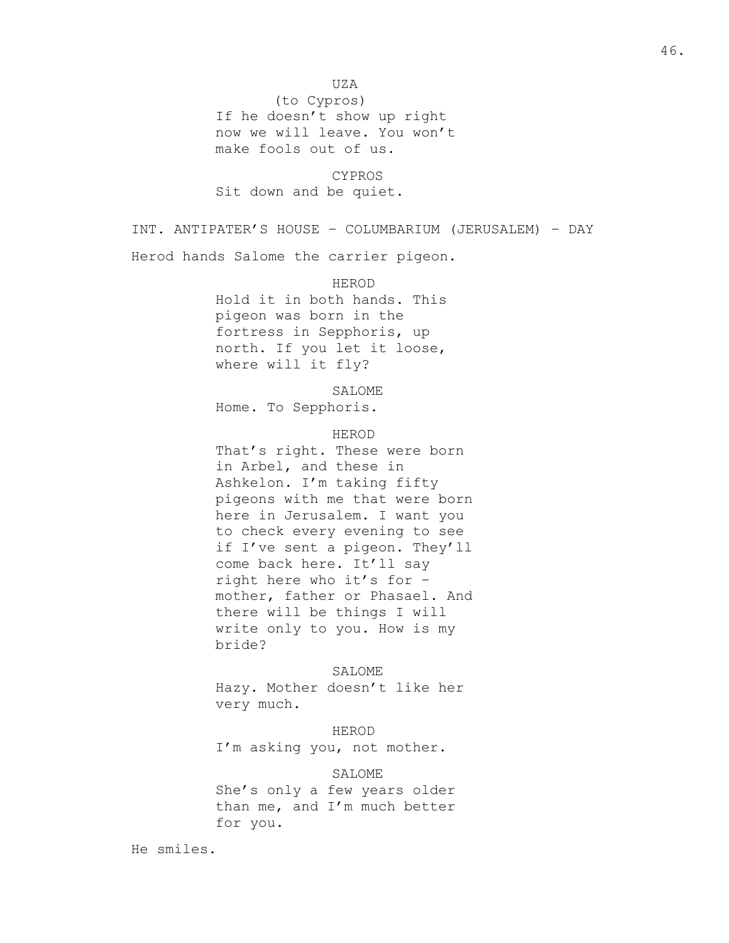UZA

(to Cypros) If he doesn't show up right now we will leave. You won't make fools out of us.

CYPROS Sit down and be quiet.

INT. ANTIPATER'S HOUSE – COLUMBARIUM (JERUSALEM) – DAY Herod hands Salome the carrier pigeon.

> HEROD Hold it in both hands. This pigeon was born in the fortress in Sepphoris, up north. If you let it loose, where will it fly?

> > SALOME

Home. To Sepphoris.

HEROD

That's right. These were born in Arbel, and these in Ashkelon. I'm taking fifty pigeons with me that were born here in Jerusalem. I want you to check every evening to see if I've sent a pigeon. They'll come back here. It'll say right here who it's for – mother, father or Phasael. And there will be things I will write only to you. How is my bride?

SALOME

Hazy. Mother doesn't like her very much.

HEROD I'm asking you, not mother.

SALOME

She's only a few years older than me, and I'm much better for you.

He smiles.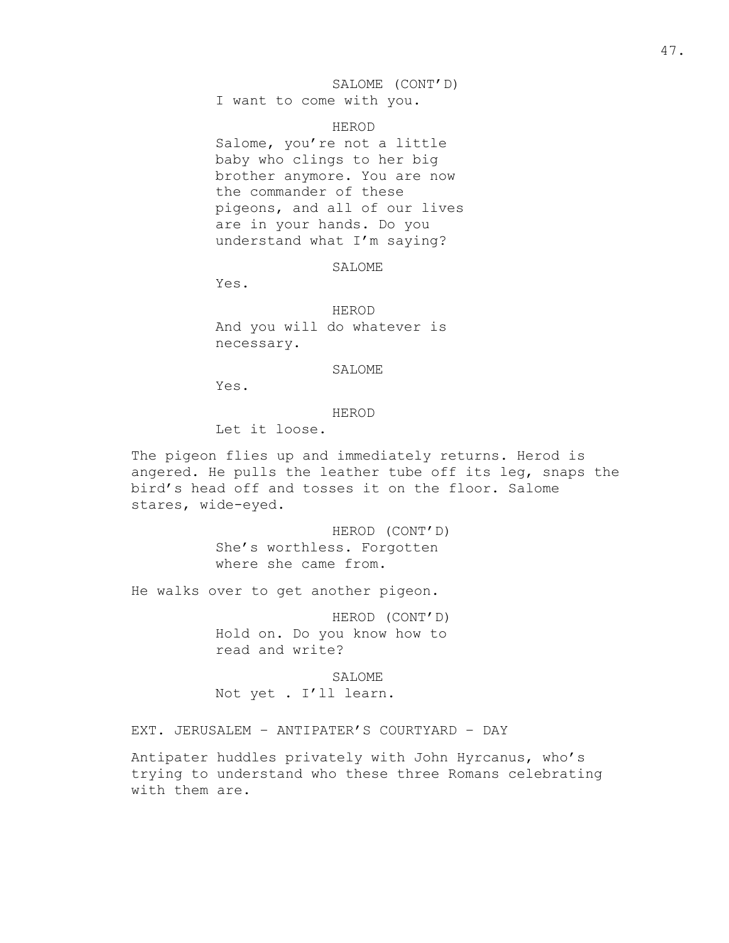## SALOME (CONT'D) I want to come with you.

HEROD

Salome, you're not a little baby who clings to her big brother anymore. You are now the commander of these pigeons, and all of our lives are in your hands. Do you understand what I'm saying?

SALOME

Yes.

HEROD And you will do whatever is necessary.

### SALOME

Yes.

### HEROD

Let it loose.

The pigeon flies up and immediately returns. Herod is angered. He pulls the leather tube off its leg, snaps the bird's head off and tosses it on the floor. Salome stares, wide-eyed.

> HEROD (CONT'D) She's worthless. Forgotten where she came from.

He walks over to get another pigeon.

HEROD (CONT'D) Hold on. Do you know how to read and write?

SALOME Not yet . I'll learn.

EXT. JERUSALEM – ANTIPATER'S COURTYARD – DAY

Antipater huddles privately with John Hyrcanus, who's trying to understand who these three Romans celebrating with them are.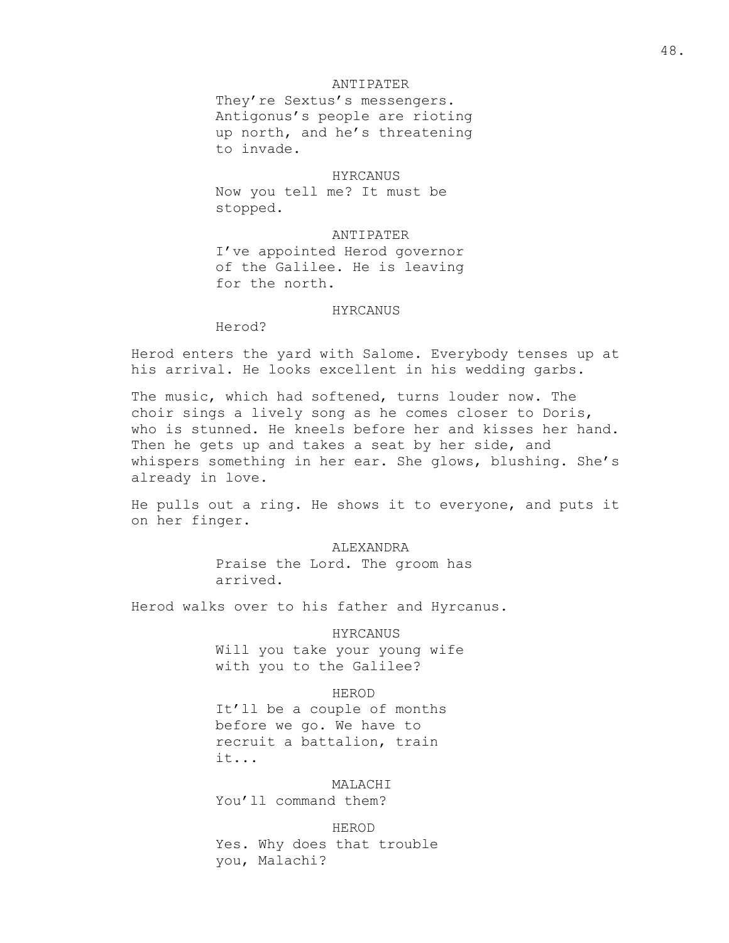## ANTIPATER

They're Sextus's messengers. Antigonus's people are rioting up north, and he's threatening to invade.

### HYRCANUS

Now you tell me? It must be stopped.

## ANTIPATER

I've appointed Herod governor of the Galilee. He is leaving for the north.

## HYRCANUS

Herod?

Herod enters the yard with Salome. Everybody tenses up at his arrival. He looks excellent in his wedding garbs.

The music, which had softened, turns louder now. The choir sings a lively song as he comes closer to Doris, who is stunned. He kneels before her and kisses her hand. Then he gets up and takes a seat by her side, and whispers something in her ear. She glows, blushing. She's already in love.

He pulls out a ring. He shows it to everyone, and puts it on her finger.

> ALEXANDRA Praise the Lord. The groom has arrived.

Herod walks over to his father and Hyrcanus.

HYRCANUS

Will you take your young wife with you to the Galilee?

HEROD

It'll be a couple of months before we go. We have to recruit a battalion, train it...

MALACHI

You'll command them?

HEROD

Yes. Why does that trouble you, Malachi?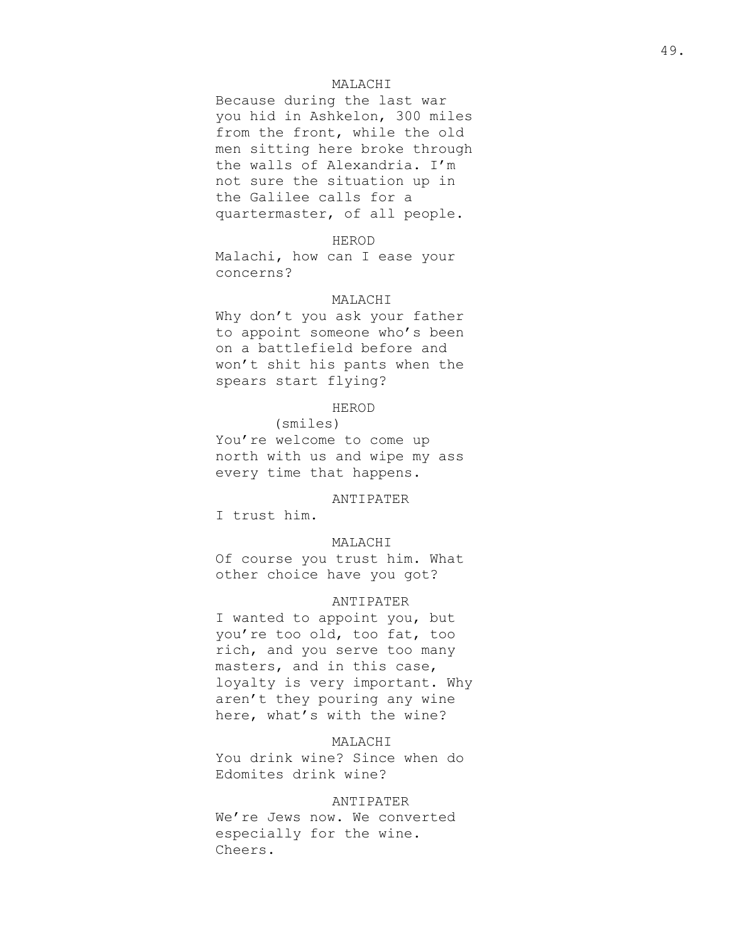## MALACHI

Because during the last war you hid in Ashkelon, 300 miles from the front, while the old men sitting here broke through the walls of Alexandria. I'm not sure the situation up in the Galilee calls for a quartermaster, of all people.

#### HEROD

Malachi, how can I ease your concerns?

#### MALACHI

Why don't you ask your father to appoint someone who's been on a battlefield before and won't shit his pants when the spears start flying?

## HEROD

(smiles) You're welcome to come up north with us and wipe my ass every time that happens.

## ANTIPATER

I trust him.

## MALACHI

Of course you trust him. What other choice have you got?

## ANTIPATER

I wanted to appoint you, but you're too old, too fat, too rich, and you serve too many masters, and in this case, loyalty is very important. Why aren't they pouring any wine here, what's with the wine?

## MALACHI

You drink wine? Since when do Edomites drink wine?

### ANTIPATER

We're Jews now. We converted especially for the wine. Cheers.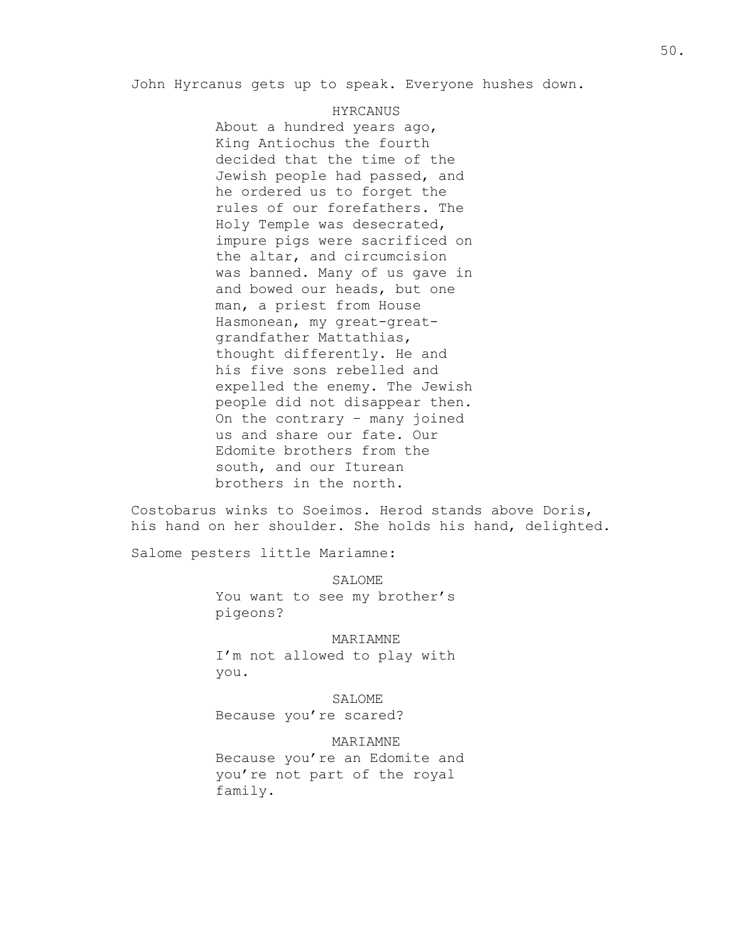John Hyrcanus gets up to speak. Everyone hushes down.

#### HYRCANUS

About a hundred years ago, King Antiochus the fourth decided that the time of the Jewish people had passed, and he ordered us to forget the rules of our forefathers. The Holy Temple was desecrated, impure pigs were sacrificed on the altar, and circumcision was banned. Many of us gave in and bowed our heads, but one man, a priest from House Hasmonean, my great-greatgrandfather Mattathias, thought differently. He and his five sons rebelled and expelled the enemy. The Jewish people did not disappear then. On the contrary – many joined us and share our fate. Our Edomite brothers from the south, and our Iturean brothers in the north.

Costobarus winks to Soeimos. Herod stands above Doris, his hand on her shoulder. She holds his hand, delighted.

Salome pesters little Mariamne:

SALOME You want to see my brother's pigeons?

MARIAMNE I'm not allowed to play with you.

SALOME Because you're scared?

MARIAMNE Because you're an Edomite and you're not part of the royal family.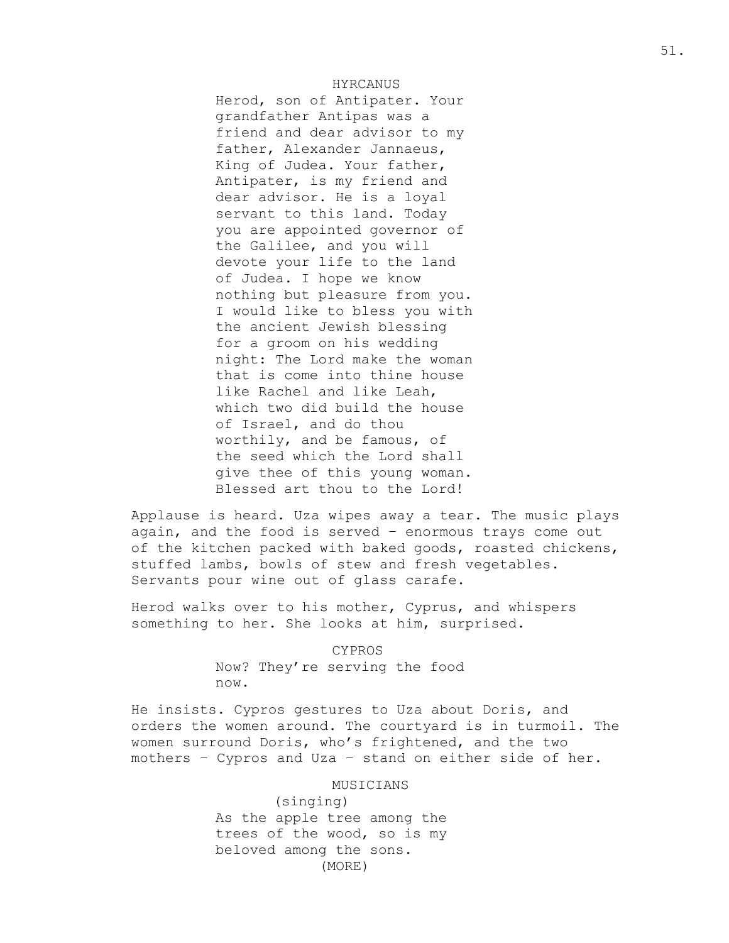## HYRCANUS

Herod, son of Antipater. Your grandfather Antipas was a friend and dear advisor to my father, Alexander Jannaeus, King of Judea. Your father, Antipater, is my friend and dear advisor. He is a loyal servant to this land. Today you are appointed governor of the Galilee, and you will devote your life to the land of Judea. I hope we know nothing but pleasure from you. I would like to bless you with the ancient Jewish blessing for a groom on his wedding night: The Lord make the woman that is come into thine house like Rachel and like Leah, which two did build the house of Israel, and do thou worthily, and be famous, of the seed which the Lord shall give thee of this young woman. Blessed art thou to the Lord!

Applause is heard. Uza wipes away a tear. The music plays again, and the food is served – enormous trays come out of the kitchen packed with baked goods, roasted chickens, stuffed lambs, bowls of stew and fresh vegetables. Servants pour wine out of glass carafe.

Herod walks over to his mother, Cyprus, and whispers something to her. She looks at him, surprised.

#### CYPROS

Now? They're serving the food now.

He insists. Cypros gestures to Uza about Doris, and orders the women around. The courtyard is in turmoil. The women surround Doris, who's frightened, and the two mothers – Cypros and Uza – stand on either side of her.

#### MUSICIANS

(singing) As the apple tree among the trees of the wood, so is my beloved among the sons. (MORE)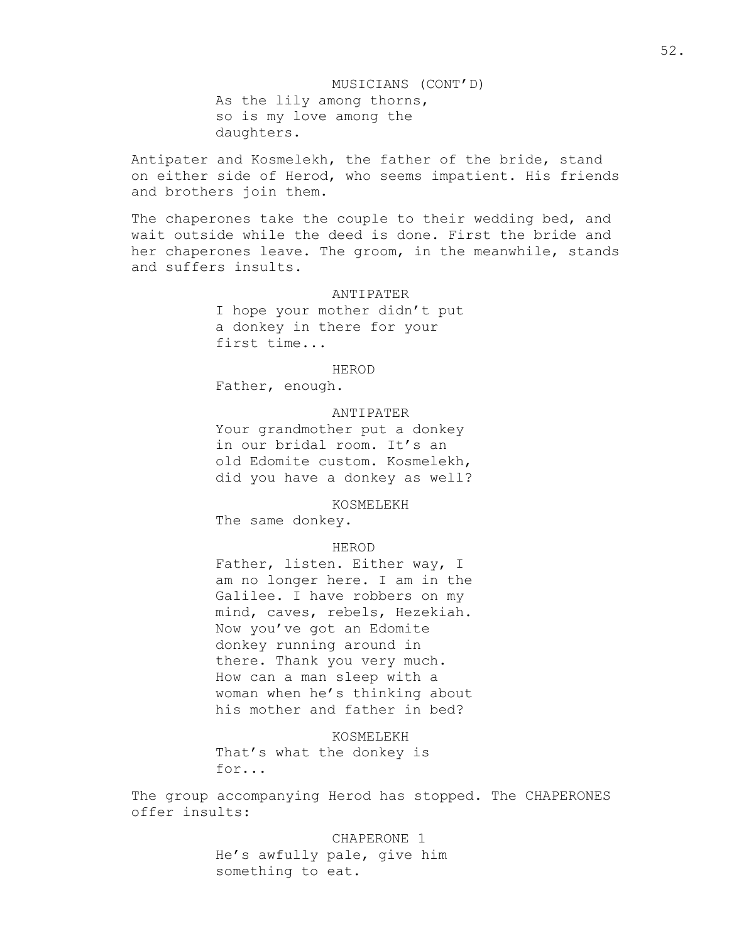MUSICIANS (CONT'D) As the lily among thorns, so is my love among the daughters.

Antipater and Kosmelekh, the father of the bride, stand on either side of Herod, who seems impatient. His friends and brothers join them.

The chaperones take the couple to their wedding bed, and wait outside while the deed is done. First the bride and her chaperones leave. The groom, in the meanwhile, stands and suffers insults.

#### ANTIPATER

I hope your mother didn't put a donkey in there for your first time...

#### HEROD

Father, enough.

## ANTIPATER

Your grandmother put a donkey in our bridal room. It's an old Edomite custom. Kosmelekh, did you have a donkey as well?

KOSMELEKH

The same donkey.

## HEROD

Father, listen. Either way, I am no longer here. I am in the Galilee. I have robbers on my mind, caves, rebels, Hezekiah. Now you've got an Edomite donkey running around in there. Thank you very much. How can a man sleep with a woman when he's thinking about his mother and father in bed?

KOSMELEKH That's what the donkey is for...

The group accompanying Herod has stopped. The CHAPERONES offer insults:

> CHAPERONE 1 He's awfully pale, give him something to eat.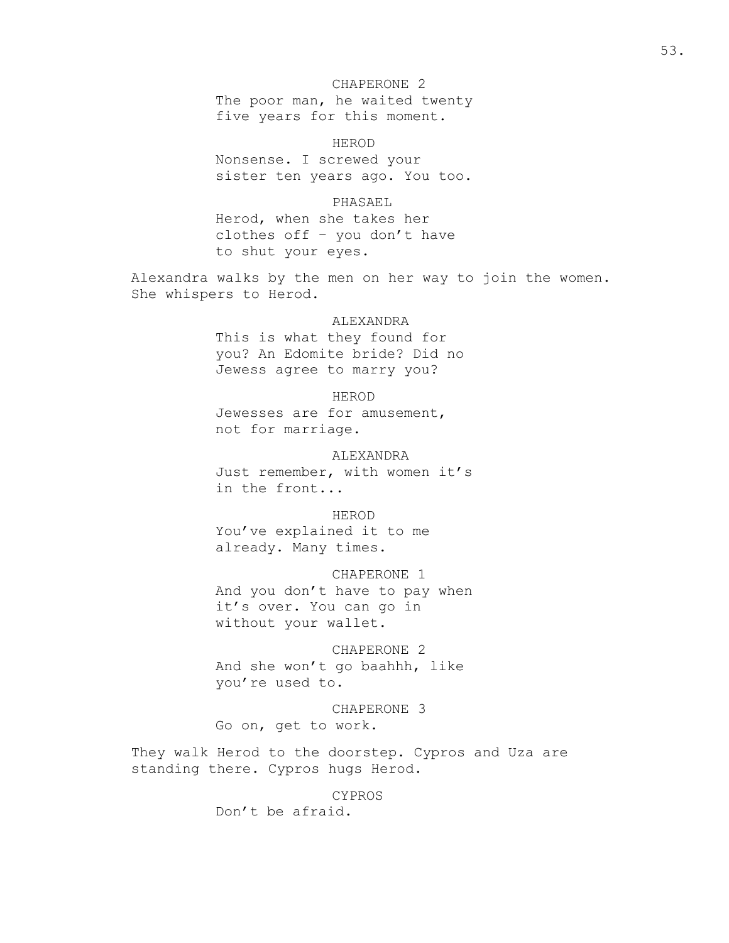## CHAPERONE 2

The poor man, he waited twenty five years for this moment.

HEROD

Nonsense. I screwed your sister ten years ago. You too.

## PHASAEL

Herod, when she takes her clothes off – you don't have to shut your eyes.

Alexandra walks by the men on her way to join the women. She whispers to Herod.

## ALEXANDRA

This is what they found for you? An Edomite bride? Did no Jewess agree to marry you?

HEROD Jewesses are for amusement, not for marriage.

ALEXANDRA Just remember, with women it's in the front...

## HEROD

You've explained it to me already. Many times.

CHAPERONE 1 And you don't have to pay when it's over. You can go in without your wallet.

CHAPERONE 2 And she won't go baahhh, like you're used to.

CHAPERONE 3 Go on, get to work.

They walk Herod to the doorstep. Cypros and Uza are standing there. Cypros hugs Herod.

#### CYPROS

Don't be afraid.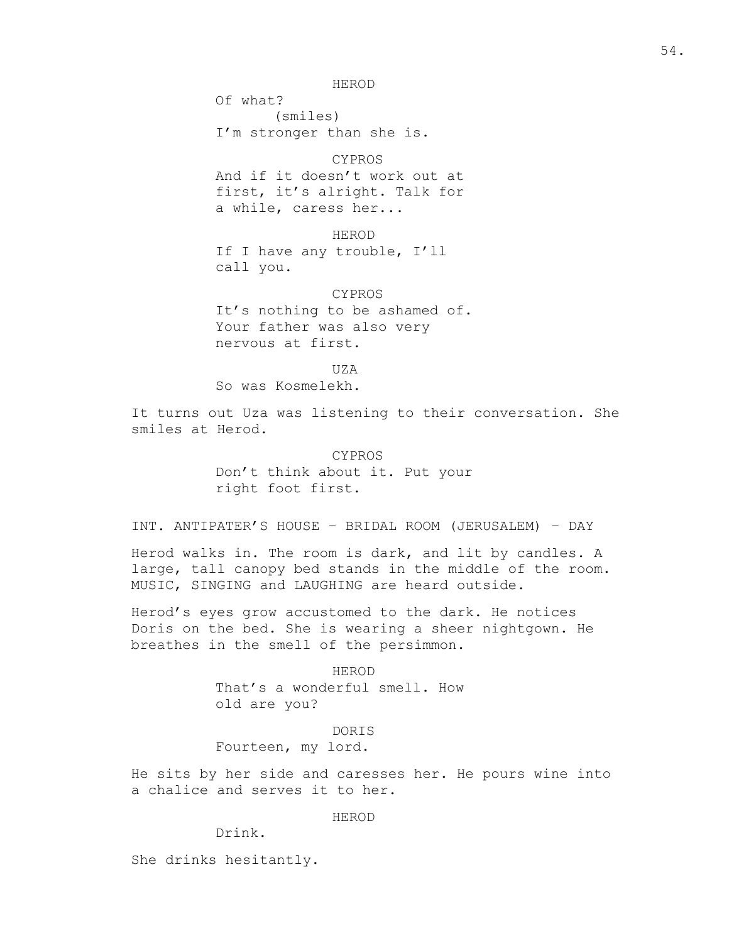HEROD

Of what? (smiles) I'm stronger than she is.

### CYPROS

And if it doesn't work out at first, it's alright. Talk for a while, caress her...

HEROD If I have any trouble, I'll call you.

CYPROS It's nothing to be ashamed of. Your father was also very nervous at first.

 $TIZA$ 

So was Kosmelekh.

It turns out Uza was listening to their conversation. She smiles at Herod.

> CYPROS Don't think about it. Put your right foot first.

INT. ANTIPATER'S HOUSE – BRIDAL ROOM (JERUSALEM) – DAY

Herod walks in. The room is dark, and lit by candles. A large, tall canopy bed stands in the middle of the room. MUSIC, SINGING and LAUGHING are heard outside.

Herod's eyes grow accustomed to the dark. He notices Doris on the bed. She is wearing a sheer nightgown. He breathes in the smell of the persimmon.

> HEROD That's a wonderful smell. How old are you?

> > DORIS

Fourteen, my lord.

He sits by her side and caresses her. He pours wine into a chalice and serves it to her.

HEROD

Drink.

She drinks hesitantly.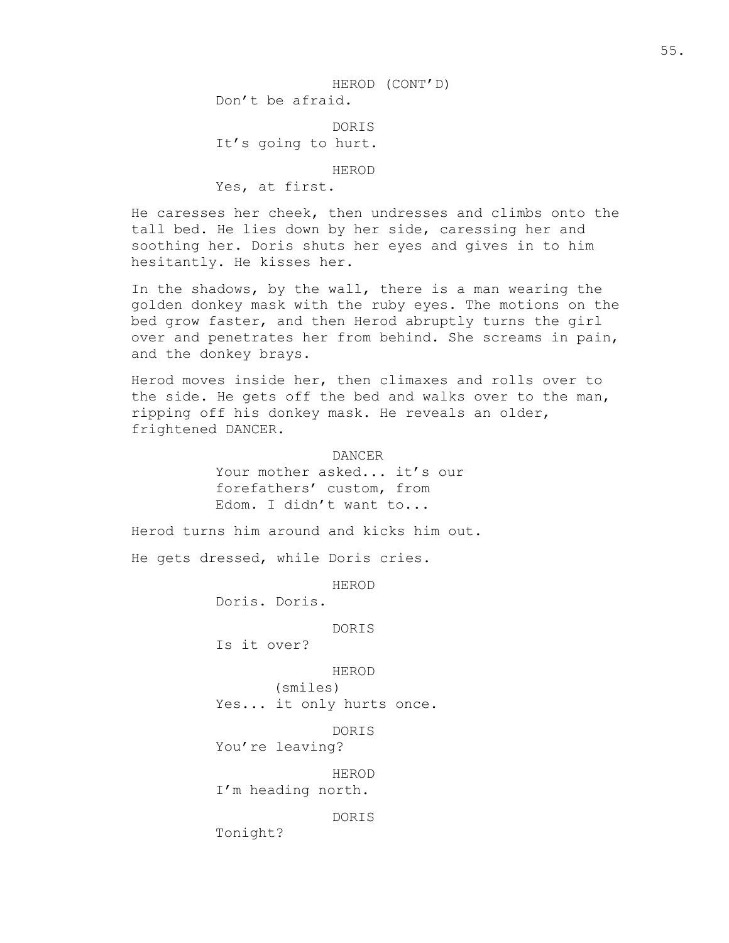DORIS It's going to hurt.

HEROD

Yes, at first.

He caresses her cheek, then undresses and climbs onto the tall bed. He lies down by her side, caressing her and soothing her. Doris shuts her eyes and gives in to him hesitantly. He kisses her.

In the shadows, by the wall, there is a man wearing the golden donkey mask with the ruby eyes. The motions on the bed grow faster, and then Herod abruptly turns the girl over and penetrates her from behind. She screams in pain, and the donkey brays.

Herod moves inside her, then climaxes and rolls over to the side. He gets off the bed and walks over to the man, ripping off his donkey mask. He reveals an older, frightened DANCER.

> DANCER Your mother asked... it's our forefathers' custom, from Edom. I didn't want to...

Herod turns him around and kicks him out.

He gets dressed, while Doris cries.

HEROD

Doris. Doris.

DORIS

Is it over?

HEROD

(smiles) Yes... it only hurts once.

DORIS

You're leaving?

HEROD I'm heading north.

DORIS

Tonight?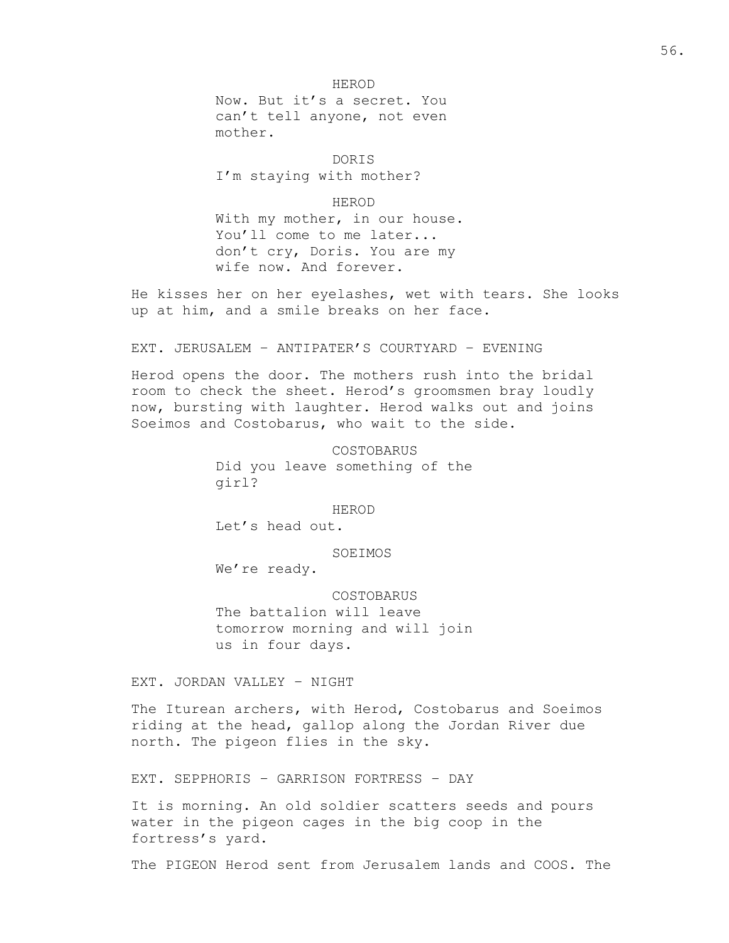#### HEROD

Now. But it's a secret. You can't tell anyone, not even mother.

DORIS I'm staying with mother?

HEROD With my mother, in our house.

You'll come to me later... don't cry, Doris. You are my wife now. And forever.

He kisses her on her eyelashes, wet with tears. She looks up at him, and a smile breaks on her face.

EXT. JERUSALEM – ANTIPATER'S COURTYARD – EVENING

Herod opens the door. The mothers rush into the bridal room to check the sheet. Herod's groomsmen bray loudly now, bursting with laughter. Herod walks out and joins Soeimos and Costobarus, who wait to the side.

> COSTOBARUS Did you leave something of the girl?

> > HEROD

Let's head out.

SOEIMOS

We're ready.

COSTOBARUS The battalion will leave tomorrow morning and will join us in four days.

EXT. JORDAN VALLEY – NIGHT

The Iturean archers, with Herod, Costobarus and Soeimos riding at the head, gallop along the Jordan River due north. The pigeon flies in the sky.

EXT. SEPPHORIS – GARRISON FORTRESS – DAY

It is morning. An old soldier scatters seeds and pours water in the pigeon cages in the big coop in the fortress's yard.

The PIGEON Herod sent from Jerusalem lands and COOS. The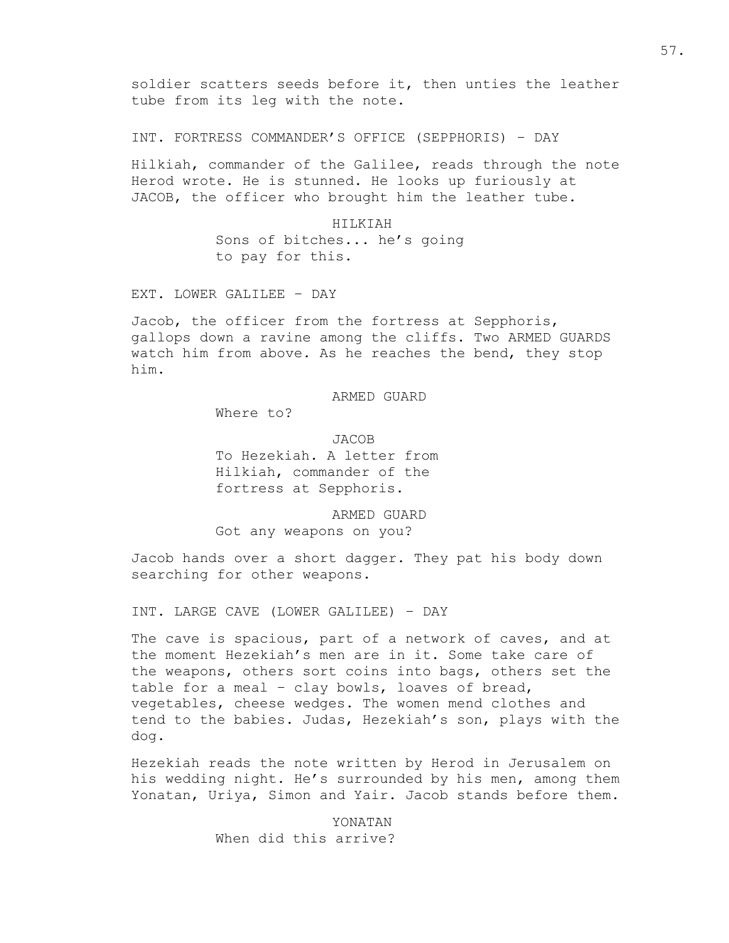soldier scatters seeds before it, then unties the leather tube from its leg with the note.

INT. FORTRESS COMMANDER'S OFFICE (SEPPHORIS) – DAY

Hilkiah, commander of the Galilee, reads through the note Herod wrote. He is stunned. He looks up furiously at JACOB, the officer who brought him the leather tube.

> HILKIAH Sons of bitches... he's going to pay for this.

EXT. LOWER GALILEE – DAY

Jacob, the officer from the fortress at Sepphoris, gallops down a ravine among the cliffs. Two ARMED GUARDS watch him from above. As he reaches the bend, they stop him.

ARMED GUARD

Where to?

JACOB To Hezekiah. A letter from Hilkiah, commander of the fortress at Sepphoris.

ARMED GUARD Got any weapons on you?

Jacob hands over a short dagger. They pat his body down searching for other weapons.

INT. LARGE CAVE (LOWER GALILEE) – DAY

The cave is spacious, part of a network of caves, and at the moment Hezekiah's men are in it. Some take care of the weapons, others sort coins into bags, others set the table for a meal – clay bowls, loaves of bread, vegetables, cheese wedges. The women mend clothes and tend to the babies. Judas, Hezekiah's son, plays with the dog.

Hezekiah reads the note written by Herod in Jerusalem on his wedding night. He's surrounded by his men, among them Yonatan, Uriya, Simon and Yair. Jacob stands before them.

> YONATAN When did this arrive?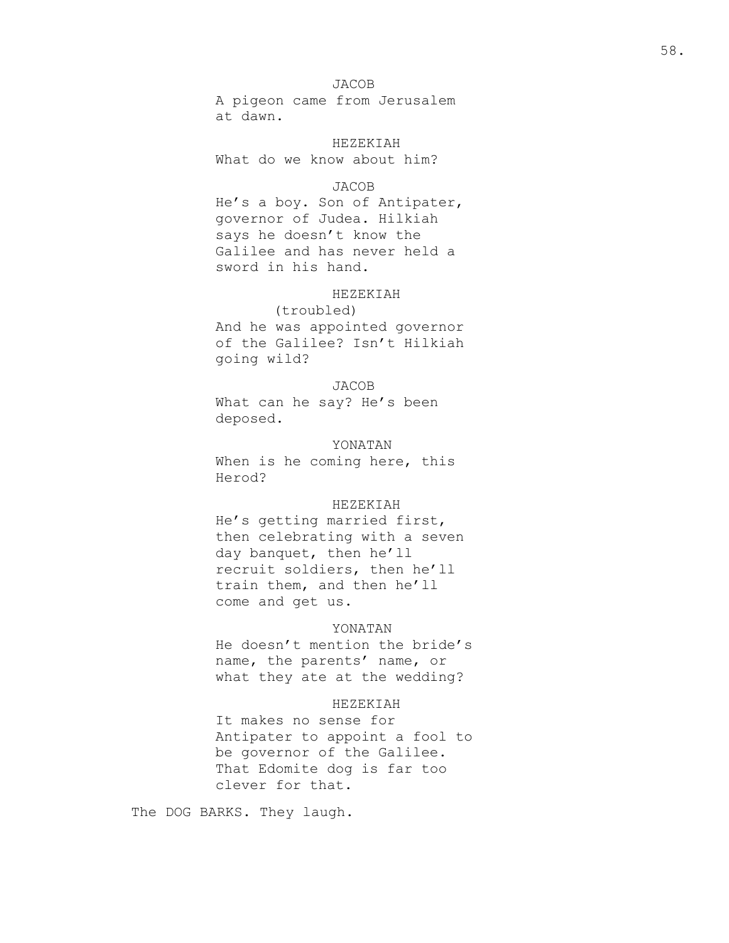## JACOB

A pigeon came from Jerusalem at dawn.

HEZEKIAH What do we know about him?

## JACOB

He's a boy. Son of Antipater, governor of Judea. Hilkiah says he doesn't know the Galilee and has never held a sword in his hand.

## HEZEKIAH

(troubled) And he was appointed governor of the Galilee? Isn't Hilkiah going wild?

## JACOB

What can he say? He's been deposed.

## YONATAN

When is he coming here, this Herod?

## HEZEKIAH

He's getting married first, then celebrating with a seven day banquet, then he'll recruit soldiers, then he'll train them, and then he'll come and get us.

### YONATAN

He doesn't mention the bride's name, the parents' name, or what they ate at the wedding?

## HEZEKIAH

It makes no sense for Antipater to appoint a fool to be governor of the Galilee. That Edomite dog is far too clever for that.

The DOG BARKS. They laugh.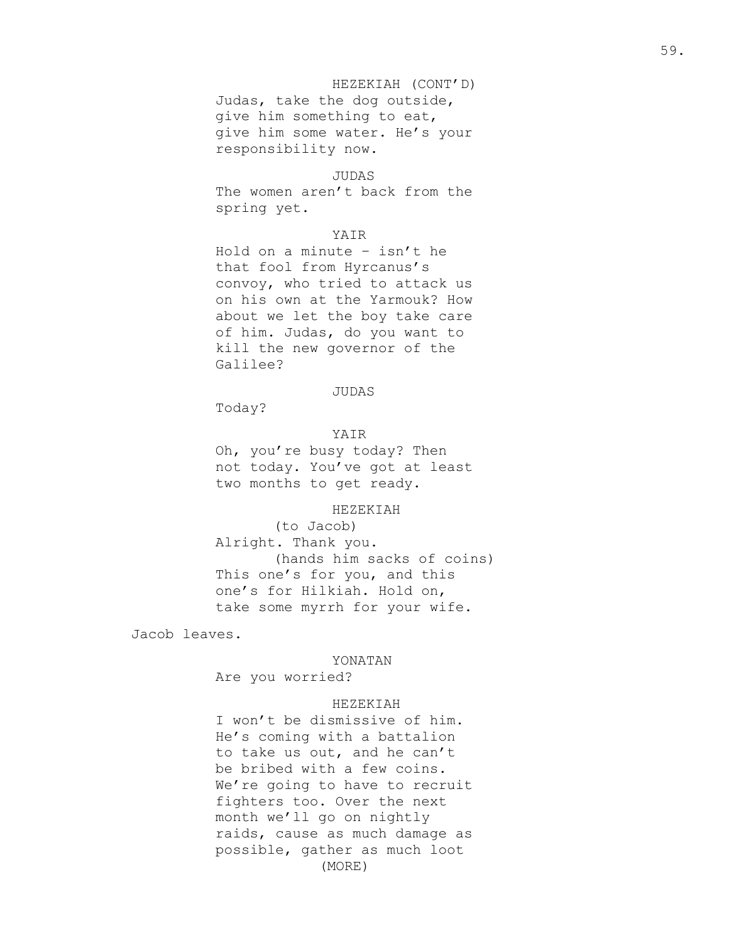# HEZEKIAH (CONT'D) Judas, take the dog outside, give him something to eat, give him some water. He's your responsibility now.

### JUDAS

The women aren't back from the spring yet.

## YAIR

Hold on a minute – isn't he that fool from Hyrcanus's convoy, who tried to attack us on his own at the Yarmouk? How about we let the boy take care of him. Judas, do you want to kill the new governor of the Galilee?

## JUDAS

Today?

## YAIR

Oh, you're busy today? Then not today. You've got at least two months to get ready.

## HEZEKIAH

(to Jacob) Alright. Thank you. (hands him sacks of coins) This one's for you, and this one's for Hilkiah. Hold on, take some myrrh for your wife.

Jacob leaves.

### YONATAN

Are you worried?

### HEZEKIAH

I won't be dismissive of him. He's coming with a battalion to take us out, and he can't be bribed with a few coins. We're going to have to recruit fighters too. Over the next month we'll go on nightly raids, cause as much damage as possible, gather as much loot (MORE)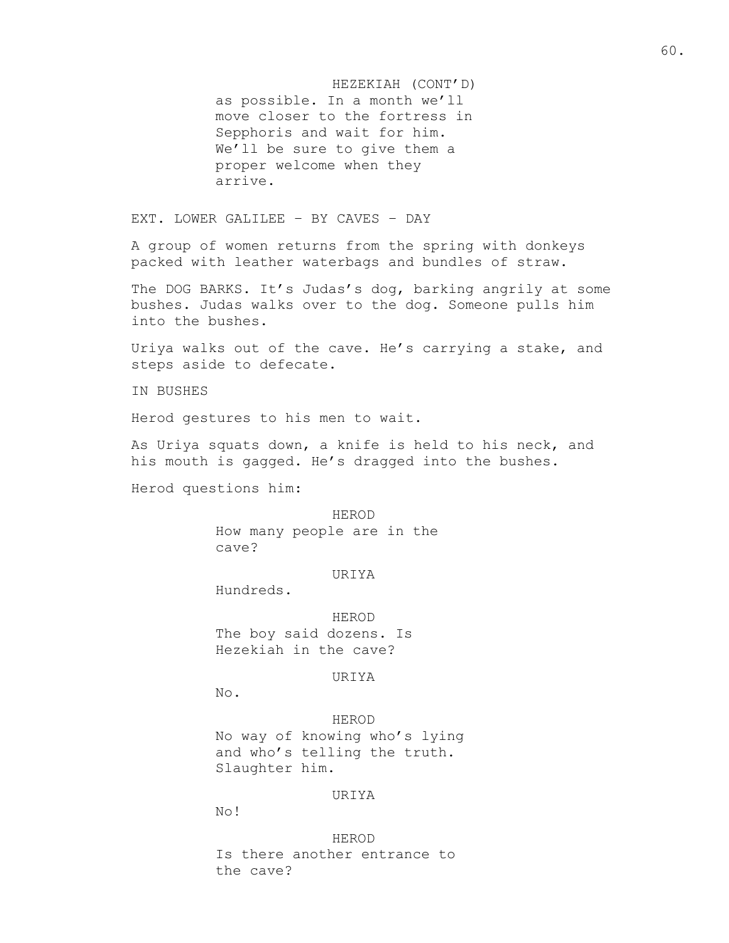HEZEKIAH (CONT'D) as possible. In a month we'll move closer to the fortress in Sepphoris and wait for him. We'll be sure to give them a proper welcome when they arrive.

EXT. LOWER GALILEE – BY CAVES – DAY

A group of women returns from the spring with donkeys packed with leather waterbags and bundles of straw.

The DOG BARKS. It's Judas's dog, barking angrily at some bushes. Judas walks over to the dog. Someone pulls him into the bushes.

Uriya walks out of the cave. He's carrying a stake, and steps aside to defecate.

IN BUSHES

Herod gestures to his men to wait.

As Uriya squats down, a knife is held to his neck, and his mouth is gagged. He's dragged into the bushes.

Herod questions him:

#### HEROD

How many people are in the cave?

#### URIYA

Hundreds.

HEROD The boy said dozens. Is Hezekiah in the cave?

## URIYA

No.

HEROD No way of knowing who's lying and who's telling the truth. Slaughter him.

#### URIYA

No!

HEROD Is there another entrance to the cave?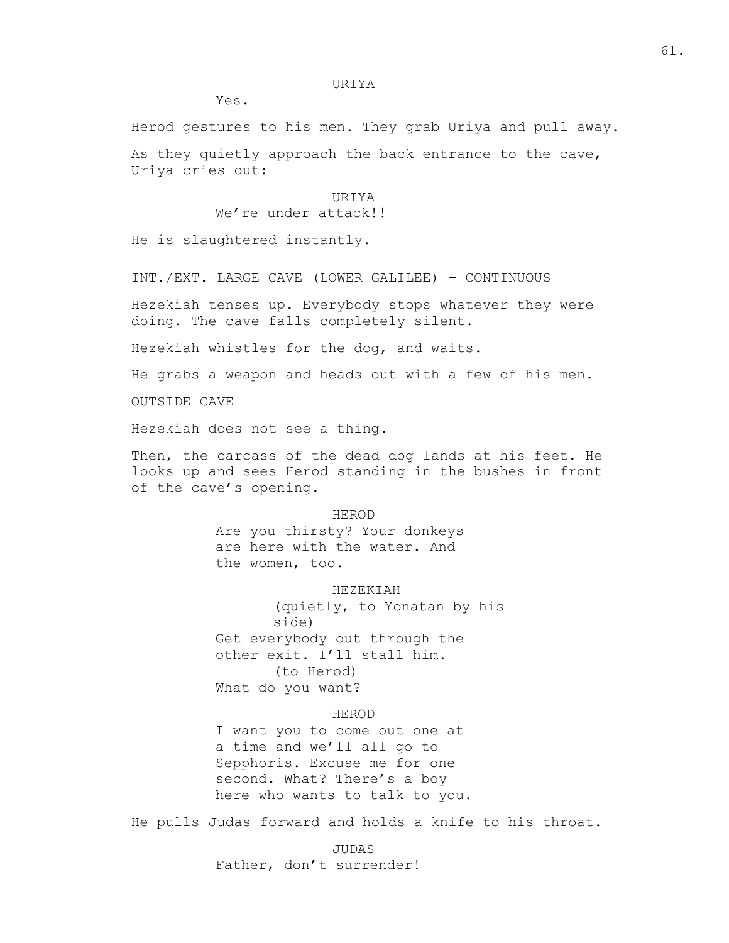#### URIYA

Yes.

Herod gestures to his men. They grab Uriya and pull away.

As they quietly approach the back entrance to the cave, Uriya cries out:

## URIYA

We're under attack!!

He is slaughtered instantly.

INT./EXT. LARGE CAVE (LOWER GALILEE) – CONTINUOUS

Hezekiah tenses up. Everybody stops whatever they were doing. The cave falls completely silent.

Hezekiah whistles for the dog, and waits.

He grabs a weapon and heads out with a few of his men.

OUTSIDE CAVE

Hezekiah does not see a thing.

Then, the carcass of the dead dog lands at his feet. He looks up and sees Herod standing in the bushes in front of the cave's opening.

#### HEROD

Are you thirsty? Your donkeys are here with the water. And the women, too.

HEZEKIAH

(quietly, to Yonatan by his side) Get everybody out through the other exit. I'll stall him. (to Herod) What do you want?

### HEROD

I want you to come out one at a time and we'll all go to Sepphoris. Excuse me for one second. What? There's a boy here who wants to talk to you.

He pulls Judas forward and holds a knife to his throat.

JUDAS Father, don't surrender!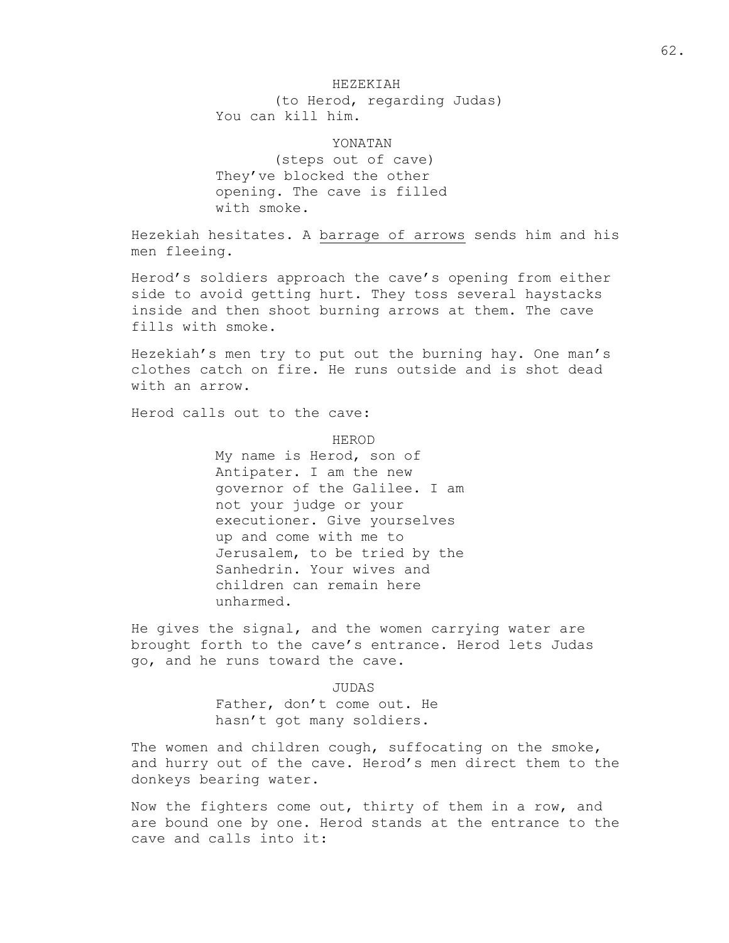# HEZEKIAH

(to Herod, regarding Judas) You can kill him.

YONATAN

(steps out of cave) They've blocked the other opening. The cave is filled with smoke.

Hezekiah hesitates. A barrage of arrows sends him and his men fleeing.

Herod's soldiers approach the cave's opening from either side to avoid getting hurt. They toss several haystacks inside and then shoot burning arrows at them. The cave fills with smoke.

Hezekiah's men try to put out the burning hay. One man's clothes catch on fire. He runs outside and is shot dead with an arrow.

Herod calls out to the cave:

HEROD My name is Herod, son of Antipater. I am the new governor of the Galilee. I am not your judge or your executioner. Give yourselves up and come with me to Jerusalem, to be tried by the Sanhedrin. Your wives and children can remain here unharmed.

He gives the signal, and the women carrying water are brought forth to the cave's entrance. Herod lets Judas go, and he runs toward the cave.

> JUDAS Father, don't come out. He hasn't got many soldiers.

The women and children cough, suffocating on the smoke, and hurry out of the cave. Herod's men direct them to the donkeys bearing water.

Now the fighters come out, thirty of them in a row, and are bound one by one. Herod stands at the entrance to the cave and calls into it: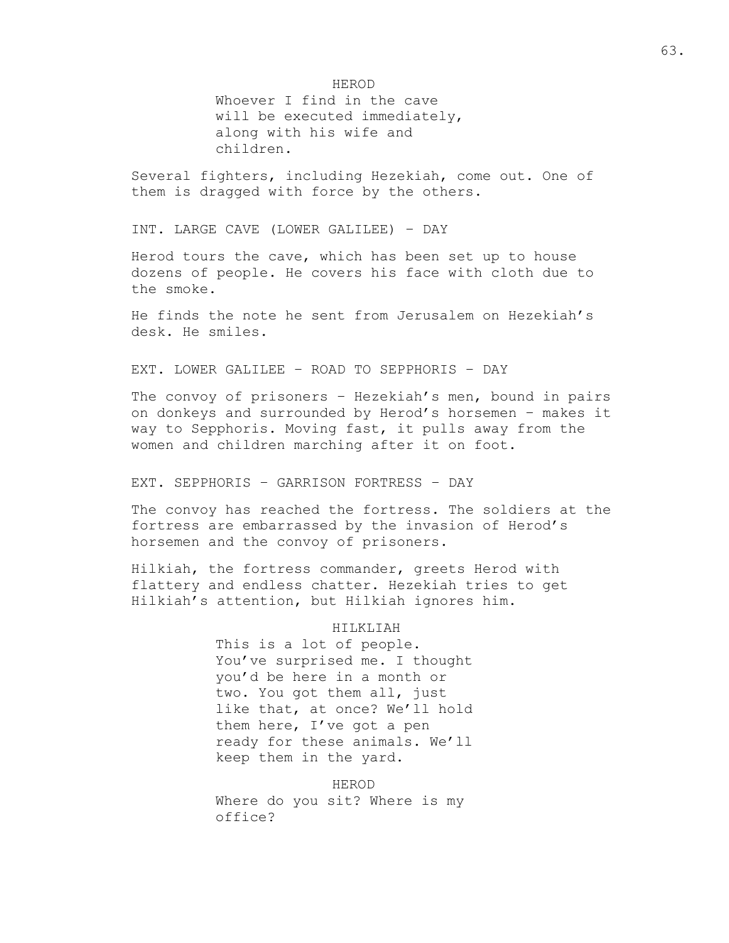HEROD

Whoever I find in the cave will be executed immediately, along with his wife and children.

Several fighters, including Hezekiah, come out. One of them is dragged with force by the others.

INT. LARGE CAVE (LOWER GALILEE) – DAY

Herod tours the cave, which has been set up to house dozens of people. He covers his face with cloth due to the smoke.

He finds the note he sent from Jerusalem on Hezekiah's desk. He smiles.

EXT. LOWER GALILEE – ROAD TO SEPPHORIS – DAY

The convoy of prisoners – Hezekiah's men, bound in pairs on donkeys and surrounded by Herod's horsemen – makes it way to Sepphoris. Moving fast, it pulls away from the women and children marching after it on foot.

EXT. SEPPHORIS – GARRISON FORTRESS – DAY

The convoy has reached the fortress. The soldiers at the fortress are embarrassed by the invasion of Herod's horsemen and the convoy of prisoners.

Hilkiah, the fortress commander, greets Herod with flattery and endless chatter. Hezekiah tries to get Hilkiah's attention, but Hilkiah ignores him.

### HILKLIAH

This is a lot of people. You've surprised me. I thought you'd be here in a month or two. You got them all, just like that, at once? We'll hold them here, I've got a pen ready for these animals. We'll keep them in the yard.

HEROD Where do you sit? Where is my office?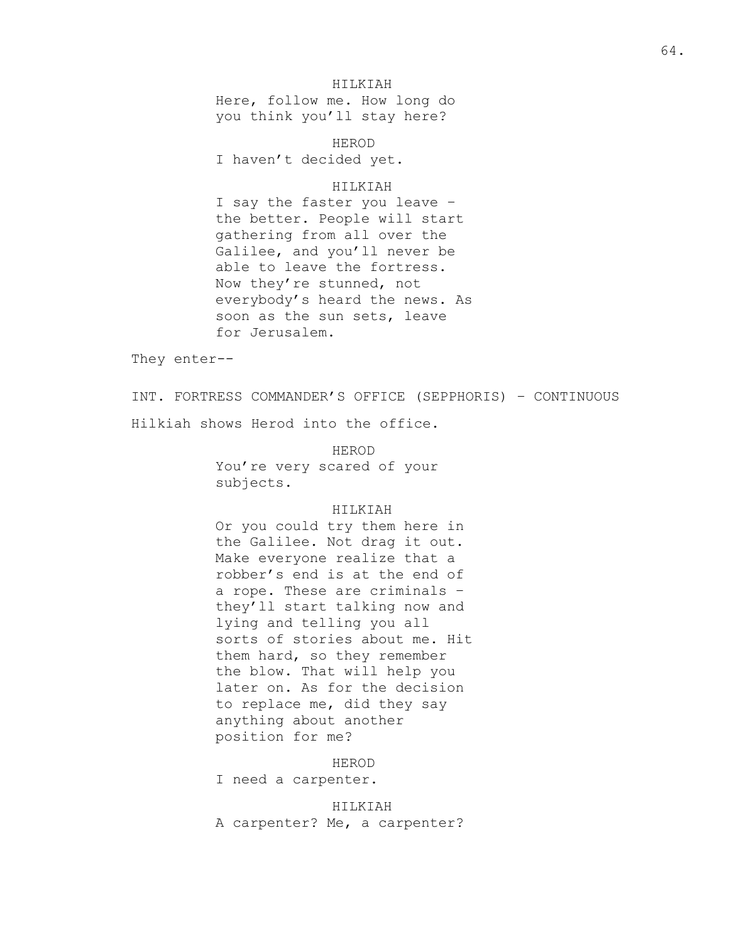## HILKIAH

Here, follow me. How long do you think you'll stay here?

HEROD I haven't decided yet.

## HILKIAH

I say the faster you leave – the better. People will start gathering from all over the Galilee, and you'll never be able to leave the fortress. Now they're stunned, not everybody's heard the news. As soon as the sun sets, leave for Jerusalem.

They enter--

INT. FORTRESS COMMANDER'S OFFICE (SEPPHORIS) – CONTINUOUS Hilkiah shows Herod into the office.

> HEROD You're very scared of your subjects.

## HILKIAH

Or you could try them here in the Galilee. Not drag it out. Make everyone realize that a robber's end is at the end of a rope. These are criminals – they'll start talking now and lying and telling you all sorts of stories about me. Hit them hard, so they remember the blow. That will help you later on. As for the decision to replace me, did they say anything about another position for me?

HEROD

I need a carpenter.

HILKIAH A carpenter? Me, a carpenter?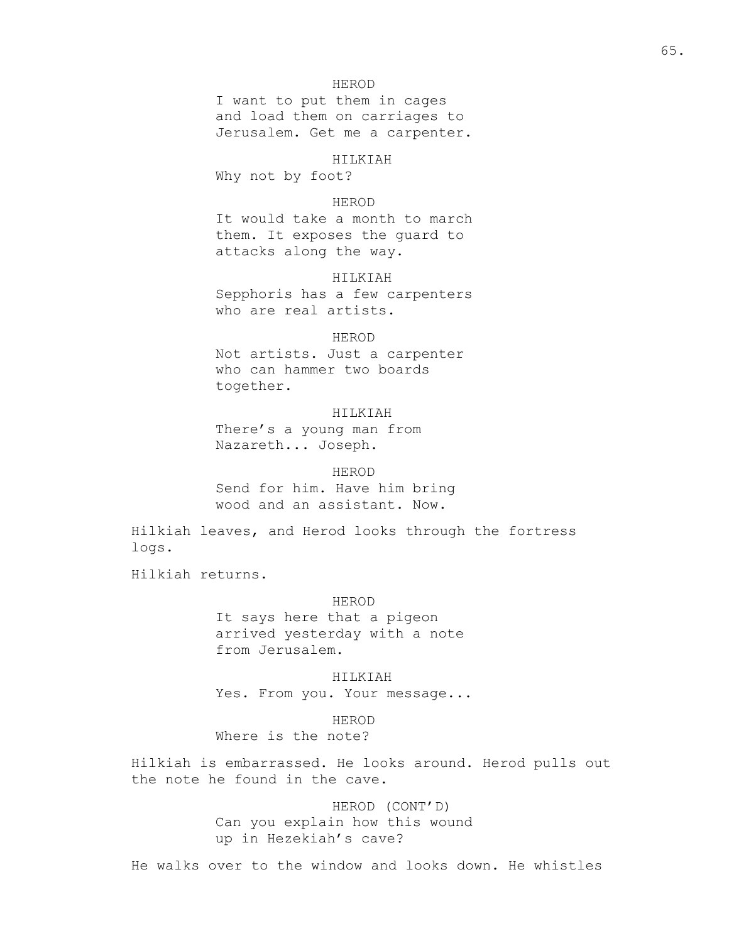## 65.

## HEROD

I want to put them in cages and load them on carriages to Jerusalem. Get me a carpenter.

#### HILKIAH

Why not by foot?

## HEROD

It would take a month to march them. It exposes the guard to attacks along the way.

## HILKIAH

Sepphoris has a few carpenters who are real artists.

## HEROD

Not artists. Just a carpenter who can hammer two boards together.

## HILKIAH

There's a young man from Nazareth... Joseph.

### HEROD

Send for him. Have him bring wood and an assistant. Now.

Hilkiah leaves, and Herod looks through the fortress logs.

Hilkiah returns.

### HEROD

It says here that a pigeon arrived yesterday with a note from Jerusalem.

HILKIAH Yes. From you. Your message...

## HEROD

# Where is the note?

Hilkiah is embarrassed. He looks around. Herod pulls out the note he found in the cave.

> HEROD (CONT'D) Can you explain how this wound up in Hezekiah's cave?

He walks over to the window and looks down. He whistles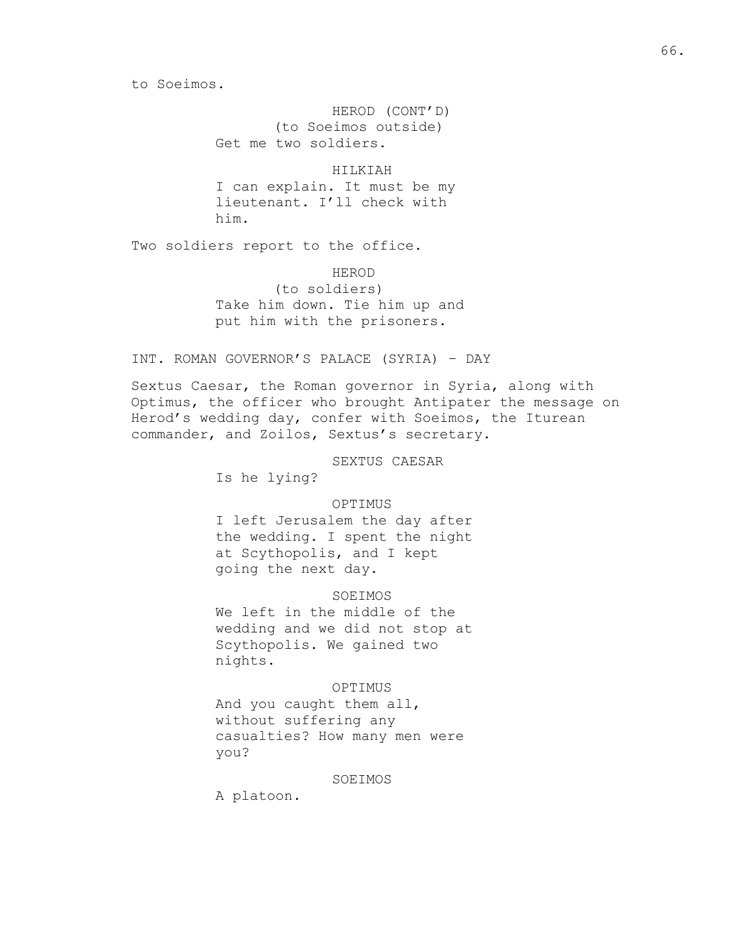to Soeimos.

HEROD (CONT'D) (to Soeimos outside) Get me two soldiers.

HILKIAH I can explain. It must be my lieutenant. I'll check with him.

Two soldiers report to the office.

HEROD (to soldiers) Take him down. Tie him up and put him with the prisoners.

INT. ROMAN GOVERNOR'S PALACE (SYRIA) – DAY

Sextus Caesar, the Roman governor in Syria, along with Optimus, the officer who brought Antipater the message on Herod's wedding day, confer with Soeimos, the Iturean commander, and Zoilos, Sextus's secretary.

SEXTUS CAESAR

Is he lying?

## OPTIMUS

I left Jerusalem the day after the wedding. I spent the night at Scythopolis, and I kept going the next day.

SOEIMOS

We left in the middle of the wedding and we did not stop at Scythopolis. We gained two nights.

### OPTIMUS

And you caught them all, without suffering any casualties? How many men were you?

### SOEIMOS

A platoon.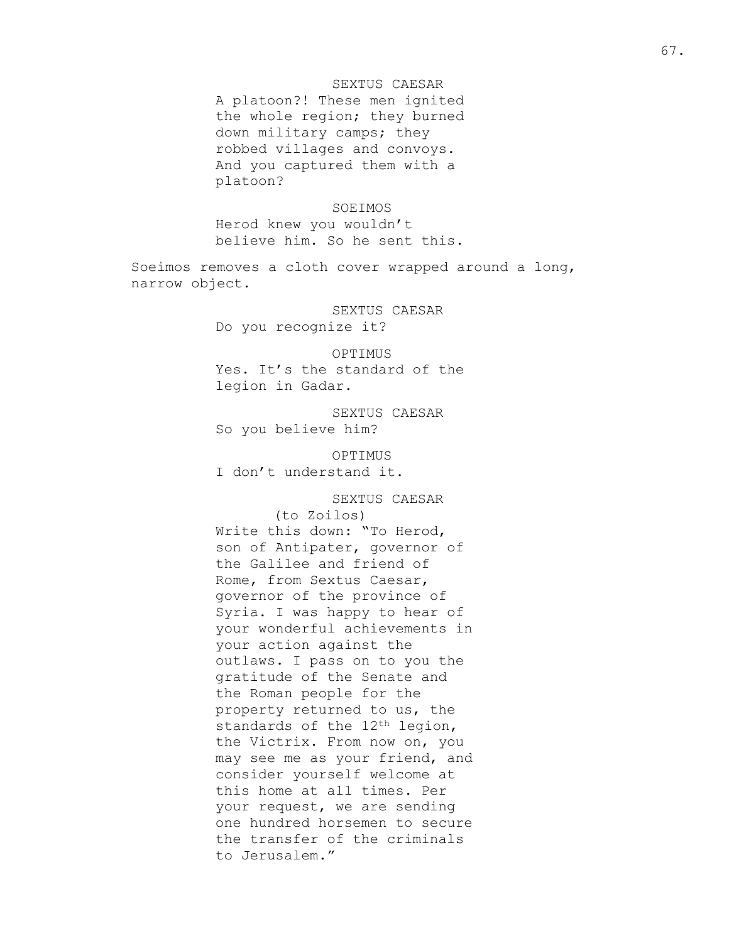## SEXTUS CAESAR

A platoon?! These men ignited the whole region; they burned down military camps; they robbed villages and convoys. And you captured them with a platoon?

### SOEIMOS

Herod knew you wouldn't believe him. So he sent this.

Soeimos removes a cloth cover wrapped around a long, narrow object.

> SEXTUS CAESAR Do you recognize it?

## OPTIMUS

Yes. It's the standard of the legion in Gadar.

SEXTUS CAESAR So you believe him?

OPTIMUS I don't understand it.

SEXTUS CAESAR (to Zoilos) Write this down: "To Herod, son of Antipater, governor of the Galilee and friend of Rome, from Sextus Caesar, governor of the province of Syria. I was happy to hear of your wonderful achievements in your action against the outlaws. I pass on to you the gratitude of the Senate and the Roman people for the property returned to us, the standards of the 12<sup>th</sup> legion, the Victrix. From now on, you may see me as your friend, and consider yourself welcome at this home at all times. Per your request, we are sending one hundred horsemen to secure the transfer of the criminals to Jerusalem."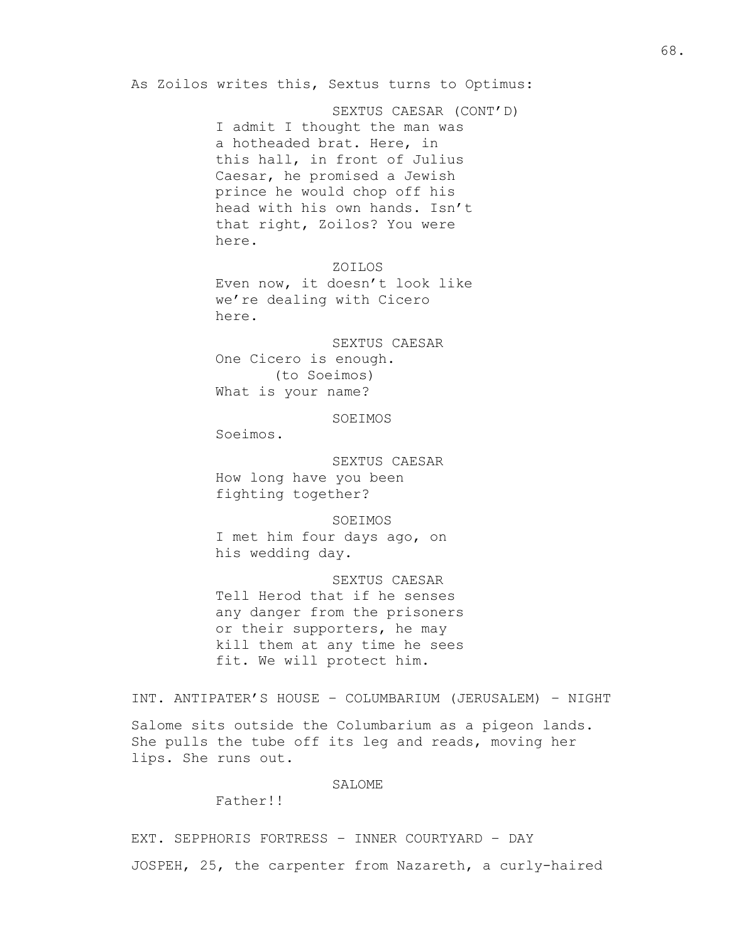SEXTUS CAESAR (CONT'D) I admit I thought the man was a hotheaded brat. Here, in this hall, in front of Julius Caesar, he promised a Jewish prince he would chop off his head with his own hands. Isn't that right, Zoilos? You were here.

### ZOILOS

Even now, it doesn't look like we're dealing with Cicero here.

SEXTUS CAESAR One Cicero is enough. (to Soeimos) What is your name?

SOEIMOS

Soeimos.

SEXTUS CAESAR How long have you been fighting together?

SOEIMOS I met him four days ago, on his wedding day.

SEXTUS CAESAR Tell Herod that if he senses any danger from the prisoners or their supporters, he may kill them at any time he sees fit. We will protect him.

INT. ANTIPATER'S HOUSE – COLUMBARIUM (JERUSALEM) – NIGHT

Salome sits outside the Columbarium as a pigeon lands. She pulls the tube off its leg and reads, moving her lips. She runs out.

## SALOME

Father!!

EXT. SEPPHORIS FORTRESS – INNER COURTYARD – DAY JOSPEH, 25, the carpenter from Nazareth, a curly-haired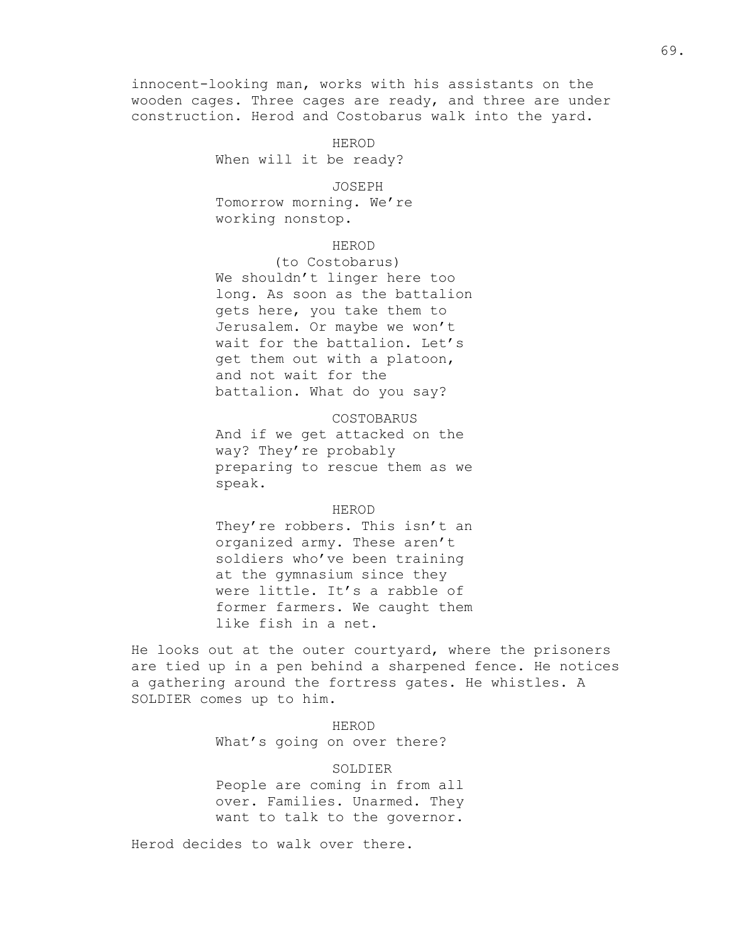innocent-looking man, works with his assistants on the wooden cages. Three cages are ready, and three are under construction. Herod and Costobarus walk into the yard.

> HEROD When will it be ready?

> > JOSEPH

Tomorrow morning. We're working nonstop.

## HEROD

(to Costobarus) We shouldn't linger here too long. As soon as the battalion gets here, you take them to Jerusalem. Or maybe we won't wait for the battalion. Let's get them out with a platoon, and not wait for the battalion. What do you say?

COSTOBARUS And if we get attacked on the way? They're probably preparing to rescue them as we speak.

### HEROD

They're robbers. This isn't an organized army. These aren't soldiers who've been training at the gymnasium since they were little. It's a rabble of former farmers. We caught them like fish in a net.

He looks out at the outer courtyard, where the prisoners are tied up in a pen behind a sharpened fence. He notices a gathering around the fortress gates. He whistles. A SOLDIER comes up to him.

> HEROD What's going on over there?

SOLDIER People are coming in from all over. Families. Unarmed. They want to talk to the governor.

Herod decides to walk over there.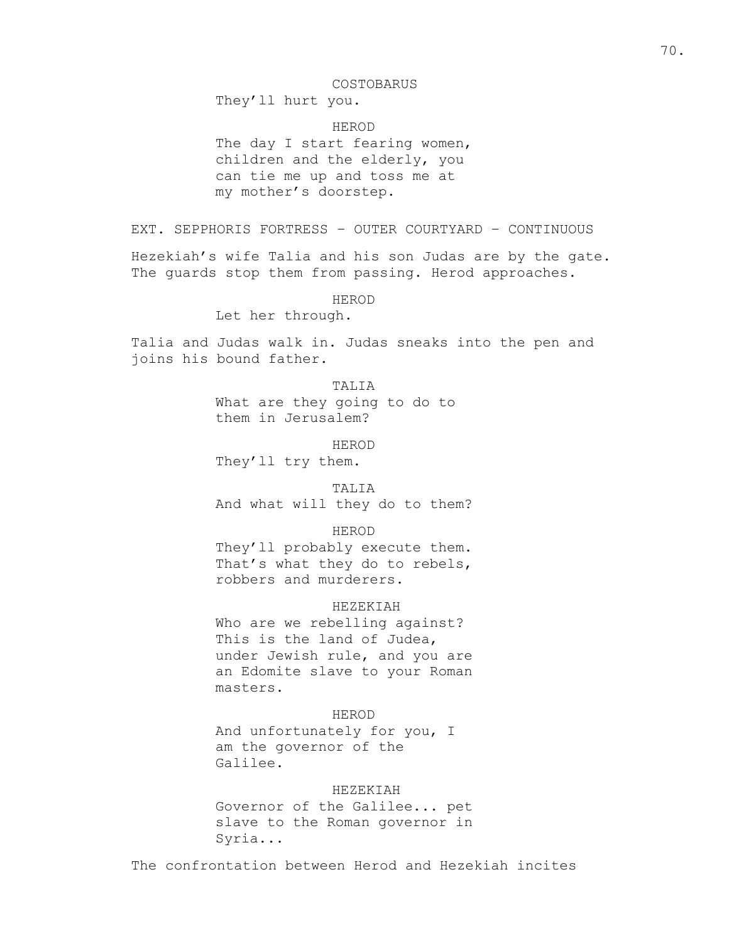#### COSTOBARUS

They'll hurt you.

HEROD

The day I start fearing women, children and the elderly, you can tie me up and toss me at my mother's doorstep.

EXT. SEPPHORIS FORTRESS – OUTER COURTYARD – CONTINUOUS

Hezekiah's wife Talia and his son Judas are by the gate. The guards stop them from passing. Herod approaches.

HEROD

Let her through.

Talia and Judas walk in. Judas sneaks into the pen and joins his bound father.

## TALIA

What are they going to do to them in Jerusalem?

HEROD

They'll try them.

TALIA

And what will they do to them?

HEROD

They'll probably execute them. That's what they do to rebels, robbers and murderers.

### HEZEKIAH

Who are we rebelling against? This is the land of Judea, under Jewish rule, and you are an Edomite slave to your Roman masters.

HEROD And unfortunately for you, I am the governor of the Galilee.

## HEZEKIAH

Governor of the Galilee... pet slave to the Roman governor in Syria...

The confrontation between Herod and Hezekiah incites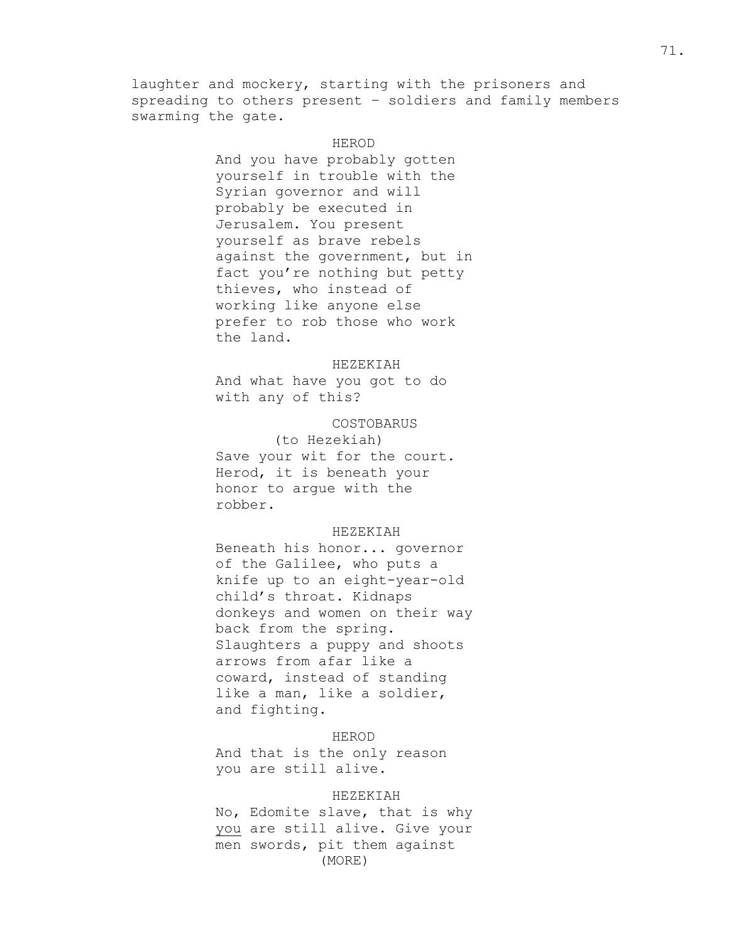laughter and mockery, starting with the prisoners and spreading to others present – soldiers and family members swarming the gate.

## HEROD

And you have probably gotten yourself in trouble with the Syrian governor and will probably be executed in Jerusalem. You present yourself as brave rebels against the government, but in fact you're nothing but petty thieves, who instead of working like anyone else prefer to rob those who work the land.

#### HEZEKIAH

And what have you got to do with any of this?

### COSTOBARUS

(to Hezekiah) Save your wit for the court. Herod, it is beneath your honor to argue with the robber.

## HEZEKIAH

Beneath his honor... governor of the Galilee, who puts a knife up to an eight-year-old child's throat. Kidnaps donkeys and women on their way back from the spring. Slaughters a puppy and shoots arrows from afar like a coward, instead of standing like a man, like a soldier, and fighting.

## HEROD

And that is the only reason you are still alive.

#### HEZEKIAH

No, Edomite slave, that is why you are still alive. Give your men swords, pit them against (MORE)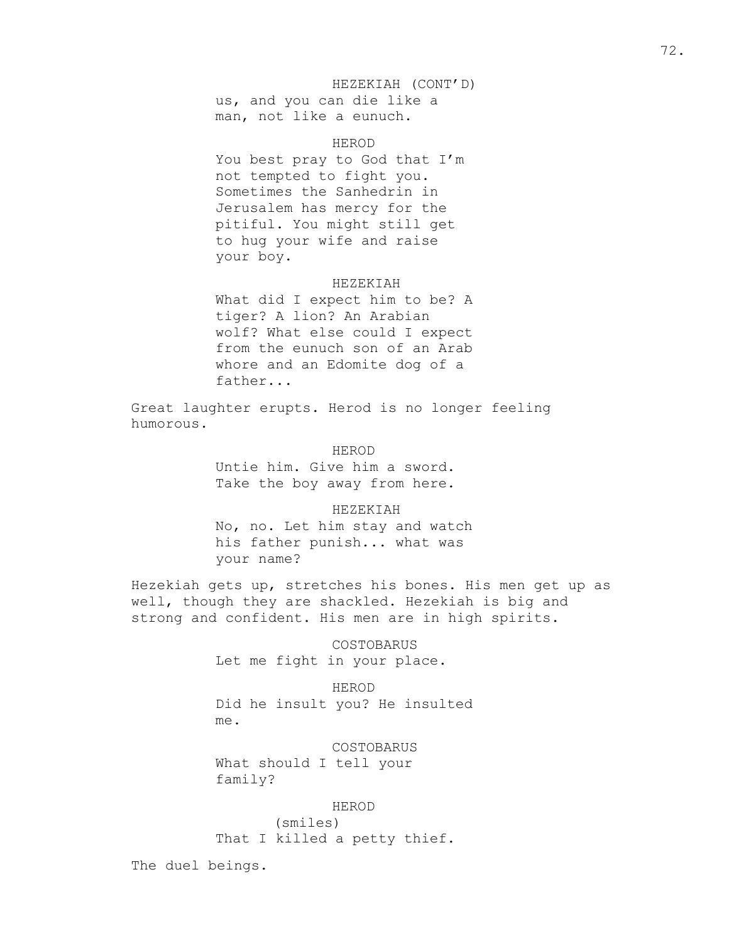## HEZEKIAH (CONT'D)

us, and you can die like a man, not like a eunuch.

HEROD

You best pray to God that I'm not tempted to fight you. Sometimes the Sanhedrin in Jerusalem has mercy for the pitiful. You might still get to hug your wife and raise your boy.

## HEZEKIAH

What did I expect him to be? A tiger? A lion? An Arabian wolf? What else could I expect from the eunuch son of an Arab whore and an Edomite dog of a father...

Great laughter erupts. Herod is no longer feeling humorous.

HEROD

Untie him. Give him a sword. Take the boy away from here.

#### HEZEKIAH

No, no. Let him stay and watch his father punish... what was your name?

Hezekiah gets up, stretches his bones. His men get up as well, though they are shackled. Hezekiah is big and strong and confident. His men are in high spirits.

> COSTOBARUS Let me fight in your place.

HEROD Did he insult you? He insulted me.

COSTOBARUS

What should I tell your family?

HEROD

(smiles) That I killed a petty thief.

The duel beings.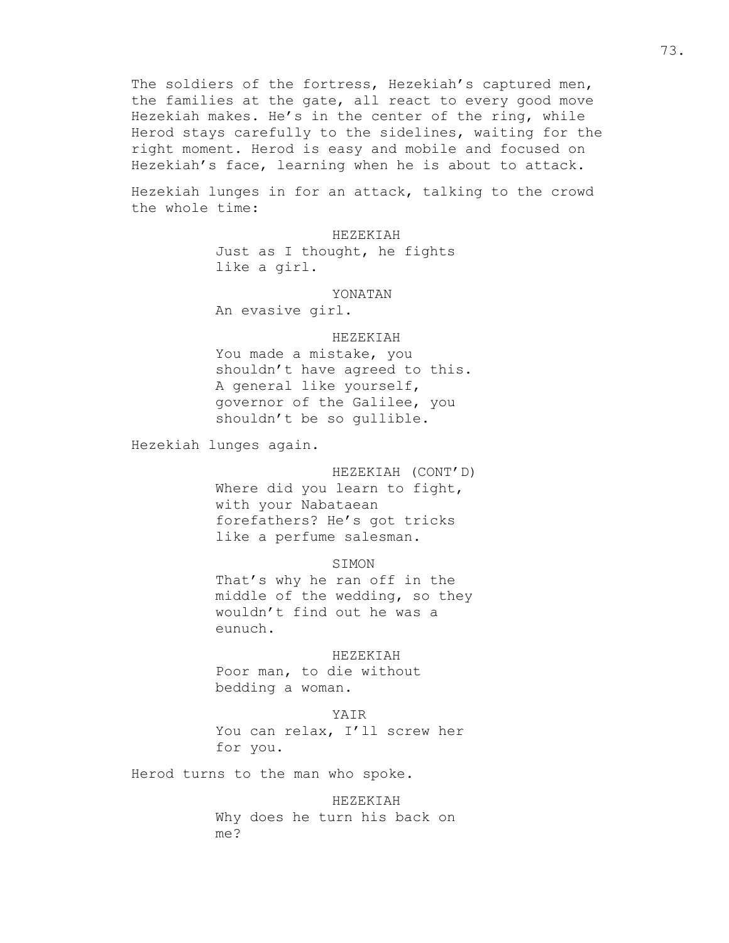The soldiers of the fortress, Hezekiah's captured men, the families at the gate, all react to every good move Hezekiah makes. He's in the center of the ring, while Herod stays carefully to the sidelines, waiting for the right moment. Herod is easy and mobile and focused on Hezekiah's face, learning when he is about to attack.

Hezekiah lunges in for an attack, talking to the crowd the whole time:

HEZEKIAH

Just as I thought, he fights like a girl.

YONATAN

An evasive girl.

#### HEZEKIAH

You made a mistake, you shouldn't have agreed to this. A general like yourself, governor of the Galilee, you shouldn't be so gullible.

Hezekiah lunges again.

HEZEKIAH (CONT'D) Where did you learn to fight, with your Nabataean forefathers? He's got tricks like a perfume salesman.

SIMON

That's why he ran off in the middle of the wedding, so they wouldn't find out he was a eunuch.

HEZEKIAH

Poor man, to die without bedding a woman.

# YAIR

You can relax, I'll screw her for you.

Herod turns to the man who spoke.

HEZEKIAH Why does he turn his back on me?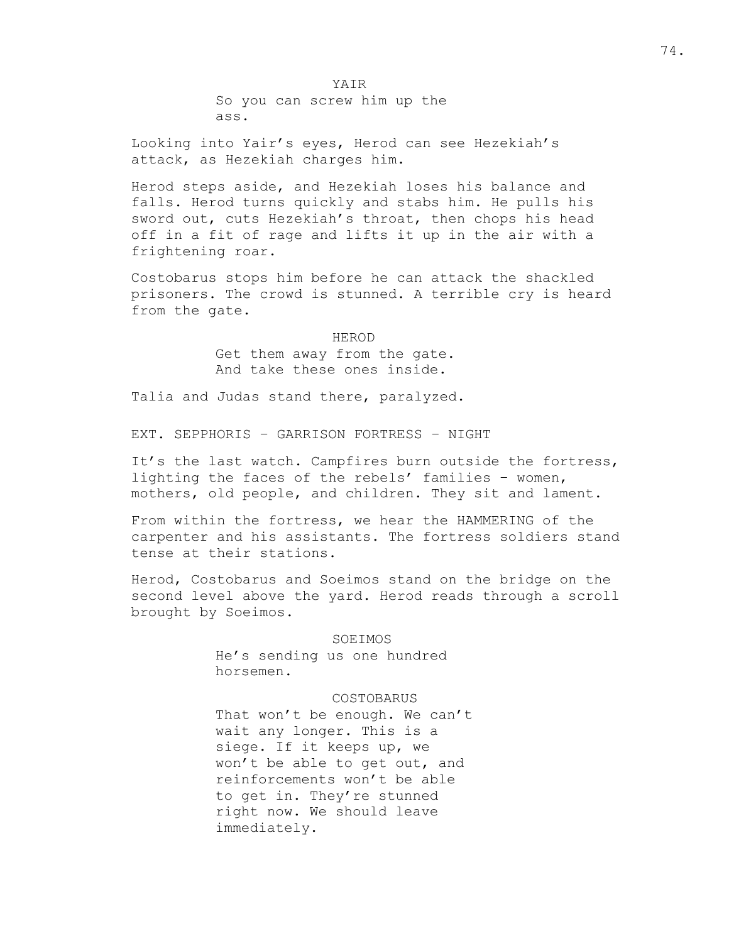YAIR So you can screw him up the ass.

Looking into Yair's eyes, Herod can see Hezekiah's attack, as Hezekiah charges him.

Herod steps aside, and Hezekiah loses his balance and falls. Herod turns quickly and stabs him. He pulls his sword out, cuts Hezekiah's throat, then chops his head off in a fit of rage and lifts it up in the air with a frightening roar.

Costobarus stops him before he can attack the shackled prisoners. The crowd is stunned. A terrible cry is heard from the gate.

# HEROD Get them away from the gate. And take these ones inside.

Talia and Judas stand there, paralyzed.

EXT. SEPPHORIS – GARRISON FORTRESS – NIGHT

It's the last watch. Campfires burn outside the fortress, lighting the faces of the rebels' families – women, mothers, old people, and children. They sit and lament.

From within the fortress, we hear the HAMMERING of the carpenter and his assistants. The fortress soldiers stand tense at their stations.

Herod, Costobarus and Soeimos stand on the bridge on the second level above the yard. Herod reads through a scroll brought by Soeimos.

#### SOEIMOS

He's sending us one hundred horsemen.

## COSTOBARUS

That won't be enough. We can't wait any longer. This is a siege. If it keeps up, we won't be able to get out, and reinforcements won't be able to get in. They're stunned right now. We should leave immediately.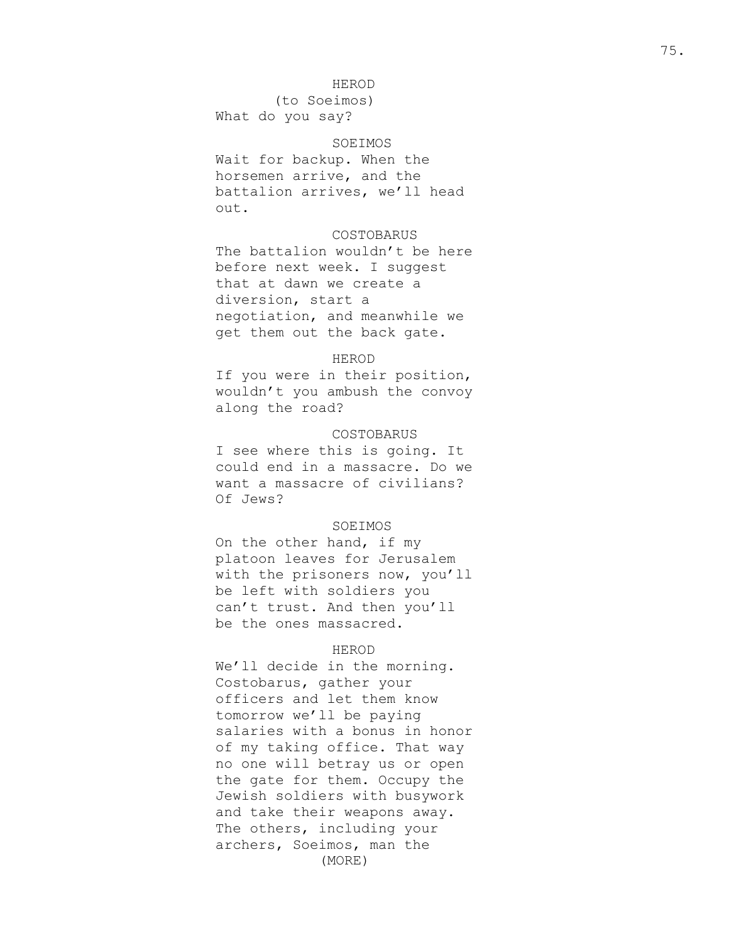## HEROD

(to Soeimos ) What do you say?

### SOEIMOS

Wait for backup. When the horsemen arrive, and the battalion arrives, we'll head out.

## COSTOBARUS

The battalion wouldn't be here before next week. I suggest that at dawn we create a diversion, start a negotiation, and meanwhile we get them out the back gate.

### HEROD

If you were in their position, wouldn't you ambush the convoy along the road?

### COSTOBARUS

I see where this is going. It could end in a massacre. Do we want a massacre of civilians? Of Jews?

## SOEIMOS

On the other hand, if my platoon leaves for Jerusalem with the prisoners now, you'll be left with soldiers you can't trust. And then you'll be the ones massacred.

#### HEROD

We'll decide in the morning. Costobarus, gather your officers and let them know tomorrow we'll be paying salaries with a bonus in honor of my taking office. That way no one will betray us or open the gate for them. Occupy the Jewish soldiers with busywork and take their weapons away. The others, including your archers , Soeimos, man the (MORE)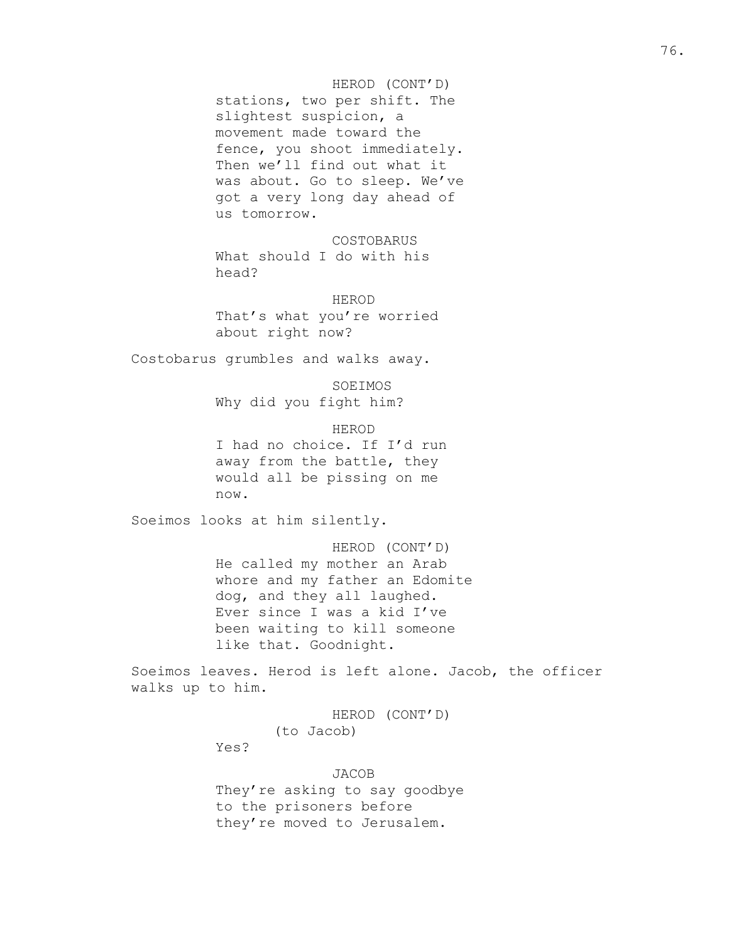# HEROD (CONT'D) stations, two per shift. The slightest suspicion, a movement made toward the fence, you shoot immediately. Then we'll find out what it was about. Go to sleep. We've got a very long day ahead of us tomorrow.

COSTOBARUS What should I do with his head?

HEROD That's what you're worried about right now?

Costobarus grumbles and walks away.

SOEIMOS Why did you fight him?

HEROD I had no choice. If I'd run away from the battle, they would all be pissing on me now.

Soeimos looks at him silently.

HEROD (CONT'D) He called my mother an Arab whore and my father an Edomite dog, and they all laughed. Ever since I was a kid I've been waiting to kill someone like that. Goodnight.

Soeimos leaves. Herod is left alone. Jacob, the officer walks up to him.

> HEROD (CONT'D) (to Jacob)

Yes?

JACOB

They're asking to say goodbye to the prisoners before they're moved to Jerusalem.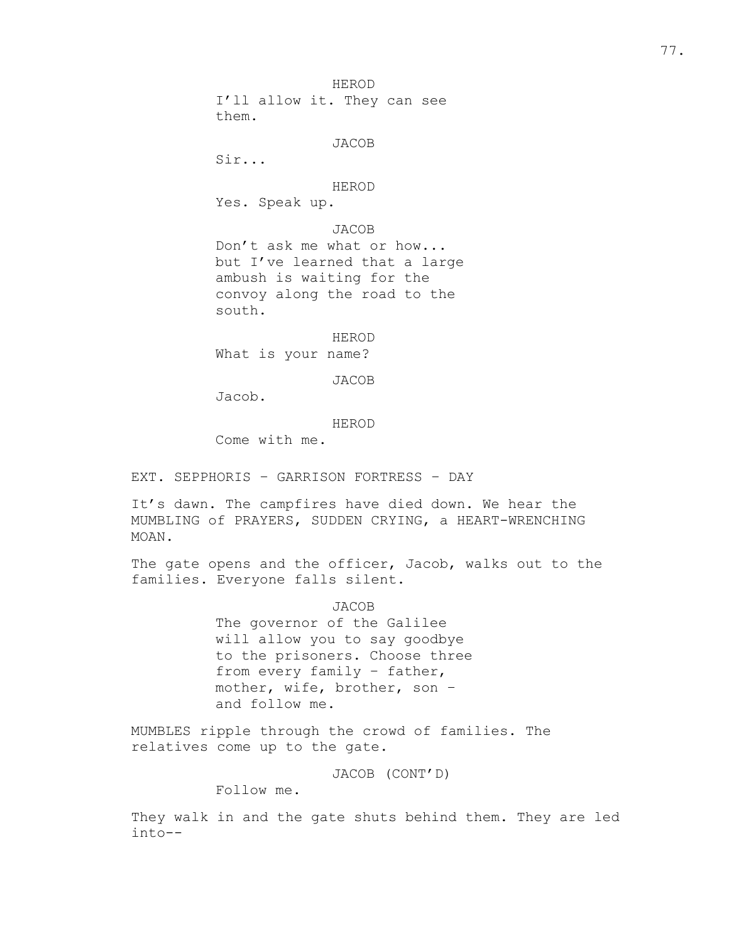HEROD I'll allow it. They can see them.

JACOB

Sir...

#### HEROD

Yes. Speak up.

# JACOB

Don't ask me what or how... but I've learned that a large ambush is waiting for the convoy along the road to the south.

## HEROD

What is your name?

## JACOB

Jacob.

#### HEROD

Come with me.

EXT. SEPPHORIS – GARRISON FORTRESS – DAY

It's dawn. The campfires have died down. We hear the MUMBLING of PRAYERS, SUDDEN CRYING, a HEART-WRENCHING MOAN.

The gate opens and the officer, Jacob, walks out to the families. Everyone falls silent.

## JACOB

The governor of the Galilee will allow you to say goodbye to the prisoners. Choose three from every family – father, mother, wife, brother, son – and follow me.

MUMBLES ripple through the crowd of families. The relatives come up to the gate.

JACOB (CONT'D)

Follow me.

They walk in and the gate shuts behind them. They are led into--